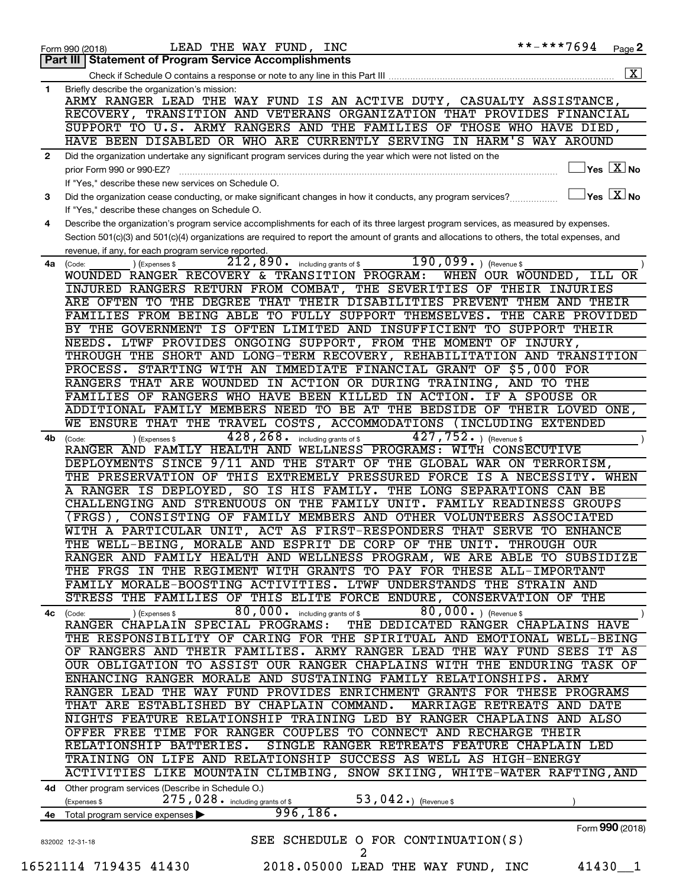|              | LEAD THE WAY FUND, INC<br>Form 990 (2018)                                                                                                    | **-***7694                       | Page 2                                            |
|--------------|----------------------------------------------------------------------------------------------------------------------------------------------|----------------------------------|---------------------------------------------------|
|              | Part III Statement of Program Service Accomplishments                                                                                        |                                  |                                                   |
|              |                                                                                                                                              |                                  | $\overline{\mathbf{X}}$                           |
| $\mathbf{1}$ | Briefly describe the organization's mission:                                                                                                 |                                  |                                                   |
|              | ARMY RANGER LEAD THE WAY FUND IS AN ACTIVE DUTY, CASUALTY ASSISTANCE,                                                                        |                                  |                                                   |
|              | RECOVERY, TRANSITION AND VETERANS ORGANIZATION THAT PROVIDES FINANCIAL                                                                       |                                  |                                                   |
|              | SUPPORT TO U.S. ARMY RANGERS AND THE FAMILIES OF THOSE WHO HAVE DIED,                                                                        |                                  |                                                   |
|              | HAVE BEEN DISABLED OR WHO ARE CURRENTLY SERVING IN HARM'S WAY AROUND                                                                         |                                  |                                                   |
|              | Did the organization undertake any significant program services during the year which were not listed on the                                 |                                  |                                                   |
|              | prior Form 990 or 990-EZ?                                                                                                                    |                                  | $ {\mathsf Y}\mathsf{es}\ \boxed{{\mathsf X}}$ No |
|              | If "Yes," describe these new services on Schedule O.                                                                                         |                                  |                                                   |
| 3            | Did the organization cease conducting, or make significant changes in how it conducts, any program services?                                 | $\Box$ Yes $\boxed{\text{X}}$ No |                                                   |
|              | If "Yes," describe these changes on Schedule O.                                                                                              |                                  |                                                   |
| 4            | Describe the organization's program service accomplishments for each of its three largest program services, as measured by expenses.         |                                  |                                                   |
|              | Section 501(c)(3) and 501(c)(4) organizations are required to report the amount of grants and allocations to others, the total expenses, and |                                  |                                                   |
|              | revenue, if any, for each program service reported.                                                                                          |                                  |                                                   |
| 4a           | $190,099.$ (Revenue \$)<br>$212,890$ · including grants of \$<br>) (Expenses \$<br>(Code:                                                    |                                  |                                                   |
|              | WOUNDED RANGER RECOVERY & TRANSITION PROGRAM:                                                                                                | WHEN OUR WOUNDED, ILL            | OR.                                               |
|              | INJURED RANGERS RETURN FROM COMBAT, THE SEVERITIES OF THEIR INJURIES                                                                         |                                  |                                                   |
|              | ARE OFTEN TO THE DEGREE THAT THEIR DISABILITIES PREVENT THEM AND THEIR                                                                       |                                  |                                                   |
|              | FAMILIES FROM BEING ABLE TO FULLY SUPPORT THEMSELVES. THE CARE PROVIDED                                                                      |                                  |                                                   |
|              | BY THE GOVERNMENT IS OFTEN LIMITED AND INSUFFICIENT TO SUPPORT THEIR                                                                         |                                  |                                                   |
|              |                                                                                                                                              |                                  |                                                   |
|              | NEEDS. LTWF PROVIDES ONGOING SUPPORT, FROM THE MOMENT OF INJURY,<br>THROUGH THE SHORT AND LONG-TERM RECOVERY, REHABILITATION AND TRANSITION  |                                  |                                                   |
|              |                                                                                                                                              |                                  |                                                   |
|              | PROCESS. STARTING WITH AN IMMEDIATE FINANCIAL GRANT OF \$5,000 FOR                                                                           |                                  |                                                   |
|              | RANGERS THAT ARE WOUNDED IN ACTION OR DURING TRAINING, AND TO THE                                                                            |                                  |                                                   |
|              | FAMILIES OF RANGERS WHO HAVE BEEN KILLED IN ACTION. IF A SPOUSE OR                                                                           |                                  |                                                   |
|              | ADDITIONAL FAMILY MEMBERS NEED TO BE AT THE BEDSIDE OF THEIR LOVED ONE,                                                                      |                                  |                                                   |
|              | ENSURE THAT THE TRAVEL COSTS, ACCOMMODATIONS (INCLUDING EXTENDED<br>WE                                                                       |                                  |                                                   |
| 4b           | 428, 268.<br>$427, 752.$ (Revenue \$)<br>including grants of \$<br>) (Expenses \$<br>(Code:                                                  |                                  |                                                   |
|              | RANGER AND FAMILY HEALTH AND WELLNESS PROGRAMS: WITH CONSECUTIVE                                                                             |                                  |                                                   |
|              | DEPLOYMENTS SINCE 9/11 AND THE START OF THE GLOBAL WAR ON TERRORISM,                                                                         |                                  |                                                   |
|              | THE PRESERVATION OF THIS EXTREMELY PRESSURED FORCE IS A NECESSITY. WHEN                                                                      |                                  |                                                   |
|              | A RANGER IS DEPLOYED, SO IS HIS FAMILY. THE LONG SEPARATIONS CAN BE                                                                          |                                  |                                                   |
|              | CHALLENGING AND STRENUOUS ON THE FAMILY UNIT. FAMILY READINESS GROUPS                                                                        |                                  |                                                   |
|              | (FRGS), CONSISTING OF FAMILY MEMBERS AND OTHER VOLUNTEERS ASSOCIATED                                                                         |                                  |                                                   |
|              | WITH A PARTICULAR UNIT, ACT AS FIRST-RESPONDERS THAT SERVE TO ENHANCE                                                                        |                                  |                                                   |
|              | THE WELL-BEING, MORALE AND ESPRIT DE CORP OF THE UNIT. THROUGH OUR                                                                           |                                  |                                                   |
|              | RANGER AND FAMILY HEALTH AND WELLNESS PROGRAM, WE ARE ABLE TO SUBSIDIZE                                                                      |                                  |                                                   |
|              | THE FRGS IN THE REGIMENT WITH GRANTS TO PAY FOR THESE ALL-IMPORTANT                                                                          |                                  |                                                   |
|              | FAMILY MORALE-BOOSTING ACTIVITIES. LTWF UNDERSTANDS THE STRAIN AND                                                                           |                                  |                                                   |
|              | STRESS THE FAMILIES OF THIS ELITE FORCE ENDURE, CONSERVATION OF THE                                                                          |                                  |                                                   |
| 4с           | 80,000. including grants of \$<br>80,000. ) (Revenue \$<br>) (Expenses \$<br>(Code:                                                          |                                  |                                                   |
|              | RANGER CHAPLAIN SPECIAL PROGRAMS:<br>THE DEDICATED RANGER CHAPLAINS HAVE                                                                     |                                  |                                                   |
|              | THE RESPONSIBILITY OF CARING FOR THE SPIRITUAL AND EMOTIONAL WELL-BEING                                                                      |                                  |                                                   |
|              | OF RANGERS AND THEIR FAMILIES. ARMY RANGER LEAD THE WAY FUND SEES IT AS                                                                      |                                  |                                                   |
|              | OUR OBLIGATION TO ASSIST OUR RANGER CHAPLAINS WITH THE ENDURING TASK OF                                                                      |                                  |                                                   |
|              | ENHANCING RANGER MORALE AND SUSTAINING FAMILY RELATIONSHIPS. ARMY                                                                            |                                  |                                                   |
|              | RANGER LEAD THE WAY FUND PROVIDES ENRICHMENT GRANTS FOR THESE PROGRAMS                                                                       |                                  |                                                   |
|              | THAT ARE ESTABLISHED BY CHAPLAIN COMMAND.                                                                                                    | MARRIAGE RETREATS AND DATE       |                                                   |
|              | NIGHTS FEATURE RELATIONSHIP TRAINING LED BY RANGER CHAPLAINS AND ALSO                                                                        |                                  |                                                   |
|              | OFFER FREE TIME FOR RANGER COUPLES TO CONNECT AND RECHARGE THEIR                                                                             |                                  |                                                   |
|              | RELATIONSHIP BATTERIES.<br>SINGLE RANGER RETREATS FEATURE CHAPLAIN LED                                                                       |                                  |                                                   |
|              | TRAINING ON LIFE AND RELATIONSHIP SUCCESS AS WELL AS HIGH-ENERGY                                                                             |                                  |                                                   |
|              |                                                                                                                                              |                                  |                                                   |
|              | ACTIVITIES LIKE MOUNTAIN CLIMBING, SNOW SKIING, WHITE-WATER RAFTING, AND                                                                     |                                  |                                                   |
|              | 4d Other program services (Describe in Schedule O.)                                                                                          |                                  |                                                   |
|              | 53, 042.) (Revenue \$<br>$275$ , $028$ on including grants of \$<br>(Expenses \$                                                             |                                  |                                                   |
|              | 996, 186.<br>4e Total program service expenses                                                                                               |                                  |                                                   |
|              |                                                                                                                                              |                                  | Form 990 (2018)                                   |
|              | SEE SCHEDULE O FOR CONTINUATION(S)<br>832002 12-31-18                                                                                        |                                  |                                                   |
|              | 2                                                                                                                                            |                                  |                                                   |
|              | 16521114 719435 41430<br>2018.05000 LEAD THE WAY FUND, INC                                                                                   |                                  | 41430 1                                           |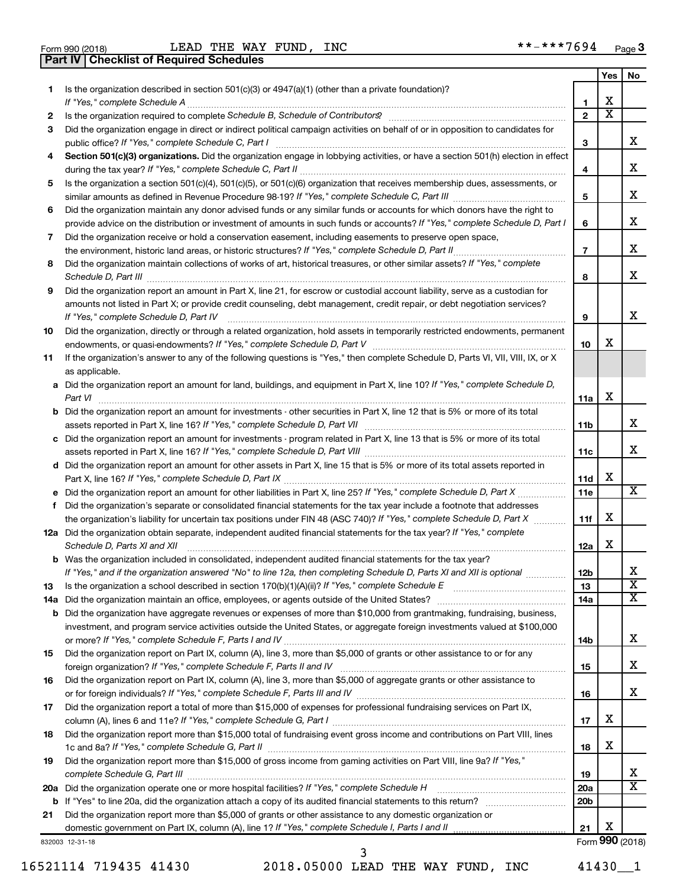**Part IV Checklist of Required Schedules**

Form 990 (2018) LEAD THE WAY FUND, INC \*\*-\*\*\*7694 <sub>Page</sub>

|     |                                                                                                                                                                     |                         | Yes                     | No                      |
|-----|---------------------------------------------------------------------------------------------------------------------------------------------------------------------|-------------------------|-------------------------|-------------------------|
| 1   | Is the organization described in section 501(c)(3) or 4947(a)(1) (other than a private foundation)?                                                                 |                         |                         |                         |
|     | If "Yes," complete Schedule A                                                                                                                                       | 1                       | x                       |                         |
| 2   |                                                                                                                                                                     | $\mathbf{2}$            | $\overline{\textbf{x}}$ |                         |
| 3   | Did the organization engage in direct or indirect political campaign activities on behalf of or in opposition to candidates for                                     |                         |                         |                         |
|     | public office? If "Yes," complete Schedule C, Part I                                                                                                                | 3                       |                         | x                       |
| 4   | Section 501(c)(3) organizations. Did the organization engage in lobbying activities, or have a section 501(h) election in effect                                    |                         |                         |                         |
|     |                                                                                                                                                                     | 4                       |                         | x                       |
| 5   | Is the organization a section 501(c)(4), 501(c)(5), or 501(c)(6) organization that receives membership dues, assessments, or                                        |                         |                         |                         |
|     |                                                                                                                                                                     | 5                       |                         | x                       |
| 6   | Did the organization maintain any donor advised funds or any similar funds or accounts for which donors have the right to                                           |                         |                         |                         |
|     | provide advice on the distribution or investment of amounts in such funds or accounts? If "Yes," complete Schedule D, Part I                                        | 6                       |                         | x                       |
| 7   | Did the organization receive or hold a conservation easement, including easements to preserve open space,                                                           |                         |                         | x                       |
|     | the environment, historic land areas, or historic structures? If "Yes," complete Schedule D, Part II                                                                | $\overline{\mathbf{r}}$ |                         |                         |
| 8   | Did the organization maintain collections of works of art, historical treasures, or other similar assets? If "Yes," complete                                        |                         |                         | x                       |
|     | Schedule D, Part III                                                                                                                                                | 8                       |                         |                         |
| 9   | Did the organization report an amount in Part X, line 21, for escrow or custodial account liability, serve as a custodian for                                       |                         |                         |                         |
|     | amounts not listed in Part X; or provide credit counseling, debt management, credit repair, or debt negotiation services?<br>If "Yes," complete Schedule D, Part IV |                         |                         | x                       |
|     | Did the organization, directly or through a related organization, hold assets in temporarily restricted endowments, permanent                                       | 9                       |                         |                         |
| 10  |                                                                                                                                                                     | 10                      | х                       |                         |
| 11  | If the organization's answer to any of the following questions is "Yes," then complete Schedule D, Parts VI, VII, VIII, IX, or X                                    |                         |                         |                         |
|     | as applicable.                                                                                                                                                      |                         |                         |                         |
|     | a Did the organization report an amount for land, buildings, and equipment in Part X, line 10? If "Yes," complete Schedule D,                                       |                         |                         |                         |
|     | Part VI                                                                                                                                                             | 11a                     | х                       |                         |
|     | <b>b</b> Did the organization report an amount for investments - other securities in Part X, line 12 that is 5% or more of its total                                |                         |                         |                         |
|     | assets reported in Part X, line 16? If "Yes," complete Schedule D, Part VII [11] [11] [12] [12] [12] [12] [12] [                                                    | 11b                     |                         | х                       |
|     | c Did the organization report an amount for investments - program related in Part X, line 13 that is 5% or more of its total                                        |                         |                         |                         |
|     |                                                                                                                                                                     | 11c                     |                         | x                       |
|     | d Did the organization report an amount for other assets in Part X, line 15 that is 5% or more of its total assets reported in                                      |                         |                         |                         |
|     |                                                                                                                                                                     | 11d                     | х                       |                         |
|     |                                                                                                                                                                     | 11e                     |                         | $\overline{\text{X}}$   |
| f.  | Did the organization's separate or consolidated financial statements for the tax year include a footnote that addresses                                             |                         |                         |                         |
|     | the organization's liability for uncertain tax positions under FIN 48 (ASC 740)? If "Yes," complete Schedule D, Part X                                              | 11f                     | х                       |                         |
|     | 12a Did the organization obtain separate, independent audited financial statements for the tax year? If "Yes," complete                                             |                         |                         |                         |
|     | Schedule D, Parts XI and XII                                                                                                                                        | 12a                     | х                       |                         |
|     | b Was the organization included in consolidated, independent audited financial statements for the tax year?                                                         |                         |                         |                         |
|     | If "Yes," and if the organization answered "No" to line 12a, then completing Schedule D, Parts XI and XII is optional                                               | 12 <sub>b</sub>         |                         | x                       |
| 13  |                                                                                                                                                                     | 13                      |                         | $\overline{\texttt{x}}$ |
| 14a |                                                                                                                                                                     | 14a                     |                         | x                       |
| b   | Did the organization have aggregate revenues or expenses of more than \$10,000 from grantmaking, fundraising, business,                                             |                         |                         |                         |
|     | investment, and program service activities outside the United States, or aggregate foreign investments valued at \$100,000                                          |                         |                         |                         |
|     |                                                                                                                                                                     | 14b                     |                         | х                       |
| 15  | Did the organization report on Part IX, column (A), line 3, more than \$5,000 of grants or other assistance to or for any                                           |                         |                         | х                       |
|     |                                                                                                                                                                     | 15                      |                         |                         |
| 16  | Did the organization report on Part IX, column (A), line 3, more than \$5,000 of aggregate grants or other assistance to                                            |                         |                         | х                       |
|     | Did the organization report a total of more than \$15,000 of expenses for professional fundraising services on Part IX,                                             | 16                      |                         |                         |
| 17  |                                                                                                                                                                     | 17                      | x                       |                         |
| 18  | Did the organization report more than \$15,000 total of fundraising event gross income and contributions on Part VIII, lines                                        |                         |                         |                         |
|     |                                                                                                                                                                     | 18                      | x                       |                         |
| 19  | Did the organization report more than \$15,000 of gross income from gaming activities on Part VIII, line 9a? If "Yes,"                                              |                         |                         |                         |
|     |                                                                                                                                                                     | 19                      |                         | x                       |
| 20a | Did the organization operate one or more hospital facilities? If "Yes," complete Schedule H                                                                         | 20a                     |                         | х                       |
| b   |                                                                                                                                                                     | 20 <sub>b</sub>         |                         |                         |
| 21  | Did the organization report more than \$5,000 of grants or other assistance to any domestic organization or                                                         |                         |                         |                         |
|     |                                                                                                                                                                     | 21                      | х                       |                         |
|     | 832003 12-31-18                                                                                                                                                     |                         |                         | Form 990 (2018)         |

16521114 719435 41430 2018.05000 LEAD THE WAY FUND, INC 41430\_\_1

3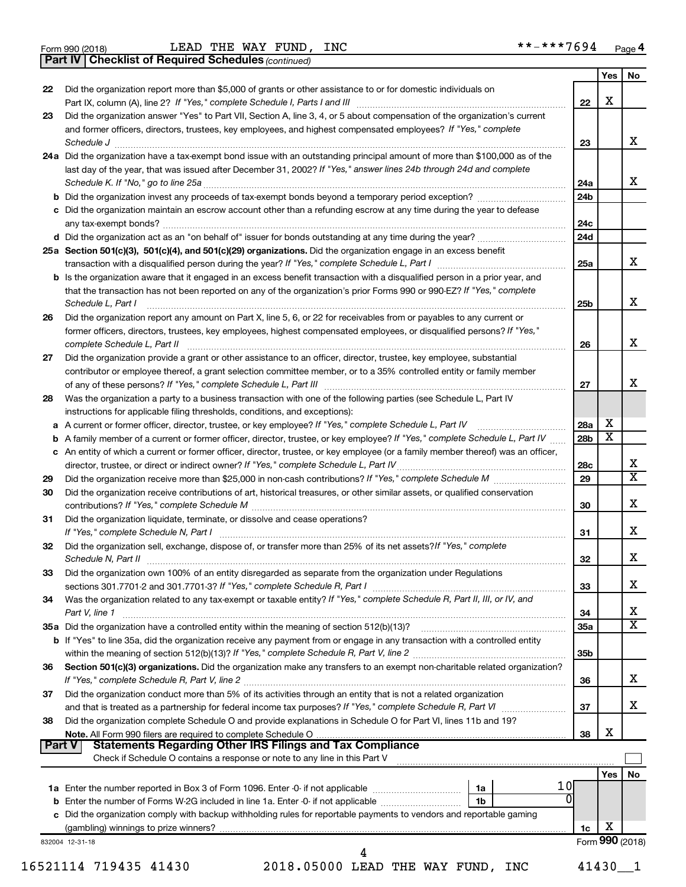**Part IV Checklist of Required Schedules**

*(continued)*

|        |                                                                                                                                                                                                                                                              |                 |                         | Yes   No                |
|--------|--------------------------------------------------------------------------------------------------------------------------------------------------------------------------------------------------------------------------------------------------------------|-----------------|-------------------------|-------------------------|
| 22     | Did the organization report more than \$5,000 of grants or other assistance to or for domestic individuals on                                                                                                                                                | 22              | X                       |                         |
| 23     | Did the organization answer "Yes" to Part VII, Section A, line 3, 4, or 5 about compensation of the organization's current                                                                                                                                   |                 |                         |                         |
|        | and former officers, directors, trustees, key employees, and highest compensated employees? If "Yes," complete<br>Schedule J <b>www.communications.communications.communications</b> .com                                                                    | 23              |                         | х                       |
|        | 24a Did the organization have a tax-exempt bond issue with an outstanding principal amount of more than \$100,000 as of the                                                                                                                                  |                 |                         |                         |
|        | last day of the year, that was issued after December 31, 2002? If "Yes," answer lines 24b through 24d and complete                                                                                                                                           |                 |                         |                         |
|        |                                                                                                                                                                                                                                                              | 24a             |                         | X                       |
|        | b Did the organization invest any proceeds of tax-exempt bonds beyond a temporary period exception?                                                                                                                                                          | 24b             |                         |                         |
|        | c Did the organization maintain an escrow account other than a refunding escrow at any time during the year to defease                                                                                                                                       |                 |                         |                         |
|        |                                                                                                                                                                                                                                                              | 24c             |                         |                         |
|        |                                                                                                                                                                                                                                                              | 24d             |                         |                         |
|        | 25a Section 501(c)(3), 501(c)(4), and 501(c)(29) organizations. Did the organization engage in an excess benefit                                                                                                                                             |                 |                         |                         |
|        |                                                                                                                                                                                                                                                              | 25a             |                         | x                       |
|        | <b>b</b> Is the organization aware that it engaged in an excess benefit transaction with a disqualified person in a prior year, and<br>that the transaction has not been reported on any of the organization's prior Forms 990 or 990-EZ? If "Yes," complete |                 |                         |                         |
|        | Schedule L, Part I                                                                                                                                                                                                                                           | 25b             |                         | x                       |
| 26     | Did the organization report any amount on Part X, line 5, 6, or 22 for receivables from or payables to any current or<br>former officers, directors, trustees, key employees, highest compensated employees, or disqualified persons? If "Yes,"              |                 |                         |                         |
|        | complete Schedule L, Part II                                                                                                                                                                                                                                 | 26              |                         | x                       |
| 27     | Did the organization provide a grant or other assistance to an officer, director, trustee, key employee, substantial                                                                                                                                         |                 |                         |                         |
|        | contributor or employee thereof, a grant selection committee member, or to a 35% controlled entity or family member                                                                                                                                          | 27              |                         | x                       |
| 28     | Was the organization a party to a business transaction with one of the following parties (see Schedule L, Part IV                                                                                                                                            |                 |                         |                         |
|        | instructions for applicable filing thresholds, conditions, and exceptions):                                                                                                                                                                                  |                 |                         |                         |
|        | a A current or former officer, director, trustee, or key employee? If "Yes," complete Schedule L, Part IV                                                                                                                                                    | 28a             | X                       |                         |
|        | b A family member of a current or former officer, director, trustee, or key employee? If "Yes," complete Schedule L, Part IV                                                                                                                                 | 28b             | $\overline{\texttt{x}}$ |                         |
|        | c An entity of which a current or former officer, director, trustee, or key employee (or a family member thereof) was an officer,                                                                                                                            |                 |                         |                         |
|        |                                                                                                                                                                                                                                                              | 28c             |                         | X                       |
| 29     |                                                                                                                                                                                                                                                              | 29              |                         | $\overline{\texttt{x}}$ |
| 30     | Did the organization receive contributions of art, historical treasures, or other similar assets, or qualified conservation                                                                                                                                  | 30              |                         | х                       |
| 31     | Did the organization liquidate, terminate, or dissolve and cease operations?                                                                                                                                                                                 | 31              |                         | х                       |
| 32     | Did the organization sell, exchange, dispose of, or transfer more than 25% of its net assets? If "Yes," complete                                                                                                                                             | 32              |                         | Х                       |
| 33     | Did the organization own 100% of an entity disregarded as separate from the organization under Regulations                                                                                                                                                   |                 |                         |                         |
|        |                                                                                                                                                                                                                                                              | 33              |                         | х                       |
| 34     | Was the organization related to any tax-exempt or taxable entity? If "Yes," complete Schedule R, Part II, III, or IV, and<br>Part V, line 1                                                                                                                  | 34              |                         | х                       |
|        |                                                                                                                                                                                                                                                              | 35a             |                         | $\overline{\texttt{x}}$ |
|        | b If "Yes" to line 35a, did the organization receive any payment from or engage in any transaction with a controlled entity                                                                                                                                  | 35 <sub>b</sub> |                         |                         |
| 36     | Section 501(c)(3) organizations. Did the organization make any transfers to an exempt non-charitable related organization?                                                                                                                                   | 36              |                         | x                       |
| 37     | Did the organization conduct more than 5% of its activities through an entity that is not a related organization                                                                                                                                             | 37              |                         | X                       |
| 38     | Did the organization complete Schedule O and provide explanations in Schedule O for Part VI, lines 11b and 19?                                                                                                                                               |                 |                         |                         |
| Part V | <b>Statements Regarding Other IRS Filings and Tax Compliance</b>                                                                                                                                                                                             | 38              | х                       |                         |
|        | Check if Schedule O contains a response or note to any line in this Part V                                                                                                                                                                                   |                 |                         |                         |
|        | 1 OI                                                                                                                                                                                                                                                         |                 | Yes                     | No                      |
|        | 1a<br>$\Omega$<br>1 <sub>b</sub>                                                                                                                                                                                                                             |                 |                         |                         |
|        | c Did the organization comply with backup withholding rules for reportable payments to vendors and reportable gaming                                                                                                                                         |                 |                         |                         |
|        |                                                                                                                                                                                                                                                              | 1c              | X                       |                         |
|        | 832004 12-31-18                                                                                                                                                                                                                                              |                 | Form 990 (2018)         |                         |
|        |                                                                                                                                                                                                                                                              |                 |                         |                         |
|        | 2018.05000 LEAD THE WAY FUND, INC<br>16521114 719435 41430                                                                                                                                                                                                   |                 | 41430                   |                         |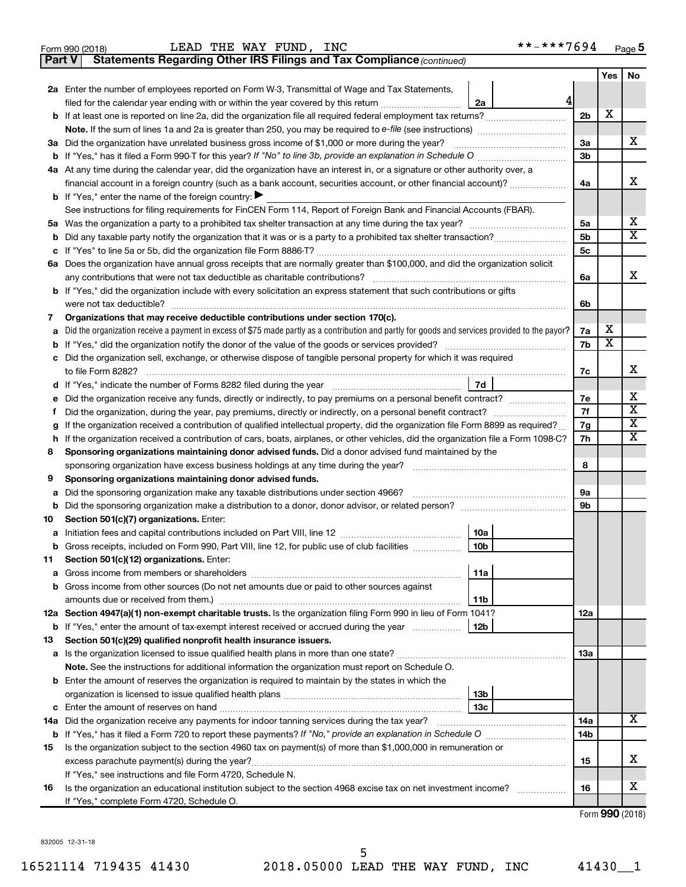|               | LEAD THE WAY FUND, INC<br>Form 990 (2018)                                                                                                       | **-***7694      |                |     | Page 5                     |
|---------------|-------------------------------------------------------------------------------------------------------------------------------------------------|-----------------|----------------|-----|----------------------------|
| <b>Part V</b> | Statements Regarding Other IRS Filings and Tax Compliance (continued)                                                                           |                 |                |     |                            |
|               |                                                                                                                                                 |                 |                | Yes | No                         |
|               | 2a Enter the number of employees reported on Form W-3, Transmittal of Wage and Tax Statements,                                                  |                 |                |     |                            |
|               | filed for the calendar year ending with or within the year covered by this return                                                               | 41<br>2a        |                |     |                            |
|               |                                                                                                                                                 |                 | 2 <sub>b</sub> | X   |                            |
|               |                                                                                                                                                 |                 |                |     |                            |
|               | 3a Did the organization have unrelated business gross income of \$1,000 or more during the year?                                                |                 | 3a             |     | х                          |
|               |                                                                                                                                                 |                 | 3 <sub>b</sub> |     |                            |
|               | 4a At any time during the calendar year, did the organization have an interest in, or a signature or other authority over, a                    |                 |                |     |                            |
|               | financial account in a foreign country (such as a bank account, securities account, or other financial account)?                                |                 | 4a             |     | x                          |
|               | <b>b</b> If "Yes," enter the name of the foreign country: $\blacktriangleright$                                                                 |                 |                |     |                            |
|               | See instructions for filing requirements for FinCEN Form 114, Report of Foreign Bank and Financial Accounts (FBAR).                             |                 |                |     |                            |
| 5a            |                                                                                                                                                 |                 | 5a             |     | х                          |
| b             |                                                                                                                                                 |                 | 5 <sub>b</sub> |     | $\overline{\texttt{X}}$    |
| с             |                                                                                                                                                 |                 | 5c             |     |                            |
|               | 6a Does the organization have annual gross receipts that are normally greater than \$100,000, and did the organization solicit                  |                 |                |     |                            |
|               |                                                                                                                                                 |                 | 6а             |     | x                          |
|               | <b>b</b> If "Yes," did the organization include with every solicitation an express statement that such contributions or gifts                   |                 |                |     |                            |
|               |                                                                                                                                                 |                 | 6b             |     |                            |
| 7             | Organizations that may receive deductible contributions under section 170(c).                                                                   |                 |                |     |                            |
| а             | Did the organization receive a payment in excess of \$75 made partly as a contribution and partly for goods and services provided to the payor? |                 | 7a             | х   |                            |
| b             |                                                                                                                                                 |                 | 7b             | X   |                            |
| с             | Did the organization sell, exchange, or otherwise dispose of tangible personal property for which it was required                               |                 |                |     |                            |
|               |                                                                                                                                                 |                 | 7c             |     | x                          |
| d             |                                                                                                                                                 | 7d              |                |     |                            |
| е             |                                                                                                                                                 |                 | 7е             |     | х<br>$\overline{\text{X}}$ |
| f             |                                                                                                                                                 |                 | 7f             |     | X                          |
| g             | If the organization received a contribution of qualified intellectual property, did the organization file Form 8899 as required?                |                 | 7g             |     | х                          |
| h             | If the organization received a contribution of cars, boats, airplanes, or other vehicles, did the organization file a Form 1098-C?              |                 | 7h             |     |                            |
| 8             | Sponsoring organizations maintaining donor advised funds. Did a donor advised fund maintained by the                                            |                 | 8              |     |                            |
| 9             | Sponsoring organizations maintaining donor advised funds.                                                                                       |                 |                |     |                            |
| а             | Did the sponsoring organization make any taxable distributions under section 4966?                                                              |                 | 9а             |     |                            |
| b             | Did the sponsoring organization make a distribution to a donor, donor advisor, or related person?                                               |                 | 9b             |     |                            |
| 10            | Section 501(c)(7) organizations. Enter:                                                                                                         |                 |                |     |                            |
|               |                                                                                                                                                 | 10a             |                |     |                            |
|               | Gross receipts, included on Form 990, Part VIII, line 12, for public use of club facilities                                                     | 10 <sub>b</sub> |                |     |                            |
| 11            | Section 501(c)(12) organizations. Enter:                                                                                                        |                 |                |     |                            |
| а             |                                                                                                                                                 | 11a             |                |     |                            |
| b             | Gross income from other sources (Do not net amounts due or paid to other sources against                                                        |                 |                |     |                            |
|               |                                                                                                                                                 | 11b             |                |     |                            |
|               | 12a Section 4947(a)(1) non-exempt charitable trusts. Is the organization filing Form 990 in lieu of Form 1041?                                  |                 | 12a            |     |                            |
|               | <b>b</b> If "Yes," enter the amount of tax-exempt interest received or accrued during the year                                                  | 12b             |                |     |                            |
| 13            | Section 501(c)(29) qualified nonprofit health insurance issuers.                                                                                |                 |                |     |                            |
|               | a Is the organization licensed to issue qualified health plans in more than one state?                                                          |                 | 13a            |     |                            |
|               | Note. See the instructions for additional information the organization must report on Schedule O.                                               |                 |                |     |                            |
|               | <b>b</b> Enter the amount of reserves the organization is required to maintain by the states in which the                                       |                 |                |     |                            |
|               |                                                                                                                                                 | 13b             |                |     |                            |
| с             |                                                                                                                                                 | 13 <sub>c</sub> |                |     |                            |
| 14a           | Did the organization receive any payments for indoor tanning services during the tax year?                                                      |                 | 14a            |     | x                          |
|               |                                                                                                                                                 |                 | 14b            |     |                            |
| 15            | Is the organization subject to the section 4960 tax on payment(s) of more than \$1,000,000 in remuneration or                                   |                 |                |     |                            |
|               | excess parachute payment(s) during the year?                                                                                                    |                 | 15             |     | x                          |
|               | If "Yes," see instructions and file Form 4720, Schedule N.                                                                                      |                 |                |     |                            |
| 16            | Is the organization an educational institution subject to the section 4968 excise tax on net investment income?                                 |                 | 16             |     | x                          |
|               | If "Yes," complete Form 4720, Schedule O.                                                                                                       |                 |                |     |                            |

Form (2018) **990**

832005 12-31-18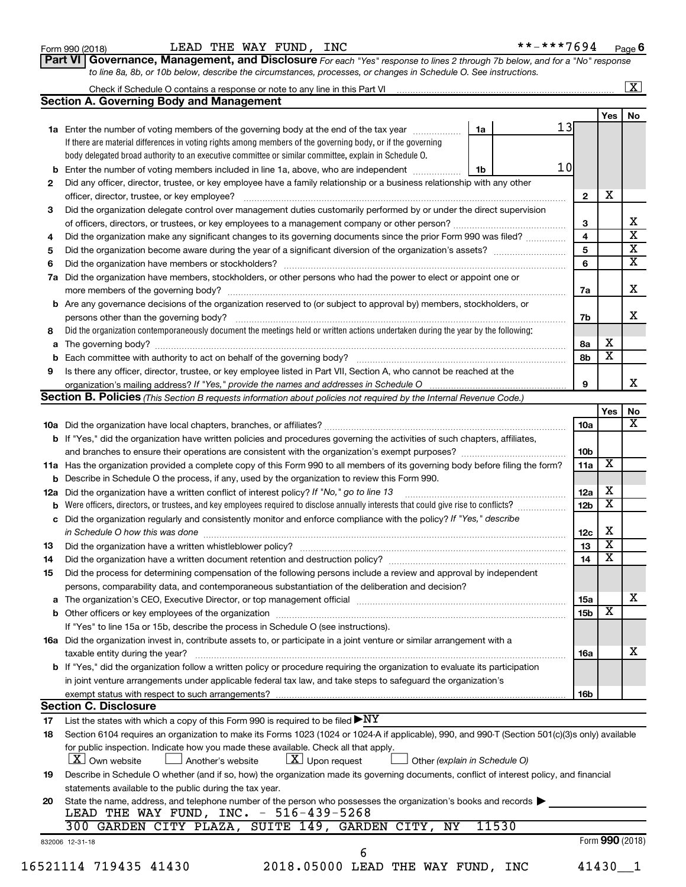| Form 990 (2018) |  |  |
|-----------------|--|--|
|-----------------|--|--|

#### Form 990 (2018) LEAD THE WAY FUND, INC \*\*-\*\*\*7694 <sub>Page</sub>

| **-***7694 | Page 6 |
|------------|--------|
|------------|--------|

**Part VI** Governance, Management, and Disclosure For each "Yes" response to lines 2 through 7b below, and for a "No" response *to line 8a, 8b, or 10b below, describe the circumstances, processes, or changes in Schedule O. See instructions.*

|     | Check if Schedule O contains a response or note to any line in this Part VI [11] [12] Check if Schedule O contains a response or note to any line in this Part VI               |                               |                            |                         | $\overline{\mathbf{X}}$ |
|-----|---------------------------------------------------------------------------------------------------------------------------------------------------------------------------------|-------------------------------|----------------------------|-------------------------|-------------------------|
|     | <b>Section A. Governing Body and Management</b>                                                                                                                                 |                               |                            |                         |                         |
|     |                                                                                                                                                                                 |                               |                            | Yes                     | <b>No</b>               |
|     | 1a Enter the number of voting members of the governing body at the end of the tax year                                                                                          | 1a                            | 13                         |                         |                         |
|     | If there are material differences in voting rights among members of the governing body, or if the governing                                                                     |                               |                            |                         |                         |
|     | body delegated broad authority to an executive committee or similar committee, explain in Schedule O.                                                                           |                               |                            |                         |                         |
|     | <b>b</b> Enter the number of voting members included in line 1a, above, who are independent <i>manumum</i>                                                                      | 1b                            | 10                         |                         |                         |
| 2   | Did any officer, director, trustee, or key employee have a family relationship or a business relationship with any other                                                        |                               |                            |                         |                         |
|     |                                                                                                                                                                                 |                               | $\mathbf{2}$               | х                       |                         |
| 3   | Did the organization delegate control over management duties customarily performed by or under the direct supervision                                                           |                               |                            |                         |                         |
|     |                                                                                                                                                                                 |                               | 3                          |                         | х                       |
| 4   | Did the organization make any significant changes to its governing documents since the prior Form 990 was filed?                                                                |                               | $\overline{\mathbf{4}}$    |                         | $\overline{\mathbf{x}}$ |
| 5   |                                                                                                                                                                                 |                               | 5                          |                         | $\overline{\mathbf{x}}$ |
| 6   |                                                                                                                                                                                 |                               | 6                          |                         | $\overline{\textbf{x}}$ |
| 7a  | Did the organization have members, stockholders, or other persons who had the power to elect or appoint one or                                                                  |                               |                            |                         |                         |
|     |                                                                                                                                                                                 |                               | 7a                         |                         | X                       |
|     | <b>b</b> Are any governance decisions of the organization reserved to (or subject to approval by) members, stockholders, or                                                     |                               |                            |                         |                         |
|     | persons other than the governing body?                                                                                                                                          |                               | 7b                         |                         | x                       |
| 8   | Did the organization contemporaneously document the meetings held or written actions undertaken during the year by the following:                                               |                               |                            |                         |                         |
|     |                                                                                                                                                                                 |                               | 8a                         | х                       |                         |
|     |                                                                                                                                                                                 |                               | 8b                         | $\overline{\textbf{x}}$ |                         |
| 9   | Is there any officer, director, trustee, or key employee listed in Part VII, Section A, who cannot be reached at the                                                            |                               |                            |                         |                         |
|     | organization's mailing address? If "Yes," provide the names and addresses in Schedule O manufaction's mailing address? If "Yes," provide the names and addresses in Schedule O  |                               | 9                          |                         |                         |
|     | <b>Section B. Policies</b> (This Section B requests information about policies not required by the Internal Revenue Code.)                                                      |                               |                            |                         |                         |
|     |                                                                                                                                                                                 |                               |                            | Yes                     | No                      |
|     |                                                                                                                                                                                 |                               | 10a                        |                         |                         |
|     | b If "Yes," did the organization have written policies and procedures governing the activities of such chapters, affiliates,                                                    |                               |                            |                         |                         |
|     |                                                                                                                                                                                 |                               | 10b                        |                         |                         |
|     | 11a Has the organization provided a complete copy of this Form 990 to all members of its governing body before filing the form?                                                 |                               | 11a                        | х                       |                         |
|     | <b>b</b> Describe in Schedule O the process, if any, used by the organization to review this Form 990.                                                                          |                               |                            |                         |                         |
| 12a | Did the organization have a written conflict of interest policy? If "No," go to line 13                                                                                         |                               | 12a                        | х                       |                         |
|     |                                                                                                                                                                                 |                               | 12 <sub>b</sub>            | $\overline{\textbf{x}}$ |                         |
|     | c Did the organization regularly and consistently monitor and enforce compliance with the policy? If "Yes," describe                                                            |                               |                            |                         |                         |
|     | in Schedule O how this was done <b>construction and construction</b> construction of the schedule O how this was done                                                           |                               | 12c                        | х                       |                         |
| 13  |                                                                                                                                                                                 |                               | 13                         | $\overline{\mathbf{x}}$ |                         |
| 14  | Did the organization have a written document retention and destruction policy? [11] manufaction manufaction in                                                                  |                               | 14                         | $\overline{\mathbf{x}}$ |                         |
| 15  | Did the process for determining compensation of the following persons include a review and approval by independent                                                              |                               |                            |                         |                         |
|     | persons, comparability data, and contemporaneous substantiation of the deliberation and decision?                                                                               |                               |                            |                         |                         |
|     |                                                                                                                                                                                 |                               | 15a                        |                         |                         |
|     |                                                                                                                                                                                 |                               | 15b                        | х                       |                         |
|     | If "Yes" to line 15a or 15b, describe the process in Schedule O (see instructions).                                                                                             |                               |                            |                         |                         |
|     | 16a Did the organization invest in, contribute assets to, or participate in a joint venture or similar arrangement with a                                                       |                               |                            |                         |                         |
|     | taxable entity during the year?                                                                                                                                                 |                               | 16a                        |                         |                         |
|     | <b>b</b> If "Yes," did the organization follow a written policy or procedure requiring the organization to evaluate its participation                                           |                               |                            |                         |                         |
|     | in joint venture arrangements under applicable federal tax law, and take steps to safeguard the organization's                                                                  |                               |                            |                         |                         |
|     | exempt status with respect to such arrangements?                                                                                                                                |                               | 16b                        |                         |                         |
|     | <b>Section C. Disclosure</b>                                                                                                                                                    |                               |                            |                         |                         |
| 17  | List the states with which a copy of this Form 990 is required to be filed $\blacktriangleright\text{NY}$                                                                       |                               |                            |                         |                         |
| 18  | Section 6104 requires an organization to make its Forms 1023 (1024 or 1024 A if applicable), 990, and 990-T (Section 501(c)(3)s only) available                                 |                               |                            |                         |                         |
|     | for public inspection. Indicate how you made these available. Check all that apply.<br>$\lfloor x \rfloor$ Own website<br>$\lfloor x \rfloor$ Upon request<br>Another's website | Other (explain in Schedule O) |                            |                         |                         |
| 19  | Describe in Schedule O whether (and if so, how) the organization made its governing documents, conflict of interest policy, and financial                                       |                               |                            |                         |                         |
|     | statements available to the public during the tax year.                                                                                                                         |                               |                            |                         |                         |
| 20  | State the name, address, and telephone number of the person who possesses the organization's books and records                                                                  |                               |                            |                         |                         |
|     | LEAD THE WAY FUND, INC. - 516-439-5268                                                                                                                                          |                               |                            |                         |                         |
|     |                                                                                                                                                                                 |                               |                            |                         |                         |
|     |                                                                                                                                                                                 |                               |                            |                         |                         |
|     |                                                                                                                                                                                 |                               |                            |                         |                         |
|     |                                                                                                                                                                                 |                               |                            |                         |                         |
|     | 300 GARDEN CITY PLAZA, SUITE 149, GARDEN CITY, NY<br>832006 12-31-18<br>6<br>2018.05000 LEAD THE WAY FUND, INC<br>16521114 719435 41430                                         | 11530                         | Form 990 (2018)<br>41430 1 |                         |                         |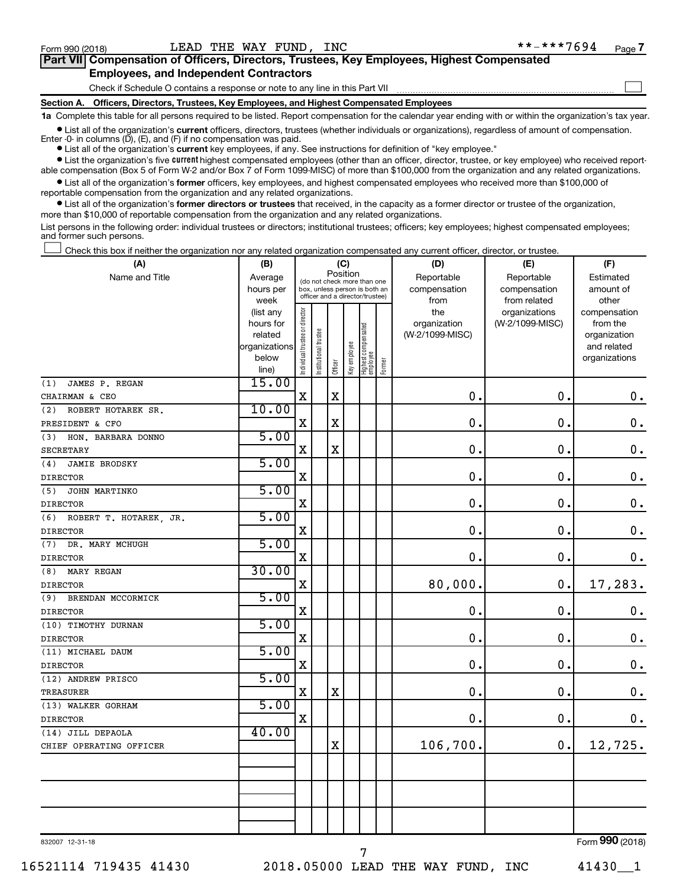$\Box$ 

| Part VII Compensation of Officers, Directors, Trustees, Key Employees, Highest Compensated |  |
|--------------------------------------------------------------------------------------------|--|
| <b>Employees, and Independent Contractors</b>                                              |  |

Check if Schedule O contains a response or note to any line in this Part VII

**Section A. Officers, Directors, Trustees, Key Employees, and Highest Compensated Employees**

**1a**  Complete this table for all persons required to be listed. Report compensation for the calendar year ending with or within the organization's tax year.

**•** List all of the organization's current officers, directors, trustees (whether individuals or organizations), regardless of amount of compensation. Enter -0- in columns  $(D)$ ,  $(E)$ , and  $(F)$  if no compensation was paid.

**•** List all of the organization's **current** key employees, if any. See instructions for definition of "key employee."

**•** List the organization's five current highest compensated employees (other than an officer, director, trustee, or key employee) who received reportable compensation (Box 5 of Form W-2 and/or Box 7 of Form 1099-MISC) of more than \$100,000 from the organization and any related organizations.

**•** List all of the organization's former officers, key employees, and highest compensated employees who received more than \$100,000 of reportable compensation from the organization and any related organizations.

**•** List all of the organization's former directors or trustees that received, in the capacity as a former director or trustee of the organization, more than \$10,000 of reportable compensation from the organization and any related organizations.

List persons in the following order: individual trustees or directors; institutional trustees; officers; key employees; highest compensated employees; and former such persons.

Check this box if neither the organization nor any related organization compensated any current officer, director, or trustee.  $\Box$ 

| (A)                           | (B)                      |                                |                                 | (C)         |              |                                   |        | (D)             | (E)             | (F)                         |
|-------------------------------|--------------------------|--------------------------------|---------------------------------|-------------|--------------|-----------------------------------|--------|-----------------|-----------------|-----------------------------|
| Name and Title                | Average                  |                                | (do not check more than one     | Position    |              |                                   |        | Reportable      | Reportable      | Estimated                   |
|                               | hours per                |                                | box, unless person is both an   |             |              |                                   |        | compensation    | compensation    | amount of                   |
|                               | week                     |                                | officer and a director/trustee) |             |              |                                   |        | from            | from related    | other                       |
|                               | (list any                |                                |                                 |             |              |                                   |        | the             | organizations   | compensation                |
|                               | hours for                |                                |                                 |             |              |                                   |        | organization    | (W-2/1099-MISC) | from the                    |
|                               | related<br>organizations |                                |                                 |             |              |                                   |        | (W-2/1099-MISC) |                 | organization<br>and related |
|                               | below                    |                                |                                 |             |              |                                   |        |                 |                 | organizations               |
|                               | line)                    | Individual trustee or director | Institutional trustee           | Officer     | Key employee | Highest compensated<br>  employee | Former |                 |                 |                             |
| JAMES P. REGAN<br>(1)         | 15.00                    |                                |                                 |             |              |                                   |        |                 |                 |                             |
| CHAIRMAN & CEO                |                          | X                              |                                 | $\mathbf X$ |              |                                   |        | $\mathbf 0$ .   | $\mathbf 0$ .   | $\mathbf 0$ .               |
| ROBERT HOTAREK SR.<br>(2)     | 10.00                    |                                |                                 |             |              |                                   |        |                 |                 |                             |
| PRESIDENT & CFO               |                          | $\mathbf X$                    |                                 | $\mathbf X$ |              |                                   |        | $\mathbf 0$ .   | $\mathbf 0$ .   | $\mathbf 0$ .               |
| HON. BARBARA DONNO<br>(3)     | 5.00                     |                                |                                 |             |              |                                   |        |                 |                 |                             |
| <b>SECRETARY</b>              |                          | $\mathbf X$                    |                                 | $\rm X$     |              |                                   |        | $\mathbf 0$ .   | $\mathbf 0$     | $\boldsymbol{0}$ .          |
| (4)<br><b>JAMIE BRODSKY</b>   | 5.00                     |                                |                                 |             |              |                                   |        |                 |                 |                             |
| <b>DIRECTOR</b>               |                          | $\mathbf X$                    |                                 |             |              |                                   |        | $\mathbf 0$ .   | 0.              | $\boldsymbol{0}$ .          |
| JOHN MARTINKO<br>(5)          | 5.00                     |                                |                                 |             |              |                                   |        |                 |                 |                             |
| <b>DIRECTOR</b>               |                          | X                              |                                 |             |              |                                   |        | $\mathbf 0$ .   | $\mathbf 0$ .   | $\boldsymbol{0}$ .          |
| (6)<br>ROBERT T. HOTAREK, JR. | 5.00                     |                                |                                 |             |              |                                   |        |                 |                 |                             |
| <b>DIRECTOR</b>               |                          | $\mathbf X$                    |                                 |             |              |                                   |        | $\mathbf 0$ .   | $\mathbf 0$ .   | $\boldsymbol{0}$ .          |
| (7)<br>DR. MARY MCHUGH        | 5.00                     |                                |                                 |             |              |                                   |        |                 |                 |                             |
| <b>DIRECTOR</b>               |                          | $\mathbf X$                    |                                 |             |              |                                   |        | $\mathbf 0$ .   | 0.              | $\mathbf 0$ .               |
| (8)<br>MARY REGAN             | 30.00                    |                                |                                 |             |              |                                   |        |                 |                 |                             |
| <b>DIRECTOR</b>               |                          | $\mathbf X$                    |                                 |             |              |                                   |        | 80,000.         | $\mathbf 0$ .   | 17,283.                     |
| (9)<br>BRENDAN MCCORMICK      | 5.00                     |                                |                                 |             |              |                                   |        |                 |                 |                             |
| <b>DIRECTOR</b>               |                          | X                              |                                 |             |              |                                   |        | 0.              | $\mathbf 0$ .   | $\mathbf 0$ .               |
| (10) TIMOTHY DURNAN           | 5.00                     |                                |                                 |             |              |                                   |        |                 |                 |                             |
| <b>DIRECTOR</b>               |                          | X                              |                                 |             |              |                                   |        | $\mathbf 0$ .   | $\mathbf 0$ .   | $\mathbf 0$ .               |
| (11) MICHAEL DAUM             | 5.00                     |                                |                                 |             |              |                                   |        |                 |                 |                             |
| <b>DIRECTOR</b>               |                          | $\mathbf X$                    |                                 |             |              |                                   |        | $\mathbf 0$ .   | $\mathbf 0$ .   | $\mathbf 0$ .               |
| (12) ANDREW PRISCO            | 5.00                     |                                |                                 |             |              |                                   |        |                 |                 |                             |
| <b>TREASURER</b>              |                          | $\mathbf X$                    |                                 | $\mathbf X$ |              |                                   |        | $\mathbf 0$ .   | $\mathbf 0$ .   | $\mathbf 0$ .               |
| (13) WALKER GORHAM            | 5.00                     |                                |                                 |             |              |                                   |        |                 |                 |                             |
| <b>DIRECTOR</b>               |                          | X                              |                                 |             |              |                                   |        | $\mathbf 0$ .   | 0.              | $\mathbf 0$ .               |
| (14) JILL DEPAOLA             | 40.00                    |                                |                                 |             |              |                                   |        |                 |                 |                             |
| CHIEF OPERATING OFFICER       |                          |                                |                                 | X           |              |                                   |        | 106,700.        | 0.              | 12,725.                     |
|                               |                          |                                |                                 |             |              |                                   |        |                 |                 |                             |
|                               |                          |                                |                                 |             |              |                                   |        |                 |                 |                             |
|                               |                          |                                |                                 |             |              |                                   |        |                 |                 |                             |
|                               |                          |                                |                                 |             |              |                                   |        |                 |                 |                             |
|                               |                          |                                |                                 |             |              |                                   |        |                 |                 |                             |
|                               |                          |                                |                                 |             |              |                                   |        |                 |                 |                             |

832007 12-31-18

Form (2018) **990**

7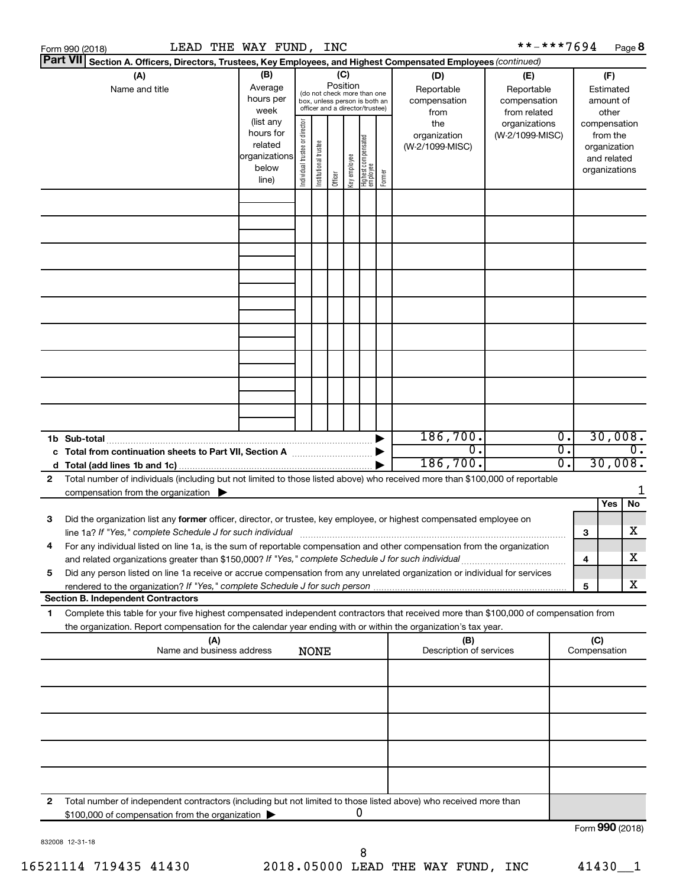|                                                                                                                                                                                                                                 | LEAD THE WAY FUND, INC<br>Form 990 (2018)                                                                                                                                                                                                                          |                                                                      |                                |                       |         |              |                                   |                                                   |                                        | **-***7694                       |                                        |                     | Page 8                                                                   |
|---------------------------------------------------------------------------------------------------------------------------------------------------------------------------------------------------------------------------------|--------------------------------------------------------------------------------------------------------------------------------------------------------------------------------------------------------------------------------------------------------------------|----------------------------------------------------------------------|--------------------------------|-----------------------|---------|--------------|-----------------------------------|---------------------------------------------------|----------------------------------------|----------------------------------|----------------------------------------|---------------------|--------------------------------------------------------------------------|
|                                                                                                                                                                                                                                 | <b>Part VII</b><br>Section A. Officers, Directors, Trustees, Key Employees, and Highest Compensated Employees (continued)                                                                                                                                          |                                                                      |                                |                       |         |              |                                   |                                                   |                                        |                                  |                                        |                     |                                                                          |
| (A)<br>(B)<br>(C)<br>(D)<br>Position<br>Average<br>Name and title<br>Reportable<br>(do not check more than one<br>hours per<br>compensation<br>box, unless person is both an<br>officer and a director/trustee)<br>week<br>from |                                                                                                                                                                                                                                                                    |                                                                      |                                |                       |         |              |                                   | (E)<br>Reportable<br>compensation<br>from related |                                        |                                  | (F)<br>Estimated<br>amount of<br>other |                     |                                                                          |
|                                                                                                                                                                                                                                 |                                                                                                                                                                                                                                                                    | (list any<br>hours for<br>related<br>organizations<br>below<br>line) | Individual trustee or director | Institutional trustee | Officer | Key employee | Highest compensated<br>  employee | Former                                            | the<br>organization<br>(W-2/1099-MISC) | organizations<br>(W-2/1099-MISC) |                                        |                     | compensation<br>from the<br>organization<br>and related<br>organizations |
|                                                                                                                                                                                                                                 |                                                                                                                                                                                                                                                                    |                                                                      |                                |                       |         |              |                                   |                                                   |                                        |                                  |                                        |                     |                                                                          |
|                                                                                                                                                                                                                                 |                                                                                                                                                                                                                                                                    |                                                                      |                                |                       |         |              |                                   |                                                   |                                        |                                  |                                        |                     |                                                                          |
|                                                                                                                                                                                                                                 |                                                                                                                                                                                                                                                                    |                                                                      |                                |                       |         |              |                                   |                                                   |                                        |                                  |                                        |                     |                                                                          |
|                                                                                                                                                                                                                                 |                                                                                                                                                                                                                                                                    |                                                                      |                                |                       |         |              |                                   |                                                   |                                        |                                  |                                        |                     |                                                                          |
|                                                                                                                                                                                                                                 |                                                                                                                                                                                                                                                                    |                                                                      |                                |                       |         |              |                                   |                                                   |                                        |                                  |                                        |                     |                                                                          |
|                                                                                                                                                                                                                                 | 1b Sub-total                                                                                                                                                                                                                                                       |                                                                      |                                |                       |         |              |                                   |                                                   | 186,700.                               |                                  | σ.                                     |                     | 30,008.                                                                  |
| 2                                                                                                                                                                                                                               | c Total from continuation sheets to Part VII, Section A manufactured by<br>Total number of individuals (including but not limited to those listed above) who received more than \$100,000 of reportable                                                            |                                                                      |                                |                       |         |              |                                   |                                                   | $\overline{0}$ .<br>186,700.           |                                  | σ.<br>0.                               |                     | $\overline{0}$ .<br>30,008.                                              |
|                                                                                                                                                                                                                                 | compensation from the organization $\blacktriangleright$                                                                                                                                                                                                           |                                                                      |                                |                       |         |              |                                   |                                                   |                                        |                                  |                                        |                     | 1                                                                        |
| 3                                                                                                                                                                                                                               | Did the organization list any former officer, director, or trustee, key employee, or highest compensated employee on<br>line 1a? If "Yes," complete Schedule J for such individual manufacture content to the set of the set of the schedule J for such individual |                                                                      |                                |                       |         |              |                                   |                                                   |                                        |                                  |                                        | 3                   | Yes<br>No<br>х                                                           |
|                                                                                                                                                                                                                                 | For any individual listed on line 1a, is the sum of reportable compensation and other compensation from the organization<br>and related organizations greater than \$150,000? If "Yes," complete Schedule J for such individual                                    |                                                                      |                                |                       |         |              |                                   |                                                   |                                        |                                  |                                        | 4                   | х                                                                        |
| 5                                                                                                                                                                                                                               | Did any person listed on line 1a receive or accrue compensation from any unrelated organization or individual for services<br><b>Section B. Independent Contractors</b>                                                                                            |                                                                      |                                |                       |         |              |                                   |                                                   |                                        |                                  |                                        | 5                   | х                                                                        |
| 1.                                                                                                                                                                                                                              | Complete this table for your five highest compensated independent contractors that received more than \$100,000 of compensation from<br>the organization. Report compensation for the calendar year ending with or within the organization's tax year.             |                                                                      |                                |                       |         |              |                                   |                                                   |                                        |                                  |                                        |                     |                                                                          |
|                                                                                                                                                                                                                                 | (A)<br>Name and business address                                                                                                                                                                                                                                   |                                                                      |                                | <b>NONE</b>           |         |              |                                   |                                                   | (B)<br>Description of services         |                                  |                                        | (C)<br>Compensation |                                                                          |
|                                                                                                                                                                                                                                 |                                                                                                                                                                                                                                                                    |                                                                      |                                |                       |         |              |                                   |                                                   |                                        |                                  |                                        |                     |                                                                          |
|                                                                                                                                                                                                                                 |                                                                                                                                                                                                                                                                    |                                                                      |                                |                       |         |              |                                   |                                                   |                                        |                                  |                                        |                     |                                                                          |
|                                                                                                                                                                                                                                 |                                                                                                                                                                                                                                                                    |                                                                      |                                |                       |         |              |                                   |                                                   |                                        |                                  |                                        |                     |                                                                          |
| 2                                                                                                                                                                                                                               | Total number of independent contractors (including but not limited to those listed above) who received more than                                                                                                                                                   |                                                                      |                                |                       |         |              | 0                                 |                                                   |                                        |                                  |                                        |                     |                                                                          |
|                                                                                                                                                                                                                                 | \$100,000 of compensation from the organization                                                                                                                                                                                                                    |                                                                      |                                |                       |         |              |                                   |                                                   |                                        |                                  |                                        |                     | Form 990 (2018)                                                          |

832008 12-31-18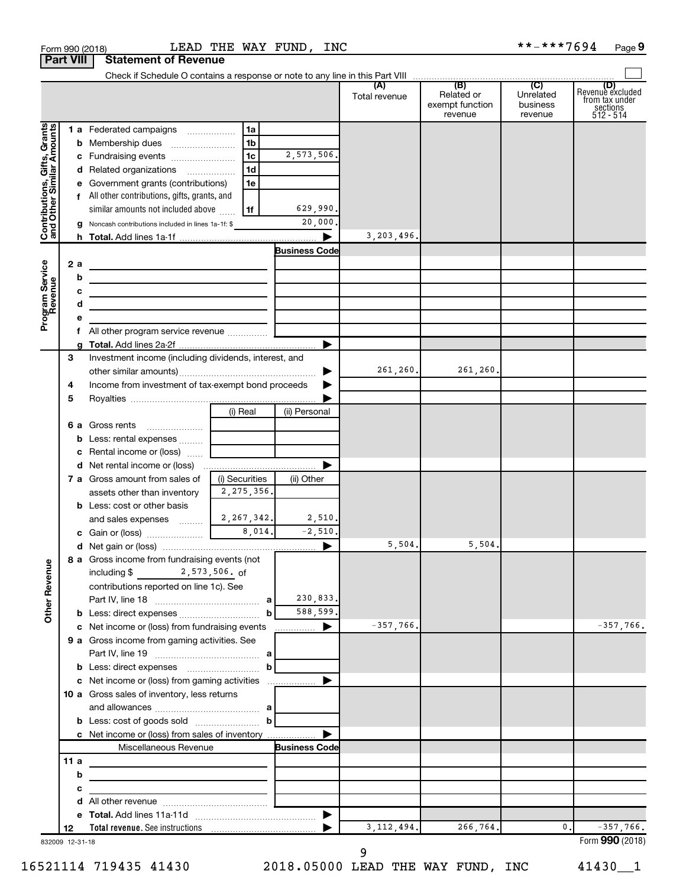|                                                           | <b>Part VIII</b> |        | <b>Statement of Revenue</b>                                                                                           |                                |    |                      |               |                                          |                                  |                                                                    |
|-----------------------------------------------------------|------------------|--------|-----------------------------------------------------------------------------------------------------------------------|--------------------------------|----|----------------------|---------------|------------------------------------------|----------------------------------|--------------------------------------------------------------------|
|                                                           |                  |        |                                                                                                                       |                                |    |                      |               |                                          |                                  |                                                                    |
|                                                           |                  |        |                                                                                                                       |                                |    |                      | Total revenue | Related or<br>exempt function<br>revenue | Unrelated<br>business<br>revenue | (D)<br>Revenue excluded<br>from tax under<br>sections<br>512 - 514 |
|                                                           |                  |        | 1 a Federated campaigns                                                                                               |                                | 1a |                      |               |                                          |                                  |                                                                    |
|                                                           |                  |        |                                                                                                                       |                                | 1b |                      |               |                                          |                                  |                                                                    |
|                                                           |                  |        |                                                                                                                       |                                | 1c | 2,573,506.           |               |                                          |                                  |                                                                    |
|                                                           |                  |        | d Related organizations                                                                                               |                                | 1d |                      |               |                                          |                                  |                                                                    |
| Contributions, Gifts, Grants<br>and Other Similar Amounts |                  |        | e Government grants (contributions)                                                                                   |                                | 1e |                      |               |                                          |                                  |                                                                    |
|                                                           |                  |        | f All other contributions, gifts, grants, and                                                                         |                                |    |                      |               |                                          |                                  |                                                                    |
|                                                           |                  |        | similar amounts not included above                                                                                    | 1f                             |    | 629,990.             |               |                                          |                                  |                                                                    |
|                                                           |                  |        | Noncash contributions included in lines 1a-1f: \$                                                                     |                                |    | 20,000.              |               |                                          |                                  |                                                                    |
|                                                           |                  |        |                                                                                                                       |                                |    |                      | 3, 203, 496.  |                                          |                                  |                                                                    |
|                                                           |                  |        |                                                                                                                       |                                |    | <b>Business Code</b> |               |                                          |                                  |                                                                    |
|                                                           | 2а               |        | <u> 1980 - Johann Barbara, martxa alemaniar a</u>                                                                     |                                |    |                      |               |                                          |                                  |                                                                    |
|                                                           |                  | b      | the control of the control of the control of the control of the control of                                            |                                |    |                      |               |                                          |                                  |                                                                    |
|                                                           |                  | c<br>d | <u> 1989 - Johann Barbara, martin amerikan basar dan berasal dalam basar dalam basar dalam basar dalam basar dala</u> |                                |    |                      |               |                                          |                                  |                                                                    |
| Program Service<br>Revenue                                |                  |        | the control of the control of the control of the control of the control of                                            |                                |    |                      |               |                                          |                                  |                                                                    |
|                                                           |                  |        |                                                                                                                       |                                |    |                      |               |                                          |                                  |                                                                    |
|                                                           |                  |        |                                                                                                                       |                                |    |                      |               |                                          |                                  |                                                                    |
|                                                           | 3                |        | Investment income (including dividends, interest, and                                                                 |                                |    |                      |               |                                          |                                  |                                                                    |
|                                                           |                  |        |                                                                                                                       |                                |    | ▶                    | 261,260.      | 261,260.                                 |                                  |                                                                    |
|                                                           | 4                |        | Income from investment of tax-exempt bond proceeds                                                                    |                                |    |                      |               |                                          |                                  |                                                                    |
|                                                           | 5                |        |                                                                                                                       |                                |    |                      |               |                                          |                                  |                                                                    |
|                                                           |                  |        |                                                                                                                       | (i) Real                       |    | (ii) Personal        |               |                                          |                                  |                                                                    |
|                                                           |                  |        | 6 a Gross rents                                                                                                       |                                |    |                      |               |                                          |                                  |                                                                    |
|                                                           |                  |        | <b>b</b> Less: rental expenses                                                                                        |                                |    |                      |               |                                          |                                  |                                                                    |
|                                                           |                  |        | c Rental income or (loss)                                                                                             |                                |    |                      |               |                                          |                                  |                                                                    |
|                                                           |                  |        |                                                                                                                       |                                |    |                      |               |                                          |                                  |                                                                    |
|                                                           |                  |        | <b>7 a</b> Gross amount from sales of<br>assets other than inventory                                                  | (i) Securities<br>2, 275, 356. |    | (ii) Other           |               |                                          |                                  |                                                                    |
|                                                           |                  |        | <b>b</b> Less: cost or other basis                                                                                    |                                |    |                      |               |                                          |                                  |                                                                    |
|                                                           |                  |        | and sales expenses $\frac{2}{3}$ 2, 267, 342.                                                                         |                                |    | 2,510.               |               |                                          |                                  |                                                                    |
|                                                           |                  |        |                                                                                                                       |                                |    | $-2,510.$            |               |                                          |                                  |                                                                    |
|                                                           |                  |        |                                                                                                                       |                                |    |                      | 5,504.        | 5,504.                                   |                                  |                                                                    |
|                                                           |                  |        | 8 a Gross income from fundraising events (not                                                                         |                                |    |                      |               |                                          |                                  |                                                                    |
| <b>Other Revenue</b>                                      |                  |        | $2,573,506.$ of<br>including \$                                                                                       |                                |    |                      |               |                                          |                                  |                                                                    |
|                                                           |                  |        | contributions reported on line 1c). See                                                                               |                                |    |                      |               |                                          |                                  |                                                                    |
|                                                           |                  |        |                                                                                                                       |                                |    | 230,833.             |               |                                          |                                  |                                                                    |
|                                                           |                  |        |                                                                                                                       |                                | b  | 588,599.             |               |                                          |                                  |                                                                    |
|                                                           |                  |        | c Net income or (loss) from fundraising events                                                                        |                                |    |                      | $-357,766.$   |                                          |                                  | $-357,766.$                                                        |
|                                                           |                  |        | 9 a Gross income from gaming activities. See                                                                          |                                |    |                      |               |                                          |                                  |                                                                    |
|                                                           |                  |        |                                                                                                                       |                                |    |                      |               |                                          |                                  |                                                                    |
|                                                           |                  |        | <b>b</b> Less: direct expenses <i>manually contained</i>                                                              |                                | b  |                      |               |                                          |                                  |                                                                    |
|                                                           |                  |        | 10 a Gross sales of inventory, less returns                                                                           |                                |    |                      |               |                                          |                                  |                                                                    |
|                                                           |                  |        |                                                                                                                       |                                |    |                      |               |                                          |                                  |                                                                    |
|                                                           |                  |        |                                                                                                                       |                                |    |                      |               |                                          |                                  |                                                                    |
|                                                           |                  |        | c Net income or (loss) from sales of inventory                                                                        |                                |    |                      |               |                                          |                                  |                                                                    |
|                                                           |                  |        | Miscellaneous Revenue                                                                                                 |                                |    | <b>Business Code</b> |               |                                          |                                  |                                                                    |
|                                                           | 11a              |        |                                                                                                                       |                                |    |                      |               |                                          |                                  |                                                                    |
|                                                           |                  | b      | the control of the control of the control of the control of the control of                                            |                                |    |                      |               |                                          |                                  |                                                                    |
|                                                           |                  | с      | the control of the control of the control of the                                                                      |                                |    |                      |               |                                          |                                  |                                                                    |
|                                                           |                  |        |                                                                                                                       |                                |    |                      |               |                                          |                                  |                                                                    |
|                                                           |                  |        |                                                                                                                       |                                |    |                      |               |                                          |                                  |                                                                    |
|                                                           | 12               |        |                                                                                                                       |                                |    |                      | 3, 112, 494.  | 266,764.                                 | 0.                               | $-357,766$ .                                                       |
|                                                           | 832009 12-31-18  |        |                                                                                                                       |                                |    |                      |               |                                          |                                  | Form 990 (2018)                                                    |

 $\frac{1}{100}$   $\frac{1}{100}$   $\frac{1}{100}$   $\frac{1}{100}$   $\frac{1}{100}$   $\frac{1}{100}$   $\frac{1}{100}$   $\frac{1}{100}$   $\frac{1}{100}$   $\frac{1}{100}$   $\frac{1}{100}$   $\frac{1}{100}$   $\frac{1}{100}$   $\frac{1}{100}$   $\frac{1}{100}$   $\frac{1}{100}$   $\frac{1}{100}$   $\frac{1}{100}$   $\frac{1$ 

LEAD THE WAY FUND, INC \*\*-\*\*\*7694

**9**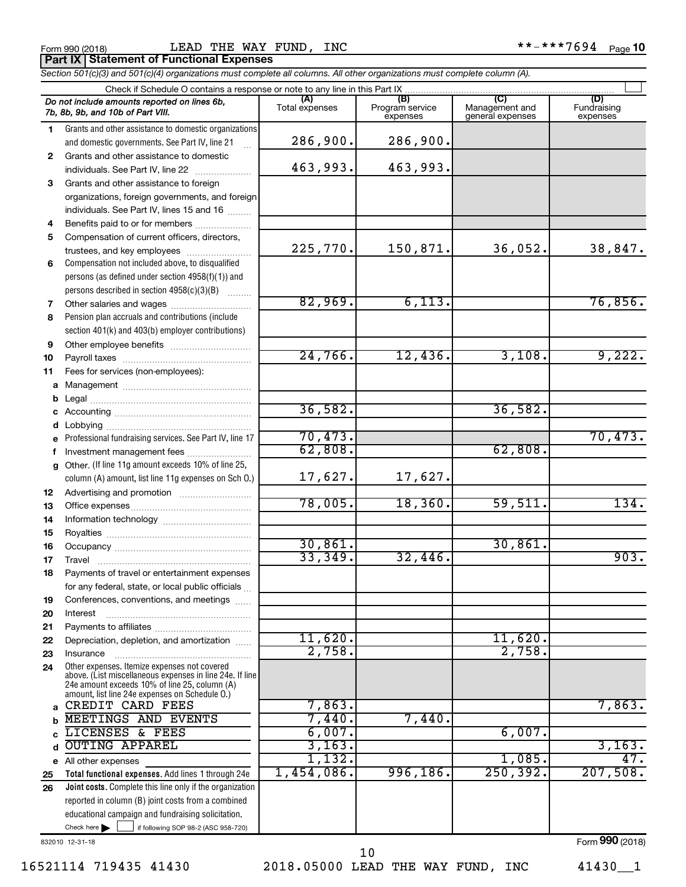|  | Form 990 (2018) |  |
|--|-----------------|--|
|  |                 |  |

Form 990 (2018) LEAD THE WAY FUND, INC \*\*-\*\*\*7694 <sub>Page</sub> **Part IX Statement of Functional Expenses**

*Section 501(c)(3) and 501(c)(4) organizations must complete all columns. All other organizations must complete column (A).*

|              | Check if Schedule O contains a response or note to any line in this Part IX                     |                       |                                    |                                           |                                |
|--------------|-------------------------------------------------------------------------------------------------|-----------------------|------------------------------------|-------------------------------------------|--------------------------------|
|              | Do not include amounts reported on lines 6b,<br>7b, 8b, 9b, and 10b of Part VIII.               | (A)<br>Total expenses | (B)<br>Program service<br>expenses | (C)<br>Management and<br>general expenses | (D)<br>Fundraising<br>expenses |
| 1.           | Grants and other assistance to domestic organizations                                           |                       |                                    |                                           |                                |
|              | and domestic governments. See Part IV, line 21                                                  | 286,900.              | 286,900.                           |                                           |                                |
| $\mathbf{2}$ | Grants and other assistance to domestic                                                         |                       |                                    |                                           |                                |
|              | individuals. See Part IV, line 22                                                               | 463,993.              | 463,993.                           |                                           |                                |
| 3            | Grants and other assistance to foreign                                                          |                       |                                    |                                           |                                |
|              | organizations, foreign governments, and foreign                                                 |                       |                                    |                                           |                                |
|              | individuals. See Part IV, lines 15 and 16                                                       |                       |                                    |                                           |                                |
| 4            | Benefits paid to or for members                                                                 |                       |                                    |                                           |                                |
| 5            | Compensation of current officers, directors,                                                    |                       |                                    |                                           |                                |
|              |                                                                                                 | 225,770.              | 150,871.                           | 36,052.                                   | 38,847.                        |
| 6            | Compensation not included above, to disqualified                                                |                       |                                    |                                           |                                |
|              | persons (as defined under section $4958(f)(1)$ ) and                                            |                       |                                    |                                           |                                |
|              | persons described in section 4958(c)(3)(B)                                                      |                       |                                    |                                           |                                |
| 7            |                                                                                                 | 82,969.               | 6,113.                             |                                           | 76,856.                        |
| 8            | Pension plan accruals and contributions (include                                                |                       |                                    |                                           |                                |
|              | section 401(k) and 403(b) employer contributions)                                               |                       |                                    |                                           |                                |
| 9            |                                                                                                 |                       |                                    |                                           |                                |
| 10           |                                                                                                 | 24,766.               | 12,436.                            | 3,108.                                    | 9,222.                         |
| 11           | Fees for services (non-employees):                                                              |                       |                                    |                                           |                                |
|              |                                                                                                 |                       |                                    |                                           |                                |
|              |                                                                                                 |                       |                                    |                                           |                                |
|              |                                                                                                 | 36,582.               |                                    | 36,582.                                   |                                |
| d            |                                                                                                 |                       |                                    |                                           |                                |
|              | e Professional fundraising services. See Part IV, line 17                                       | 70,473.               |                                    |                                           | 70,473.                        |
|              | Investment management fees                                                                      | 62,808.               |                                    | 62,808.                                   |                                |
| g            | Other. (If line 11g amount exceeds 10% of line 25,                                              |                       |                                    |                                           |                                |
|              | column (A) amount, list line 11g expenses on Sch O.)                                            | 17,627.               | 17,627.                            |                                           |                                |
| 12           |                                                                                                 |                       |                                    |                                           |                                |
| 13           |                                                                                                 | 78,005.               | 18, 360.                           | 59,511.                                   | 134.                           |
| 14           |                                                                                                 |                       |                                    |                                           |                                |
| 15           |                                                                                                 |                       |                                    |                                           |                                |
| 16           |                                                                                                 | 30,861.<br>33,349.    |                                    | 30,861.                                   | 903.                           |
| 17           |                                                                                                 |                       | 32,446.                            |                                           |                                |
| 18           | Payments of travel or entertainment expenses                                                    |                       |                                    |                                           |                                |
|              | for any federal, state, or local public officials                                               |                       |                                    |                                           |                                |
| 19           | Conferences, conventions, and meetings                                                          |                       |                                    |                                           |                                |
| 20           | Interest                                                                                        |                       |                                    |                                           |                                |
| 21           |                                                                                                 | 11,620.               |                                    | 11,620.                                   |                                |
| 22           | Depreciation, depletion, and amortization                                                       | 2,758.                |                                    | 2,758.                                    |                                |
| 23<br>24     | Insurance<br>Other expenses. Itemize expenses not covered                                       |                       |                                    |                                           |                                |
|              | above. (List miscellaneous expenses in line 24e. If line                                        |                       |                                    |                                           |                                |
|              | 24e amount exceeds 10% of line 25, column (A)<br>amount, list line 24e expenses on Schedule O.) |                       |                                    |                                           |                                |
| a            | CREDIT CARD FEES                                                                                | 7,863.                |                                    |                                           | 7,863.                         |
|              | MEETINGS AND EVENTS                                                                             | 7,440.                | 7,440.                             |                                           |                                |
|              | LICENSES & FEES                                                                                 | 6,007.                |                                    | 6,007.                                    |                                |
|              | <b>OUTING APPAREL</b>                                                                           | 3,163.                |                                    |                                           | 3,163.                         |
|              | e All other expenses                                                                            | 1,132.                |                                    | 1,085.                                    | 47.                            |
| 25           | Total functional expenses. Add lines 1 through 24e                                              | 1,454,086.            | 996,186.                           | 250, 392.                                 | 207,508.                       |
| 26           | Joint costs. Complete this line only if the organization                                        |                       |                                    |                                           |                                |
|              | reported in column (B) joint costs from a combined                                              |                       |                                    |                                           |                                |
|              | educational campaign and fundraising solicitation.                                              |                       |                                    |                                           |                                |
|              | Check here<br>if following SOP 98-2 (ASC 958-720)                                               |                       |                                    |                                           |                                |
|              | 832010 12-31-18                                                                                 |                       |                                    |                                           | Form 990 (2018)                |

16521114 719435 41430 2018.05000 LEAD THE WAY FUND, INC 41430\_\_1

10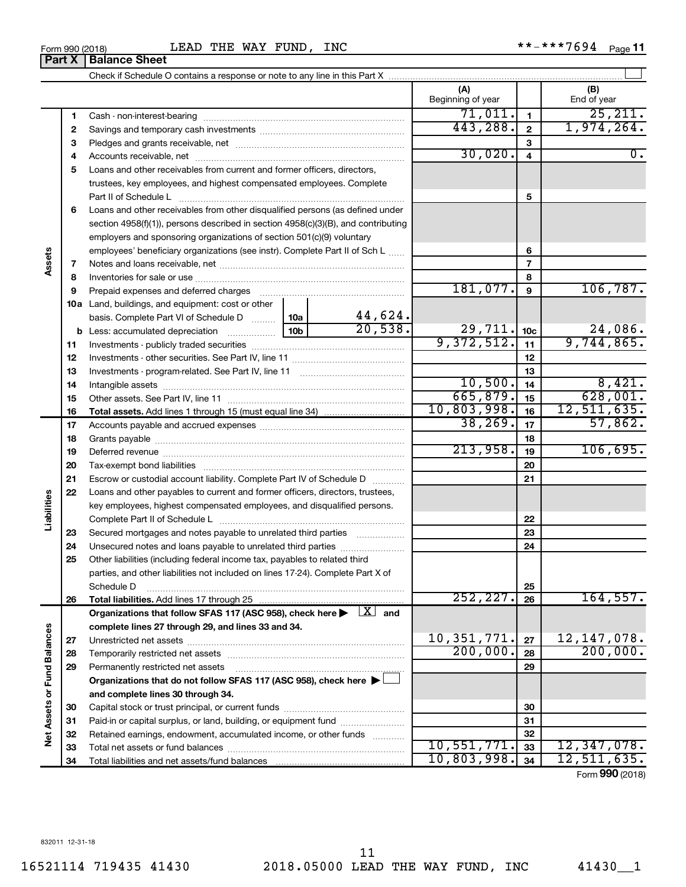# Check if Schedule O contains a response or note to any line in this Part X

**Part X** | Balance Sheet

| (A)<br>(B)<br>Beginning of year<br>End of year<br>71,011.<br>$\mathbf{1}$<br>1<br>1,974,264.<br>443,288.<br>$\mathbf{2}$<br>2<br>3<br>З<br>30,020.<br>$\overline{4}$<br>4<br>Loans and other receivables from current and former officers, directors,<br>5<br>trustees, key employees, and highest compensated employees. Complete<br>5<br>Part II of Schedule L<br>Loans and other receivables from other disqualified persons (as defined under<br>6<br>section 4958(f)(1)), persons described in section 4958(c)(3)(B), and contributing<br>employers and sponsoring organizations of section 501(c)(9) voluntary<br>employees' beneficiary organizations (see instr). Complete Part II of Sch L<br>6<br>Assets<br>$\overline{7}$<br>7<br>8<br>8<br>181,077.<br>106, 787.<br>$\mathbf{9}$<br>9<br><b>10a</b> Land, buildings, and equipment: cost or other<br>44,624.<br>10a  <br>basis. Complete Part VI of Schedule D<br>20,538.<br>24,086.<br>$29,711.$ 10c<br>10 <sub>b</sub><br>9,372,512.<br>9,744,865.<br>11<br>11<br>12<br>12<br>13<br>13<br>10,500.<br>8,421.<br>14<br>14<br>628,001.<br>665,879.<br>15<br>15<br>10,803,998.<br>12,511,635.<br>16<br>16<br>38, 269.<br>57,862.<br>17<br>17<br>18<br>18<br>213,958.<br>106,695.<br>19<br>19<br>20<br>20<br>21<br>21<br>Escrow or custodial account liability. Complete Part IV of Schedule D<br>22<br>Loans and other payables to current and former officers, directors, trustees,<br>Liabilities<br>key employees, highest compensated employees, and disqualified persons. |  |  |  |  |  |                  |
|------------------------------------------------------------------------------------------------------------------------------------------------------------------------------------------------------------------------------------------------------------------------------------------------------------------------------------------------------------------------------------------------------------------------------------------------------------------------------------------------------------------------------------------------------------------------------------------------------------------------------------------------------------------------------------------------------------------------------------------------------------------------------------------------------------------------------------------------------------------------------------------------------------------------------------------------------------------------------------------------------------------------------------------------------------------------------------------------------------------------------------------------------------------------------------------------------------------------------------------------------------------------------------------------------------------------------------------------------------------------------------------------------------------------------------------------------------------------------------------------------------------------------------------|--|--|--|--|--|------------------|
|                                                                                                                                                                                                                                                                                                                                                                                                                                                                                                                                                                                                                                                                                                                                                                                                                                                                                                                                                                                                                                                                                                                                                                                                                                                                                                                                                                                                                                                                                                                                          |  |  |  |  |  |                  |
|                                                                                                                                                                                                                                                                                                                                                                                                                                                                                                                                                                                                                                                                                                                                                                                                                                                                                                                                                                                                                                                                                                                                                                                                                                                                                                                                                                                                                                                                                                                                          |  |  |  |  |  | 25,211.          |
|                                                                                                                                                                                                                                                                                                                                                                                                                                                                                                                                                                                                                                                                                                                                                                                                                                                                                                                                                                                                                                                                                                                                                                                                                                                                                                                                                                                                                                                                                                                                          |  |  |  |  |  |                  |
|                                                                                                                                                                                                                                                                                                                                                                                                                                                                                                                                                                                                                                                                                                                                                                                                                                                                                                                                                                                                                                                                                                                                                                                                                                                                                                                                                                                                                                                                                                                                          |  |  |  |  |  |                  |
|                                                                                                                                                                                                                                                                                                                                                                                                                                                                                                                                                                                                                                                                                                                                                                                                                                                                                                                                                                                                                                                                                                                                                                                                                                                                                                                                                                                                                                                                                                                                          |  |  |  |  |  | $\overline{0}$ . |
|                                                                                                                                                                                                                                                                                                                                                                                                                                                                                                                                                                                                                                                                                                                                                                                                                                                                                                                                                                                                                                                                                                                                                                                                                                                                                                                                                                                                                                                                                                                                          |  |  |  |  |  |                  |
|                                                                                                                                                                                                                                                                                                                                                                                                                                                                                                                                                                                                                                                                                                                                                                                                                                                                                                                                                                                                                                                                                                                                                                                                                                                                                                                                                                                                                                                                                                                                          |  |  |  |  |  |                  |
|                                                                                                                                                                                                                                                                                                                                                                                                                                                                                                                                                                                                                                                                                                                                                                                                                                                                                                                                                                                                                                                                                                                                                                                                                                                                                                                                                                                                                                                                                                                                          |  |  |  |  |  |                  |
|                                                                                                                                                                                                                                                                                                                                                                                                                                                                                                                                                                                                                                                                                                                                                                                                                                                                                                                                                                                                                                                                                                                                                                                                                                                                                                                                                                                                                                                                                                                                          |  |  |  |  |  |                  |
|                                                                                                                                                                                                                                                                                                                                                                                                                                                                                                                                                                                                                                                                                                                                                                                                                                                                                                                                                                                                                                                                                                                                                                                                                                                                                                                                                                                                                                                                                                                                          |  |  |  |  |  |                  |
|                                                                                                                                                                                                                                                                                                                                                                                                                                                                                                                                                                                                                                                                                                                                                                                                                                                                                                                                                                                                                                                                                                                                                                                                                                                                                                                                                                                                                                                                                                                                          |  |  |  |  |  |                  |
|                                                                                                                                                                                                                                                                                                                                                                                                                                                                                                                                                                                                                                                                                                                                                                                                                                                                                                                                                                                                                                                                                                                                                                                                                                                                                                                                                                                                                                                                                                                                          |  |  |  |  |  |                  |
|                                                                                                                                                                                                                                                                                                                                                                                                                                                                                                                                                                                                                                                                                                                                                                                                                                                                                                                                                                                                                                                                                                                                                                                                                                                                                                                                                                                                                                                                                                                                          |  |  |  |  |  |                  |
|                                                                                                                                                                                                                                                                                                                                                                                                                                                                                                                                                                                                                                                                                                                                                                                                                                                                                                                                                                                                                                                                                                                                                                                                                                                                                                                                                                                                                                                                                                                                          |  |  |  |  |  |                  |
|                                                                                                                                                                                                                                                                                                                                                                                                                                                                                                                                                                                                                                                                                                                                                                                                                                                                                                                                                                                                                                                                                                                                                                                                                                                                                                                                                                                                                                                                                                                                          |  |  |  |  |  |                  |
|                                                                                                                                                                                                                                                                                                                                                                                                                                                                                                                                                                                                                                                                                                                                                                                                                                                                                                                                                                                                                                                                                                                                                                                                                                                                                                                                                                                                                                                                                                                                          |  |  |  |  |  |                  |
|                                                                                                                                                                                                                                                                                                                                                                                                                                                                                                                                                                                                                                                                                                                                                                                                                                                                                                                                                                                                                                                                                                                                                                                                                                                                                                                                                                                                                                                                                                                                          |  |  |  |  |  |                  |
|                                                                                                                                                                                                                                                                                                                                                                                                                                                                                                                                                                                                                                                                                                                                                                                                                                                                                                                                                                                                                                                                                                                                                                                                                                                                                                                                                                                                                                                                                                                                          |  |  |  |  |  |                  |
|                                                                                                                                                                                                                                                                                                                                                                                                                                                                                                                                                                                                                                                                                                                                                                                                                                                                                                                                                                                                                                                                                                                                                                                                                                                                                                                                                                                                                                                                                                                                          |  |  |  |  |  |                  |
|                                                                                                                                                                                                                                                                                                                                                                                                                                                                                                                                                                                                                                                                                                                                                                                                                                                                                                                                                                                                                                                                                                                                                                                                                                                                                                                                                                                                                                                                                                                                          |  |  |  |  |  |                  |
|                                                                                                                                                                                                                                                                                                                                                                                                                                                                                                                                                                                                                                                                                                                                                                                                                                                                                                                                                                                                                                                                                                                                                                                                                                                                                                                                                                                                                                                                                                                                          |  |  |  |  |  |                  |
|                                                                                                                                                                                                                                                                                                                                                                                                                                                                                                                                                                                                                                                                                                                                                                                                                                                                                                                                                                                                                                                                                                                                                                                                                                                                                                                                                                                                                                                                                                                                          |  |  |  |  |  |                  |
|                                                                                                                                                                                                                                                                                                                                                                                                                                                                                                                                                                                                                                                                                                                                                                                                                                                                                                                                                                                                                                                                                                                                                                                                                                                                                                                                                                                                                                                                                                                                          |  |  |  |  |  |                  |
|                                                                                                                                                                                                                                                                                                                                                                                                                                                                                                                                                                                                                                                                                                                                                                                                                                                                                                                                                                                                                                                                                                                                                                                                                                                                                                                                                                                                                                                                                                                                          |  |  |  |  |  |                  |
|                                                                                                                                                                                                                                                                                                                                                                                                                                                                                                                                                                                                                                                                                                                                                                                                                                                                                                                                                                                                                                                                                                                                                                                                                                                                                                                                                                                                                                                                                                                                          |  |  |  |  |  |                  |
|                                                                                                                                                                                                                                                                                                                                                                                                                                                                                                                                                                                                                                                                                                                                                                                                                                                                                                                                                                                                                                                                                                                                                                                                                                                                                                                                                                                                                                                                                                                                          |  |  |  |  |  |                  |
|                                                                                                                                                                                                                                                                                                                                                                                                                                                                                                                                                                                                                                                                                                                                                                                                                                                                                                                                                                                                                                                                                                                                                                                                                                                                                                                                                                                                                                                                                                                                          |  |  |  |  |  |                  |
|                                                                                                                                                                                                                                                                                                                                                                                                                                                                                                                                                                                                                                                                                                                                                                                                                                                                                                                                                                                                                                                                                                                                                                                                                                                                                                                                                                                                                                                                                                                                          |  |  |  |  |  |                  |
|                                                                                                                                                                                                                                                                                                                                                                                                                                                                                                                                                                                                                                                                                                                                                                                                                                                                                                                                                                                                                                                                                                                                                                                                                                                                                                                                                                                                                                                                                                                                          |  |  |  |  |  |                  |
|                                                                                                                                                                                                                                                                                                                                                                                                                                                                                                                                                                                                                                                                                                                                                                                                                                                                                                                                                                                                                                                                                                                                                                                                                                                                                                                                                                                                                                                                                                                                          |  |  |  |  |  |                  |
| 22                                                                                                                                                                                                                                                                                                                                                                                                                                                                                                                                                                                                                                                                                                                                                                                                                                                                                                                                                                                                                                                                                                                                                                                                                                                                                                                                                                                                                                                                                                                                       |  |  |  |  |  |                  |
| 23<br>Secured mortgages and notes payable to unrelated third parties<br>23                                                                                                                                                                                                                                                                                                                                                                                                                                                                                                                                                                                                                                                                                                                                                                                                                                                                                                                                                                                                                                                                                                                                                                                                                                                                                                                                                                                                                                                               |  |  |  |  |  |                  |
| 24<br>24                                                                                                                                                                                                                                                                                                                                                                                                                                                                                                                                                                                                                                                                                                                                                                                                                                                                                                                                                                                                                                                                                                                                                                                                                                                                                                                                                                                                                                                                                                                                 |  |  |  |  |  |                  |
| 25<br>Other liabilities (including federal income tax, payables to related third                                                                                                                                                                                                                                                                                                                                                                                                                                                                                                                                                                                                                                                                                                                                                                                                                                                                                                                                                                                                                                                                                                                                                                                                                                                                                                                                                                                                                                                         |  |  |  |  |  |                  |
| parties, and other liabilities not included on lines 17-24). Complete Part X of                                                                                                                                                                                                                                                                                                                                                                                                                                                                                                                                                                                                                                                                                                                                                                                                                                                                                                                                                                                                                                                                                                                                                                                                                                                                                                                                                                                                                                                          |  |  |  |  |  |                  |
| 25<br>Schedule D                                                                                                                                                                                                                                                                                                                                                                                                                                                                                                                                                                                                                                                                                                                                                                                                                                                                                                                                                                                                                                                                                                                                                                                                                                                                                                                                                                                                                                                                                                                         |  |  |  |  |  |                  |
| 252, 227.<br>26<br>26                                                                                                                                                                                                                                                                                                                                                                                                                                                                                                                                                                                                                                                                                                                                                                                                                                                                                                                                                                                                                                                                                                                                                                                                                                                                                                                                                                                                                                                                                                                    |  |  |  |  |  | 164,557.         |
| Organizations that follow SFAS 117 (ASC 958), check here $\blacktriangleright \begin{array}{c} \perp X \\ \perp \end{array}$ and                                                                                                                                                                                                                                                                                                                                                                                                                                                                                                                                                                                                                                                                                                                                                                                                                                                                                                                                                                                                                                                                                                                                                                                                                                                                                                                                                                                                         |  |  |  |  |  |                  |
| complete lines 27 through 29, and lines 33 and 34.                                                                                                                                                                                                                                                                                                                                                                                                                                                                                                                                                                                                                                                                                                                                                                                                                                                                                                                                                                                                                                                                                                                                                                                                                                                                                                                                                                                                                                                                                       |  |  |  |  |  |                  |
| 10, 351, 771.<br>27<br>27                                                                                                                                                                                                                                                                                                                                                                                                                                                                                                                                                                                                                                                                                                                                                                                                                                                                                                                                                                                                                                                                                                                                                                                                                                                                                                                                                                                                                                                                                                                |  |  |  |  |  | 12, 147, 078.    |
| 200,000.<br>28<br>28                                                                                                                                                                                                                                                                                                                                                                                                                                                                                                                                                                                                                                                                                                                                                                                                                                                                                                                                                                                                                                                                                                                                                                                                                                                                                                                                                                                                                                                                                                                     |  |  |  |  |  | 200,000.         |
| 29<br>29<br>Permanently restricted net assets                                                                                                                                                                                                                                                                                                                                                                                                                                                                                                                                                                                                                                                                                                                                                                                                                                                                                                                                                                                                                                                                                                                                                                                                                                                                                                                                                                                                                                                                                            |  |  |  |  |  |                  |
| Organizations that do not follow SFAS 117 (ASC 958), check here $\blacktriangleright\Box$                                                                                                                                                                                                                                                                                                                                                                                                                                                                                                                                                                                                                                                                                                                                                                                                                                                                                                                                                                                                                                                                                                                                                                                                                                                                                                                                                                                                                                                |  |  |  |  |  |                  |
| Net Assets or Fund Balances<br>and complete lines 30 through 34.                                                                                                                                                                                                                                                                                                                                                                                                                                                                                                                                                                                                                                                                                                                                                                                                                                                                                                                                                                                                                                                                                                                                                                                                                                                                                                                                                                                                                                                                         |  |  |  |  |  |                  |
| 30<br>30                                                                                                                                                                                                                                                                                                                                                                                                                                                                                                                                                                                                                                                                                                                                                                                                                                                                                                                                                                                                                                                                                                                                                                                                                                                                                                                                                                                                                                                                                                                                 |  |  |  |  |  |                  |
| Paid-in or capital surplus, or land, building, or equipment fund<br>31<br>31                                                                                                                                                                                                                                                                                                                                                                                                                                                                                                                                                                                                                                                                                                                                                                                                                                                                                                                                                                                                                                                                                                                                                                                                                                                                                                                                                                                                                                                             |  |  |  |  |  |                  |
| 32<br>Retained earnings, endowment, accumulated income, or other funds<br>32<br>10,551,771.                                                                                                                                                                                                                                                                                                                                                                                                                                                                                                                                                                                                                                                                                                                                                                                                                                                                                                                                                                                                                                                                                                                                                                                                                                                                                                                                                                                                                                              |  |  |  |  |  | 12,347,078.      |
| 33<br>33<br>10,803,998.<br>34                                                                                                                                                                                                                                                                                                                                                                                                                                                                                                                                                                                                                                                                                                                                                                                                                                                                                                                                                                                                                                                                                                                                                                                                                                                                                                                                                                                                                                                                                                            |  |  |  |  |  | 12,511,635.      |
| 34                                                                                                                                                                                                                                                                                                                                                                                                                                                                                                                                                                                                                                                                                                                                                                                                                                                                                                                                                                                                                                                                                                                                                                                                                                                                                                                                                                                                                                                                                                                                       |  |  |  |  |  | Form 990 (2018)  |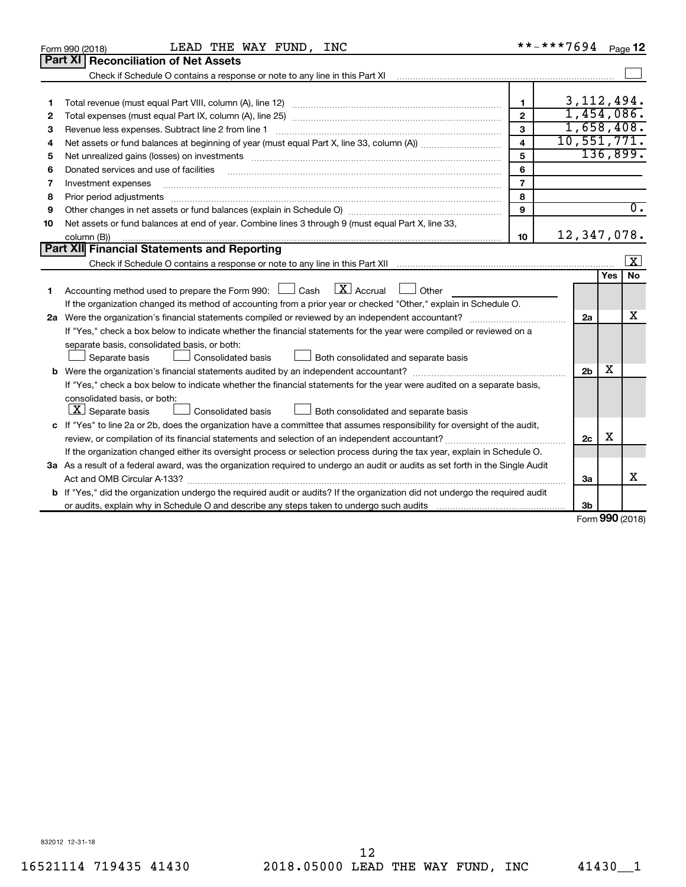| Part XI   Reconciliation of Net Assets<br>3, 112, 494.<br>$\mathbf{1}$<br>1<br>1,454,086.<br>$\overline{2}$<br>2<br>1,658,408.<br>3<br>Revenue less expenses. Subtract line 2 from line 1<br>3<br>10, 551, 771.<br>$\mathbf{A}$<br>4<br>136,899.<br>5<br>Net unrealized gains (losses) on investments [11] matter contracts and the state of the state of the state of the state of the state of the state of the state of the state of the state of the state of the state of the stat<br>5<br>6<br>Donated services and use of facilities<br>6<br>$\overline{7}$<br>Investment expenses<br>7<br>8<br>8<br>Prior period adjustments<br>$\overline{0}$ .<br>9<br>9<br>Net assets or fund balances at end of year. Combine lines 3 through 9 (must equal Part X, line 33,<br>10<br>12,347,078.<br>10<br>column (B))<br>Part XII Financial Statements and Reporting<br>$\lfloor x \rfloor$<br><b>No</b><br>Yes<br>Accounting method used to prepare the Form 990: $\Box$ Cash $\Box$ Accrual<br>$\Box$ Other<br>1<br>If the organization changed its method of accounting from a prior year or checked "Other," explain in Schedule O.<br>x<br>2a<br>If "Yes," check a box below to indicate whether the financial statements for the year were compiled or reviewed on a<br>separate basis, consolidated basis, or both:<br>Both consolidated and separate basis<br>Separate basis<br>Consolidated basis<br>X<br>2 <sub>b</sub><br>If "Yes," check a box below to indicate whether the financial statements for the year were audited on a separate basis,<br>consolidated basis, or both:<br>$ \mathbf{X} $ Separate basis<br>Consolidated basis<br>Both consolidated and separate basis<br>c If "Yes" to line 2a or 2b, does the organization have a committee that assumes responsibility for oversight of the audit,<br>X<br>2c<br>If the organization changed either its oversight process or selection process during the tax year, explain in Schedule O.<br>3a As a result of a federal award, was the organization required to undergo an audit or audits as set forth in the Single Audit<br>x<br>Act and OMB Circular A-133?<br>3a<br>b If "Yes," did the organization undergo the required audit or audits? If the organization did not undergo the required audit<br>or audits, explain why in Schedule O and describe any steps taken to undergo such audits material content conte<br>3b<br>$\sim$ | LEAD THE WAY FUND, INC<br>Form 990 (2018) |  | **-***7694 |  | Page 12 |  |  |
|------------------------------------------------------------------------------------------------------------------------------------------------------------------------------------------------------------------------------------------------------------------------------------------------------------------------------------------------------------------------------------------------------------------------------------------------------------------------------------------------------------------------------------------------------------------------------------------------------------------------------------------------------------------------------------------------------------------------------------------------------------------------------------------------------------------------------------------------------------------------------------------------------------------------------------------------------------------------------------------------------------------------------------------------------------------------------------------------------------------------------------------------------------------------------------------------------------------------------------------------------------------------------------------------------------------------------------------------------------------------------------------------------------------------------------------------------------------------------------------------------------------------------------------------------------------------------------------------------------------------------------------------------------------------------------------------------------------------------------------------------------------------------------------------------------------------------------------------------------------------------------------------------------------------------------------------------------------------------------------------------------------------------------------------------------------------------------------------------------------------------------------------------------------------------------------------------------------------------------------------------------------------------------------------------------------------------------------------------------------------------------------------------------------|-------------------------------------------|--|------------|--|---------|--|--|
|                                                                                                                                                                                                                                                                                                                                                                                                                                                                                                                                                                                                                                                                                                                                                                                                                                                                                                                                                                                                                                                                                                                                                                                                                                                                                                                                                                                                                                                                                                                                                                                                                                                                                                                                                                                                                                                                                                                                                                                                                                                                                                                                                                                                                                                                                                                                                                                                                  |                                           |  |            |  |         |  |  |
|                                                                                                                                                                                                                                                                                                                                                                                                                                                                                                                                                                                                                                                                                                                                                                                                                                                                                                                                                                                                                                                                                                                                                                                                                                                                                                                                                                                                                                                                                                                                                                                                                                                                                                                                                                                                                                                                                                                                                                                                                                                                                                                                                                                                                                                                                                                                                                                                                  |                                           |  |            |  |         |  |  |
|                                                                                                                                                                                                                                                                                                                                                                                                                                                                                                                                                                                                                                                                                                                                                                                                                                                                                                                                                                                                                                                                                                                                                                                                                                                                                                                                                                                                                                                                                                                                                                                                                                                                                                                                                                                                                                                                                                                                                                                                                                                                                                                                                                                                                                                                                                                                                                                                                  |                                           |  |            |  |         |  |  |
|                                                                                                                                                                                                                                                                                                                                                                                                                                                                                                                                                                                                                                                                                                                                                                                                                                                                                                                                                                                                                                                                                                                                                                                                                                                                                                                                                                                                                                                                                                                                                                                                                                                                                                                                                                                                                                                                                                                                                                                                                                                                                                                                                                                                                                                                                                                                                                                                                  |                                           |  |            |  |         |  |  |
|                                                                                                                                                                                                                                                                                                                                                                                                                                                                                                                                                                                                                                                                                                                                                                                                                                                                                                                                                                                                                                                                                                                                                                                                                                                                                                                                                                                                                                                                                                                                                                                                                                                                                                                                                                                                                                                                                                                                                                                                                                                                                                                                                                                                                                                                                                                                                                                                                  |                                           |  |            |  |         |  |  |
|                                                                                                                                                                                                                                                                                                                                                                                                                                                                                                                                                                                                                                                                                                                                                                                                                                                                                                                                                                                                                                                                                                                                                                                                                                                                                                                                                                                                                                                                                                                                                                                                                                                                                                                                                                                                                                                                                                                                                                                                                                                                                                                                                                                                                                                                                                                                                                                                                  |                                           |  |            |  |         |  |  |
|                                                                                                                                                                                                                                                                                                                                                                                                                                                                                                                                                                                                                                                                                                                                                                                                                                                                                                                                                                                                                                                                                                                                                                                                                                                                                                                                                                                                                                                                                                                                                                                                                                                                                                                                                                                                                                                                                                                                                                                                                                                                                                                                                                                                                                                                                                                                                                                                                  |                                           |  |            |  |         |  |  |
|                                                                                                                                                                                                                                                                                                                                                                                                                                                                                                                                                                                                                                                                                                                                                                                                                                                                                                                                                                                                                                                                                                                                                                                                                                                                                                                                                                                                                                                                                                                                                                                                                                                                                                                                                                                                                                                                                                                                                                                                                                                                                                                                                                                                                                                                                                                                                                                                                  |                                           |  |            |  |         |  |  |
|                                                                                                                                                                                                                                                                                                                                                                                                                                                                                                                                                                                                                                                                                                                                                                                                                                                                                                                                                                                                                                                                                                                                                                                                                                                                                                                                                                                                                                                                                                                                                                                                                                                                                                                                                                                                                                                                                                                                                                                                                                                                                                                                                                                                                                                                                                                                                                                                                  |                                           |  |            |  |         |  |  |
|                                                                                                                                                                                                                                                                                                                                                                                                                                                                                                                                                                                                                                                                                                                                                                                                                                                                                                                                                                                                                                                                                                                                                                                                                                                                                                                                                                                                                                                                                                                                                                                                                                                                                                                                                                                                                                                                                                                                                                                                                                                                                                                                                                                                                                                                                                                                                                                                                  |                                           |  |            |  |         |  |  |
|                                                                                                                                                                                                                                                                                                                                                                                                                                                                                                                                                                                                                                                                                                                                                                                                                                                                                                                                                                                                                                                                                                                                                                                                                                                                                                                                                                                                                                                                                                                                                                                                                                                                                                                                                                                                                                                                                                                                                                                                                                                                                                                                                                                                                                                                                                                                                                                                                  |                                           |  |            |  |         |  |  |
|                                                                                                                                                                                                                                                                                                                                                                                                                                                                                                                                                                                                                                                                                                                                                                                                                                                                                                                                                                                                                                                                                                                                                                                                                                                                                                                                                                                                                                                                                                                                                                                                                                                                                                                                                                                                                                                                                                                                                                                                                                                                                                                                                                                                                                                                                                                                                                                                                  |                                           |  |            |  |         |  |  |
|                                                                                                                                                                                                                                                                                                                                                                                                                                                                                                                                                                                                                                                                                                                                                                                                                                                                                                                                                                                                                                                                                                                                                                                                                                                                                                                                                                                                                                                                                                                                                                                                                                                                                                                                                                                                                                                                                                                                                                                                                                                                                                                                                                                                                                                                                                                                                                                                                  |                                           |  |            |  |         |  |  |
|                                                                                                                                                                                                                                                                                                                                                                                                                                                                                                                                                                                                                                                                                                                                                                                                                                                                                                                                                                                                                                                                                                                                                                                                                                                                                                                                                                                                                                                                                                                                                                                                                                                                                                                                                                                                                                                                                                                                                                                                                                                                                                                                                                                                                                                                                                                                                                                                                  |                                           |  |            |  |         |  |  |
|                                                                                                                                                                                                                                                                                                                                                                                                                                                                                                                                                                                                                                                                                                                                                                                                                                                                                                                                                                                                                                                                                                                                                                                                                                                                                                                                                                                                                                                                                                                                                                                                                                                                                                                                                                                                                                                                                                                                                                                                                                                                                                                                                                                                                                                                                                                                                                                                                  |                                           |  |            |  |         |  |  |
|                                                                                                                                                                                                                                                                                                                                                                                                                                                                                                                                                                                                                                                                                                                                                                                                                                                                                                                                                                                                                                                                                                                                                                                                                                                                                                                                                                                                                                                                                                                                                                                                                                                                                                                                                                                                                                                                                                                                                                                                                                                                                                                                                                                                                                                                                                                                                                                                                  |                                           |  |            |  |         |  |  |
|                                                                                                                                                                                                                                                                                                                                                                                                                                                                                                                                                                                                                                                                                                                                                                                                                                                                                                                                                                                                                                                                                                                                                                                                                                                                                                                                                                                                                                                                                                                                                                                                                                                                                                                                                                                                                                                                                                                                                                                                                                                                                                                                                                                                                                                                                                                                                                                                                  |                                           |  |            |  |         |  |  |
|                                                                                                                                                                                                                                                                                                                                                                                                                                                                                                                                                                                                                                                                                                                                                                                                                                                                                                                                                                                                                                                                                                                                                                                                                                                                                                                                                                                                                                                                                                                                                                                                                                                                                                                                                                                                                                                                                                                                                                                                                                                                                                                                                                                                                                                                                                                                                                                                                  |                                           |  |            |  |         |  |  |
|                                                                                                                                                                                                                                                                                                                                                                                                                                                                                                                                                                                                                                                                                                                                                                                                                                                                                                                                                                                                                                                                                                                                                                                                                                                                                                                                                                                                                                                                                                                                                                                                                                                                                                                                                                                                                                                                                                                                                                                                                                                                                                                                                                                                                                                                                                                                                                                                                  |                                           |  |            |  |         |  |  |
|                                                                                                                                                                                                                                                                                                                                                                                                                                                                                                                                                                                                                                                                                                                                                                                                                                                                                                                                                                                                                                                                                                                                                                                                                                                                                                                                                                                                                                                                                                                                                                                                                                                                                                                                                                                                                                                                                                                                                                                                                                                                                                                                                                                                                                                                                                                                                                                                                  |                                           |  |            |  |         |  |  |
|                                                                                                                                                                                                                                                                                                                                                                                                                                                                                                                                                                                                                                                                                                                                                                                                                                                                                                                                                                                                                                                                                                                                                                                                                                                                                                                                                                                                                                                                                                                                                                                                                                                                                                                                                                                                                                                                                                                                                                                                                                                                                                                                                                                                                                                                                                                                                                                                                  |                                           |  |            |  |         |  |  |
|                                                                                                                                                                                                                                                                                                                                                                                                                                                                                                                                                                                                                                                                                                                                                                                                                                                                                                                                                                                                                                                                                                                                                                                                                                                                                                                                                                                                                                                                                                                                                                                                                                                                                                                                                                                                                                                                                                                                                                                                                                                                                                                                                                                                                                                                                                                                                                                                                  |                                           |  |            |  |         |  |  |
|                                                                                                                                                                                                                                                                                                                                                                                                                                                                                                                                                                                                                                                                                                                                                                                                                                                                                                                                                                                                                                                                                                                                                                                                                                                                                                                                                                                                                                                                                                                                                                                                                                                                                                                                                                                                                                                                                                                                                                                                                                                                                                                                                                                                                                                                                                                                                                                                                  |                                           |  |            |  |         |  |  |
|                                                                                                                                                                                                                                                                                                                                                                                                                                                                                                                                                                                                                                                                                                                                                                                                                                                                                                                                                                                                                                                                                                                                                                                                                                                                                                                                                                                                                                                                                                                                                                                                                                                                                                                                                                                                                                                                                                                                                                                                                                                                                                                                                                                                                                                                                                                                                                                                                  |                                           |  |            |  |         |  |  |
|                                                                                                                                                                                                                                                                                                                                                                                                                                                                                                                                                                                                                                                                                                                                                                                                                                                                                                                                                                                                                                                                                                                                                                                                                                                                                                                                                                                                                                                                                                                                                                                                                                                                                                                                                                                                                                                                                                                                                                                                                                                                                                                                                                                                                                                                                                                                                                                                                  |                                           |  |            |  |         |  |  |
|                                                                                                                                                                                                                                                                                                                                                                                                                                                                                                                                                                                                                                                                                                                                                                                                                                                                                                                                                                                                                                                                                                                                                                                                                                                                                                                                                                                                                                                                                                                                                                                                                                                                                                                                                                                                                                                                                                                                                                                                                                                                                                                                                                                                                                                                                                                                                                                                                  |                                           |  |            |  |         |  |  |
|                                                                                                                                                                                                                                                                                                                                                                                                                                                                                                                                                                                                                                                                                                                                                                                                                                                                                                                                                                                                                                                                                                                                                                                                                                                                                                                                                                                                                                                                                                                                                                                                                                                                                                                                                                                                                                                                                                                                                                                                                                                                                                                                                                                                                                                                                                                                                                                                                  |                                           |  |            |  |         |  |  |
|                                                                                                                                                                                                                                                                                                                                                                                                                                                                                                                                                                                                                                                                                                                                                                                                                                                                                                                                                                                                                                                                                                                                                                                                                                                                                                                                                                                                                                                                                                                                                                                                                                                                                                                                                                                                                                                                                                                                                                                                                                                                                                                                                                                                                                                                                                                                                                                                                  |                                           |  |            |  |         |  |  |
|                                                                                                                                                                                                                                                                                                                                                                                                                                                                                                                                                                                                                                                                                                                                                                                                                                                                                                                                                                                                                                                                                                                                                                                                                                                                                                                                                                                                                                                                                                                                                                                                                                                                                                                                                                                                                                                                                                                                                                                                                                                                                                                                                                                                                                                                                                                                                                                                                  |                                           |  |            |  |         |  |  |
|                                                                                                                                                                                                                                                                                                                                                                                                                                                                                                                                                                                                                                                                                                                                                                                                                                                                                                                                                                                                                                                                                                                                                                                                                                                                                                                                                                                                                                                                                                                                                                                                                                                                                                                                                                                                                                                                                                                                                                                                                                                                                                                                                                                                                                                                                                                                                                                                                  |                                           |  |            |  |         |  |  |
|                                                                                                                                                                                                                                                                                                                                                                                                                                                                                                                                                                                                                                                                                                                                                                                                                                                                                                                                                                                                                                                                                                                                                                                                                                                                                                                                                                                                                                                                                                                                                                                                                                                                                                                                                                                                                                                                                                                                                                                                                                                                                                                                                                                                                                                                                                                                                                                                                  |                                           |  |            |  |         |  |  |
|                                                                                                                                                                                                                                                                                                                                                                                                                                                                                                                                                                                                                                                                                                                                                                                                                                                                                                                                                                                                                                                                                                                                                                                                                                                                                                                                                                                                                                                                                                                                                                                                                                                                                                                                                                                                                                                                                                                                                                                                                                                                                                                                                                                                                                                                                                                                                                                                                  |                                           |  |            |  |         |  |  |
|                                                                                                                                                                                                                                                                                                                                                                                                                                                                                                                                                                                                                                                                                                                                                                                                                                                                                                                                                                                                                                                                                                                                                                                                                                                                                                                                                                                                                                                                                                                                                                                                                                                                                                                                                                                                                                                                                                                                                                                                                                                                                                                                                                                                                                                                                                                                                                                                                  |                                           |  |            |  |         |  |  |
|                                                                                                                                                                                                                                                                                                                                                                                                                                                                                                                                                                                                                                                                                                                                                                                                                                                                                                                                                                                                                                                                                                                                                                                                                                                                                                                                                                                                                                                                                                                                                                                                                                                                                                                                                                                                                                                                                                                                                                                                                                                                                                                                                                                                                                                                                                                                                                                                                  |                                           |  |            |  |         |  |  |

Form (2018) **990**

832012 12-31-18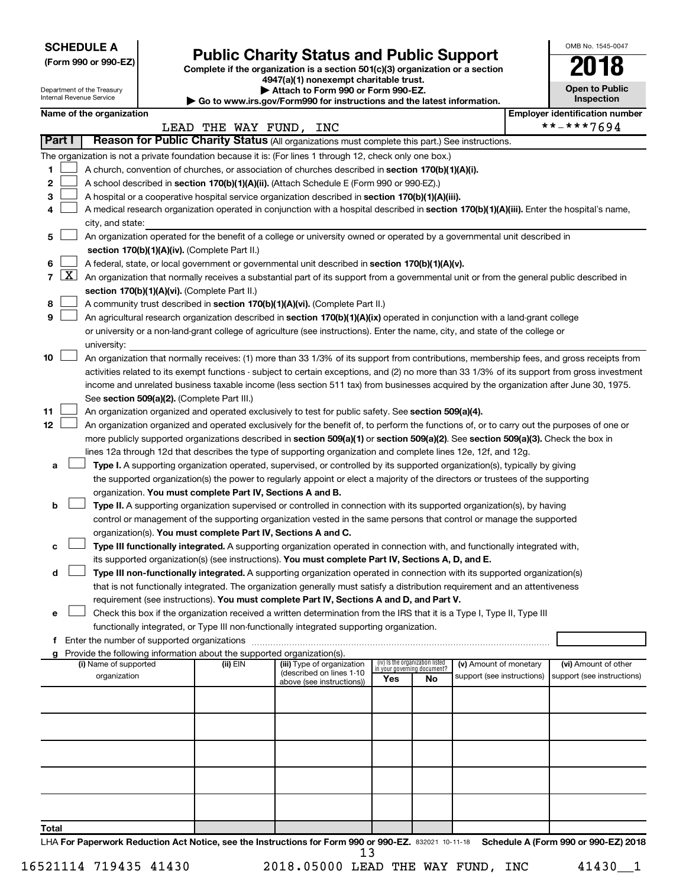**SCHEDULE A**

Department of the Treasury Internal Revenue Service

# Form 990 or 990-EZ)<br>
Complete if the organization is a section 501(c)(3) organization or a section<br> **Public Charity Status and Public Support**

**4947(a)(1) nonexempt charitable trust. | Attach to Form 990 or Form 990-EZ.** 

**| Go to www.irs.gov/Form990 for instructions and the latest information.**

|    | <b>Open to Public</b><br>Inspection |
|----|-------------------------------------|
| 9ľ | identification numbe                |

OMB No. 1545-0047

|              |   | Name of the organization                                                                                                                                                                                        |                        |                            |                                    |    |                            |  | <b>Employer identification number</b> |  |  |
|--------------|---|-----------------------------------------------------------------------------------------------------------------------------------------------------------------------------------------------------------------|------------------------|----------------------------|------------------------------------|----|----------------------------|--|---------------------------------------|--|--|
|              |   |                                                                                                                                                                                                                 | LEAD THE WAY FUND, INC |                            |                                    |    |                            |  | **-***7694                            |  |  |
| Part I       |   | Reason for Public Charity Status (All organizations must complete this part.) See instructions.                                                                                                                 |                        |                            |                                    |    |                            |  |                                       |  |  |
|              |   | The organization is not a private foundation because it is: (For lines 1 through 12, check only one box.)<br>A church, convention of churches, or association of churches described in section 170(b)(1)(A)(i). |                        |                            |                                    |    |                            |  |                                       |  |  |
| 1            |   |                                                                                                                                                                                                                 |                        |                            |                                    |    |                            |  |                                       |  |  |
| 2            |   | A school described in section 170(b)(1)(A)(ii). (Attach Schedule E (Form 990 or 990-EZ).)                                                                                                                       |                        |                            |                                    |    |                            |  |                                       |  |  |
| з            |   | A hospital or a cooperative hospital service organization described in section 170(b)(1)(A)(iii).                                                                                                               |                        |                            |                                    |    |                            |  |                                       |  |  |
| 4            |   | A medical research organization operated in conjunction with a hospital described in section 170(b)(1)(A)(iii). Enter the hospital's name,                                                                      |                        |                            |                                    |    |                            |  |                                       |  |  |
|              |   | city, and state:                                                                                                                                                                                                |                        |                            |                                    |    |                            |  |                                       |  |  |
| 5            |   | An organization operated for the benefit of a college or university owned or operated by a governmental unit described in<br>section 170(b)(1)(A)(iv). (Complete Part II.)                                      |                        |                            |                                    |    |                            |  |                                       |  |  |
| 6            |   | A federal, state, or local government or governmental unit described in section 170(b)(1)(A)(v).                                                                                                                |                        |                            |                                    |    |                            |  |                                       |  |  |
| $\mathbf{7}$ | X |                                                                                                                                                                                                                 |                        |                            |                                    |    |                            |  |                                       |  |  |
|              |   | An organization that normally receives a substantial part of its support from a governmental unit or from the general public described in                                                                       |                        |                            |                                    |    |                            |  |                                       |  |  |
|              |   | section 170(b)(1)(A)(vi). (Complete Part II.)                                                                                                                                                                   |                        |                            |                                    |    |                            |  |                                       |  |  |
| 8            |   | A community trust described in section 170(b)(1)(A)(vi). (Complete Part II.)                                                                                                                                    |                        |                            |                                    |    |                            |  |                                       |  |  |
| 9            |   | An agricultural research organization described in section 170(b)(1)(A)(ix) operated in conjunction with a land-grant college                                                                                   |                        |                            |                                    |    |                            |  |                                       |  |  |
|              |   | or university or a non-land-grant college of agriculture (see instructions). Enter the name, city, and state of the college or                                                                                  |                        |                            |                                    |    |                            |  |                                       |  |  |
|              |   | university:                                                                                                                                                                                                     |                        |                            |                                    |    |                            |  |                                       |  |  |
| 10           |   | An organization that normally receives: (1) more than 33 1/3% of its support from contributions, membership fees, and gross receipts from                                                                       |                        |                            |                                    |    |                            |  |                                       |  |  |
|              |   | activities related to its exempt functions - subject to certain exceptions, and (2) no more than 33 1/3% of its support from gross investment                                                                   |                        |                            |                                    |    |                            |  |                                       |  |  |
|              |   | income and unrelated business taxable income (less section 511 tax) from businesses acquired by the organization after June 30, 1975.                                                                           |                        |                            |                                    |    |                            |  |                                       |  |  |
|              |   | See section 509(a)(2). (Complete Part III.)                                                                                                                                                                     |                        |                            |                                    |    |                            |  |                                       |  |  |
| 11           |   | An organization organized and operated exclusively to test for public safety. See section 509(a)(4).                                                                                                            |                        |                            |                                    |    |                            |  |                                       |  |  |
| 12           |   | An organization organized and operated exclusively for the benefit of, to perform the functions of, or to carry out the purposes of one or                                                                      |                        |                            |                                    |    |                            |  |                                       |  |  |
|              |   | more publicly supported organizations described in section 509(a)(1) or section 509(a)(2). See section 509(a)(3). Check the box in                                                                              |                        |                            |                                    |    |                            |  |                                       |  |  |
|              |   | lines 12a through 12d that describes the type of supporting organization and complete lines 12e, 12f, and 12g.                                                                                                  |                        |                            |                                    |    |                            |  |                                       |  |  |
| а            |   | Type I. A supporting organization operated, supervised, or controlled by its supported organization(s), typically by giving                                                                                     |                        |                            |                                    |    |                            |  |                                       |  |  |
|              |   | the supported organization(s) the power to regularly appoint or elect a majority of the directors or trustees of the supporting                                                                                 |                        |                            |                                    |    |                            |  |                                       |  |  |
|              |   | organization. You must complete Part IV, Sections A and B.                                                                                                                                                      |                        |                            |                                    |    |                            |  |                                       |  |  |
| b            |   | Type II. A supporting organization supervised or controlled in connection with its supported organization(s), by having                                                                                         |                        |                            |                                    |    |                            |  |                                       |  |  |
|              |   | control or management of the supporting organization vested in the same persons that control or manage the supported                                                                                            |                        |                            |                                    |    |                            |  |                                       |  |  |
|              |   | organization(s). You must complete Part IV, Sections A and C.                                                                                                                                                   |                        |                            |                                    |    |                            |  |                                       |  |  |
| с            |   | Type III functionally integrated. A supporting organization operated in connection with, and functionally integrated with,                                                                                      |                        |                            |                                    |    |                            |  |                                       |  |  |
|              |   | its supported organization(s) (see instructions). You must complete Part IV, Sections A, D, and E.                                                                                                              |                        |                            |                                    |    |                            |  |                                       |  |  |
| d            |   | Type III non-functionally integrated. A supporting organization operated in connection with its supported organization(s)                                                                                       |                        |                            |                                    |    |                            |  |                                       |  |  |
|              |   | that is not functionally integrated. The organization generally must satisfy a distribution requirement and an attentiveness                                                                                    |                        |                            |                                    |    |                            |  |                                       |  |  |
|              |   | requirement (see instructions). You must complete Part IV, Sections A and D, and Part V.                                                                                                                        |                        |                            |                                    |    |                            |  |                                       |  |  |
| е            |   | Check this box if the organization received a written determination from the IRS that it is a Type I, Type II, Type III                                                                                         |                        |                            |                                    |    |                            |  |                                       |  |  |
|              |   | functionally integrated, or Type III non-functionally integrated supporting organization.                                                                                                                       |                        |                            |                                    |    |                            |  |                                       |  |  |
|              |   | Enter the number of supported organizations                                                                                                                                                                     |                        |                            |                                    |    |                            |  |                                       |  |  |
| f            |   |                                                                                                                                                                                                                 |                        |                            |                                    |    |                            |  |                                       |  |  |
| g            |   | Provide the following information about the supported organization(s).<br>(i) Name of supported                                                                                                                 | (ii) EIN               | (iii) Type of organization | (iv) Is the organization listed    |    | (v) Amount of monetary     |  | (vi) Amount of other                  |  |  |
|              |   | organization                                                                                                                                                                                                    |                        | (described on lines 1-10   | in your governing document?<br>Yes | No | support (see instructions) |  | support (see instructions)            |  |  |
|              |   |                                                                                                                                                                                                                 |                        | above (see instructions))  |                                    |    |                            |  |                                       |  |  |
|              |   |                                                                                                                                                                                                                 |                        |                            |                                    |    |                            |  |                                       |  |  |
|              |   |                                                                                                                                                                                                                 |                        |                            |                                    |    |                            |  |                                       |  |  |
|              |   |                                                                                                                                                                                                                 |                        |                            |                                    |    |                            |  |                                       |  |  |
|              |   |                                                                                                                                                                                                                 |                        |                            |                                    |    |                            |  |                                       |  |  |
|              |   |                                                                                                                                                                                                                 |                        |                            |                                    |    |                            |  |                                       |  |  |
|              |   |                                                                                                                                                                                                                 |                        |                            |                                    |    |                            |  |                                       |  |  |
|              |   |                                                                                                                                                                                                                 |                        |                            |                                    |    |                            |  |                                       |  |  |
|              |   |                                                                                                                                                                                                                 |                        |                            |                                    |    |                            |  |                                       |  |  |
|              |   |                                                                                                                                                                                                                 |                        |                            |                                    |    |                            |  |                                       |  |  |

16521114 719435 41430 2018.05000 LEAD THE WAY FUND, INC 41430\_\_1

**Total**

13

LHA For Paperwork Reduction Act Notice, see the Instructions for Form 990 or 990-EZ. 832021 10-11-18 Schedule A (Form 990 or 990-EZ) 2018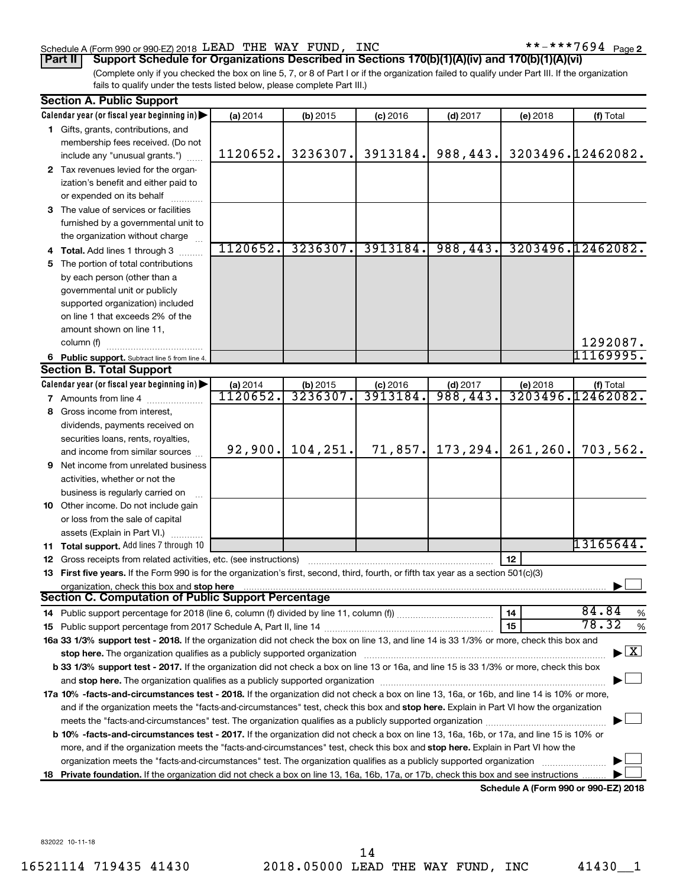### Schedule A (Form 990 or 990-EZ) 2018 Page LEAD THE WAY FUND, INC \*\*-\*\*\*7694

(Complete only if you checked the box on line 5, 7, or 8 of Part I or if the organization failed to qualify under Part III. If the organization fails to qualify under the tests listed below, please complete Part III.) **Part II Support Schedule for Organizations Described in Sections 170(b)(1)(A)(iv) and 170(b)(1)(A)(vi)**

|    | <b>Section A. Public Support</b>                                                                                                                                                                                              |                  |                       |            |            |                                             |                   |
|----|-------------------------------------------------------------------------------------------------------------------------------------------------------------------------------------------------------------------------------|------------------|-----------------------|------------|------------|---------------------------------------------|-------------------|
|    | Calendar year (or fiscal year beginning in)                                                                                                                                                                                   | (a) 2014         | $(b)$ 2015            | $(c)$ 2016 | $(d)$ 2017 | (e) 2018                                    | (f) Total         |
|    | 1 Gifts, grants, contributions, and                                                                                                                                                                                           |                  |                       |            |            |                                             |                   |
|    | membership fees received. (Do not                                                                                                                                                                                             |                  |                       |            |            |                                             |                   |
|    | include any "unusual grants.")                                                                                                                                                                                                | 1120652.         | 3236307.              | 3913184.   | 988,443.   |                                             | 3203496.12462082. |
|    | 2 Tax revenues levied for the organ-                                                                                                                                                                                          |                  |                       |            |            |                                             |                   |
|    | ization's benefit and either paid to                                                                                                                                                                                          |                  |                       |            |            |                                             |                   |
|    | or expended on its behalf                                                                                                                                                                                                     |                  |                       |            |            |                                             |                   |
|    | 3 The value of services or facilities                                                                                                                                                                                         |                  |                       |            |            |                                             |                   |
|    | furnished by a governmental unit to                                                                                                                                                                                           |                  |                       |            |            |                                             |                   |
|    | the organization without charge                                                                                                                                                                                               |                  |                       |            |            |                                             |                   |
|    | Total. Add lines 1 through 3                                                                                                                                                                                                  | 1120652.         | 3236307.              | 3913184.   | 988,443.   |                                             | 3203496.12462082. |
|    | 5 The portion of total contributions                                                                                                                                                                                          |                  |                       |            |            |                                             |                   |
|    | by each person (other than a                                                                                                                                                                                                  |                  |                       |            |            |                                             |                   |
|    | governmental unit or publicly                                                                                                                                                                                                 |                  |                       |            |            |                                             |                   |
|    | supported organization) included                                                                                                                                                                                              |                  |                       |            |            |                                             |                   |
|    | on line 1 that exceeds 2% of the                                                                                                                                                                                              |                  |                       |            |            |                                             |                   |
|    | amount shown on line 11,                                                                                                                                                                                                      |                  |                       |            |            |                                             |                   |
|    | column (f)                                                                                                                                                                                                                    |                  |                       |            |            |                                             | 1292087.          |
|    | 6 Public support. Subtract line 5 from line 4.                                                                                                                                                                                |                  |                       |            |            |                                             | 11169995.         |
|    | <b>Section B. Total Support</b>                                                                                                                                                                                               |                  |                       |            |            |                                             |                   |
|    | Calendar year (or fiscal year beginning in)                                                                                                                                                                                   | (a) 2014         |                       | $(c)$ 2016 | $(d)$ 2017 | (e) 2018                                    | (f) Total         |
|    | 7 Amounts from line 4                                                                                                                                                                                                         | <u> 1120652.</u> | $(b)$ 2015<br>3236307 | 3913184.   | 988,443    |                                             | 3203496.12462082. |
| 8  | Gross income from interest,                                                                                                                                                                                                   |                  |                       |            |            |                                             |                   |
|    | dividends, payments received on                                                                                                                                                                                               |                  |                       |            |            |                                             |                   |
|    | securities loans, rents, royalties,                                                                                                                                                                                           |                  |                       |            |            |                                             |                   |
|    | and income from similar sources                                                                                                                                                                                               | 92,900.          | 104,251.              | 71,857.    | 173,294.   | 261, 260.                                   | 703,562.          |
| 9  | Net income from unrelated business                                                                                                                                                                                            |                  |                       |            |            |                                             |                   |
|    | activities, whether or not the                                                                                                                                                                                                |                  |                       |            |            |                                             |                   |
|    | business is regularly carried on                                                                                                                                                                                              |                  |                       |            |            |                                             |                   |
| 10 | Other income. Do not include gain                                                                                                                                                                                             |                  |                       |            |            |                                             |                   |
|    | or loss from the sale of capital                                                                                                                                                                                              |                  |                       |            |            |                                             |                   |
|    | assets (Explain in Part VI.)                                                                                                                                                                                                  |                  |                       |            |            |                                             |                   |
|    | 11 Total support. Add lines 7 through 10                                                                                                                                                                                      |                  |                       |            |            |                                             | 13165644.         |
|    | 12 Gross receipts from related activities, etc. (see instructions)                                                                                                                                                            |                  |                       |            |            | 12                                          |                   |
|    | 13 First five years. If the Form 990 is for the organization's first, second, third, fourth, or fifth tax year as a section 501(c)(3)                                                                                         |                  |                       |            |            |                                             |                   |
|    | organization, check this box and stop here                                                                                                                                                                                    |                  |                       |            |            |                                             |                   |
|    | Section C. Computation of Public Support Percentage                                                                                                                                                                           |                  |                       |            |            |                                             |                   |
|    |                                                                                                                                                                                                                               |                  |                       |            |            | 14                                          | 84.84<br>%        |
|    |                                                                                                                                                                                                                               |                  |                       |            |            | 15                                          | 78.32<br>$\%$     |
|    | 16a 33 1/3% support test - 2018. If the organization did not check the box on line 13, and line 14 is 33 1/3% or more, check this box and                                                                                     |                  |                       |            |            |                                             |                   |
|    | stop here. The organization qualifies as a publicly supported organization                                                                                                                                                    |                  |                       |            |            |                                             | $\mathbf{X}$      |
|    | b 33 1/3% support test - 2017. If the organization did not check a box on line 13 or 16a, and line 15 is 33 1/3% or more, check this box                                                                                      |                  |                       |            |            |                                             |                   |
|    | and stop here. The organization qualifies as a publicly supported organization [11] manuscription manuscription manuscription manuscription manuscription manuscription and a state of the state of the state of the state of |                  |                       |            |            |                                             |                   |
|    | 17a 10% -facts-and-circumstances test - 2018. If the organization did not check a box on line 13, 16a, or 16b, and line 14 is 10% or more,                                                                                    |                  |                       |            |            |                                             |                   |
|    | and if the organization meets the "facts-and-circumstances" test, check this box and stop here. Explain in Part VI how the organization                                                                                       |                  |                       |            |            |                                             |                   |
|    | meets the "facts-and-circumstances" test. The organization qualifies as a publicly supported organization <i>manumumum</i>                                                                                                    |                  |                       |            |            |                                             |                   |
|    | b 10% -facts-and-circumstances test - 2017. If the organization did not check a box on line 13, 16a, 16b, or 17a, and line 15 is 10% or                                                                                       |                  |                       |            |            |                                             |                   |
|    | more, and if the organization meets the "facts-and-circumstances" test, check this box and stop here. Explain in Part VI how the                                                                                              |                  |                       |            |            |                                             |                   |
|    | organization meets the "facts-and-circumstances" test. The organization qualifies as a publicly supported organization                                                                                                        |                  |                       |            |            |                                             |                   |
| 18 | Private foundation. If the organization did not check a box on line 13, 16a, 16b, 17a, or 17b, check this box and see instructions                                                                                            |                  |                       |            |            |                                             |                   |
|    |                                                                                                                                                                                                                               |                  |                       |            |            | <b>Cohodulo A (Form 000 or 000 F7) 2010</b> |                   |

**Schedule A (Form 990 or 990-EZ) 2018**

832022 10-11-18

16521114 719435 41430 2018.05000 LEAD THE WAY FUND, INC 41430\_\_1 14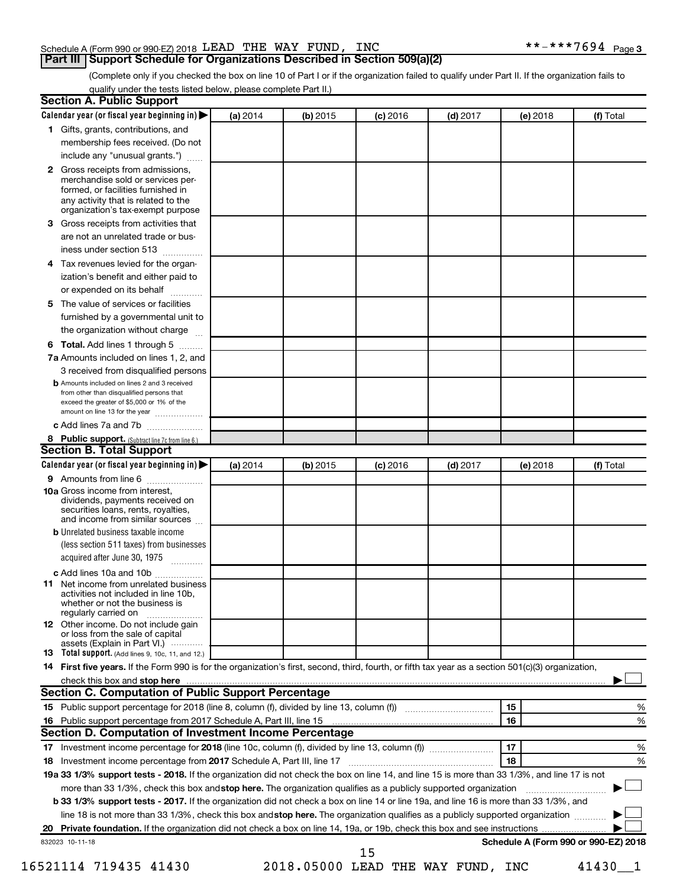# Schedule A (Form 990 or 990-EZ) 2018 Page LEAD THE WAY FUND, INC \*\*-\*\*\*7694

(Complete only if you checked the box on line 10 of Part I or if the organization failed to qualify under Part II. If the organization fails to qualify under the tests listed below, please complete Part II.)

| з  | 1 Gifts, grants, contributions, and<br>membership fees received. (Do not<br>include any "unusual grants.")<br>2 Gross receipts from admissions,<br>merchandise sold or services per-<br>formed, or facilities furnished in     |          |          | $(c)$ 2016 | $(d)$ 2017 | (e) 2018 | (f) Total                            |
|----|--------------------------------------------------------------------------------------------------------------------------------------------------------------------------------------------------------------------------------|----------|----------|------------|------------|----------|--------------------------------------|
|    |                                                                                                                                                                                                                                |          |          |            |            |          |                                      |
|    |                                                                                                                                                                                                                                |          |          |            |            |          |                                      |
|    |                                                                                                                                                                                                                                |          |          |            |            |          |                                      |
|    |                                                                                                                                                                                                                                |          |          |            |            |          |                                      |
|    |                                                                                                                                                                                                                                |          |          |            |            |          |                                      |
|    | any activity that is related to the                                                                                                                                                                                            |          |          |            |            |          |                                      |
|    | organization's tax-exempt purpose                                                                                                                                                                                              |          |          |            |            |          |                                      |
|    | Gross receipts from activities that                                                                                                                                                                                            |          |          |            |            |          |                                      |
|    | are not an unrelated trade or bus-                                                                                                                                                                                             |          |          |            |            |          |                                      |
|    | iness under section 513                                                                                                                                                                                                        |          |          |            |            |          |                                      |
| 4  | Tax revenues levied for the organ-                                                                                                                                                                                             |          |          |            |            |          |                                      |
|    | ization's benefit and either paid to                                                                                                                                                                                           |          |          |            |            |          |                                      |
|    | or expended on its behalf<br>.                                                                                                                                                                                                 |          |          |            |            |          |                                      |
| 5  | The value of services or facilities                                                                                                                                                                                            |          |          |            |            |          |                                      |
|    | furnished by a governmental unit to                                                                                                                                                                                            |          |          |            |            |          |                                      |
|    | the organization without charge                                                                                                                                                                                                |          |          |            |            |          |                                      |
| 6  | Total. Add lines 1 through 5                                                                                                                                                                                                   |          |          |            |            |          |                                      |
|    | 7a Amounts included on lines 1, 2, and                                                                                                                                                                                         |          |          |            |            |          |                                      |
|    | 3 received from disqualified persons                                                                                                                                                                                           |          |          |            |            |          |                                      |
|    | <b>b</b> Amounts included on lines 2 and 3 received                                                                                                                                                                            |          |          |            |            |          |                                      |
|    | from other than disqualified persons that                                                                                                                                                                                      |          |          |            |            |          |                                      |
|    | exceed the greater of \$5,000 or 1% of the<br>amount on line 13 for the year                                                                                                                                                   |          |          |            |            |          |                                      |
|    | c Add lines 7a and 7b                                                                                                                                                                                                          |          |          |            |            |          |                                      |
|    | 8 Public support. (Subtract line 7c from line 6.)                                                                                                                                                                              |          |          |            |            |          |                                      |
|    | <b>Section B. Total Support</b>                                                                                                                                                                                                |          |          |            |            |          |                                      |
|    | Calendar year (or fiscal year beginning in)                                                                                                                                                                                    | (a) 2014 | (b) 2015 | $(c)$ 2016 | $(d)$ 2017 | (e) 2018 | (f) Total                            |
|    | 9 Amounts from line 6                                                                                                                                                                                                          |          |          |            |            |          |                                      |
|    | <b>10a</b> Gross income from interest,<br>dividends, payments received on<br>securities loans, rents, royalties,<br>and income from similar sources                                                                            |          |          |            |            |          |                                      |
|    | <b>b</b> Unrelated business taxable income                                                                                                                                                                                     |          |          |            |            |          |                                      |
|    | (less section 511 taxes) from businesses                                                                                                                                                                                       |          |          |            |            |          |                                      |
|    | acquired after June 30, 1975                                                                                                                                                                                                   |          |          |            |            |          |                                      |
|    | c Add lines 10a and 10b                                                                                                                                                                                                        |          |          |            |            |          |                                      |
|    | <b>11</b> Net income from unrelated business<br>activities not included in line 10b.<br>whether or not the business is<br>regularly carried on                                                                                 |          |          |            |            |          |                                      |
|    | 12 Other income. Do not include gain                                                                                                                                                                                           |          |          |            |            |          |                                      |
|    | or loss from the sale of capital                                                                                                                                                                                               |          |          |            |            |          |                                      |
|    | assets (Explain in Part VI.)<br>13 Total support. (Add lines 9, 10c, 11, and 12.)                                                                                                                                              |          |          |            |            |          |                                      |
|    | 14 First five years. If the Form 990 is for the organization's first, second, third, fourth, or fifth tax year as a section 501(c)(3) organization,                                                                            |          |          |            |            |          |                                      |
|    | check this box and stop here measurements and contain the state of the state of the state of the state of the state of the state of the state of the state of the state of the state of the state of the state of the state of |          |          |            |            |          |                                      |
|    | Section C. Computation of Public Support Percentage                                                                                                                                                                            |          |          |            |            |          |                                      |
|    |                                                                                                                                                                                                                                |          |          |            |            | 15       | %                                    |
|    |                                                                                                                                                                                                                                |          |          |            |            | 16       | %                                    |
|    |                                                                                                                                                                                                                                |          |          |            |            |          |                                      |
|    | Section D. Computation of Investment Income Percentage                                                                                                                                                                         |          |          |            |            | 17       | %                                    |
|    |                                                                                                                                                                                                                                |          |          |            |            |          |                                      |
|    |                                                                                                                                                                                                                                |          |          |            |            | 18       |                                      |
|    |                                                                                                                                                                                                                                |          |          |            |            |          |                                      |
|    | 19a 33 1/3% support tests - 2018. If the organization did not check the box on line 14, and line 15 is more than 33 1/3%, and line 17 is not                                                                                   |          |          |            |            |          |                                      |
|    | more than 33 1/3%, check this box and stop here. The organization qualifies as a publicly supported organization                                                                                                               |          |          |            |            |          |                                      |
| 18 | <b>b 33 1/3% support tests - 2017.</b> If the organization did not check a box on line 14 or line 19a, and line 16 is more than 33 1/3%, and                                                                                   |          |          |            |            |          |                                      |
|    | line 18 is not more than 33 1/3%, check this box and stop here. The organization qualifies as a publicly supported organization                                                                                                |          |          |            |            |          | %                                    |
|    |                                                                                                                                                                                                                                |          |          |            |            |          |                                      |
|    | 832023 10-11-18                                                                                                                                                                                                                |          |          | 15         |            |          | Schedule A (Form 990 or 990-EZ) 2018 |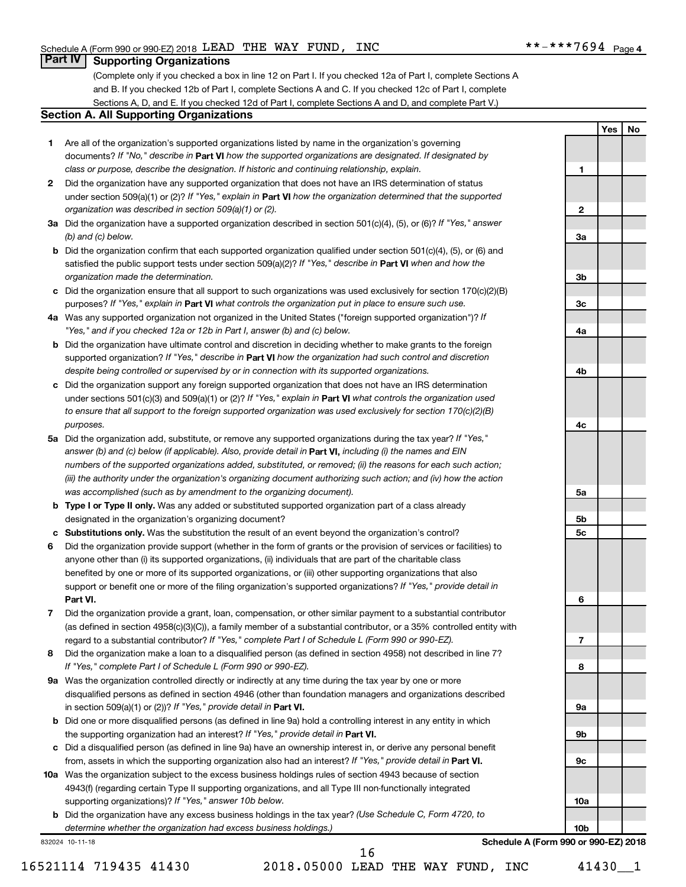**1**

**2**

**3a**

**3b**

**3c**

**4a**

**4b**

**4c**

**5a**

**5b 5c**

**6**

**7**

**8**

**9a**

**9b**

**9c**

**10a**

**10b**

**Schedule A (Form 990 or 990-EZ) 2018**

**Yes No**

# **Part IV Supporting Organizations**

(Complete only if you checked a box in line 12 on Part I. If you checked 12a of Part I, complete Sections A and B. If you checked 12b of Part I, complete Sections A and C. If you checked 12c of Part I, complete Sections A, D, and E. If you checked 12d of Part I, complete Sections A and D, and complete Part V.)

### **Section A. All Supporting Organizations**

- **1** Are all of the organization's supported organizations listed by name in the organization's governing documents? If "No," describe in Part VI how the supported organizations are designated. If designated by *class or purpose, describe the designation. If historic and continuing relationship, explain.*
- **2** Did the organization have any supported organization that does not have an IRS determination of status under section 509(a)(1) or (2)? If "Yes," explain in Part **VI** how the organization determined that the supported *organization was described in section 509(a)(1) or (2).*
- **3a** Did the organization have a supported organization described in section 501(c)(4), (5), or (6)? If "Yes," answer *(b) and (c) below.*
- **b** Did the organization confirm that each supported organization qualified under section 501(c)(4), (5), or (6) and satisfied the public support tests under section 509(a)(2)? If "Yes," describe in Part VI when and how the *organization made the determination.*
- **c** Did the organization ensure that all support to such organizations was used exclusively for section 170(c)(2)(B) purposes? If "Yes," explain in Part VI what controls the organization put in place to ensure such use.
- **4 a** *If* Was any supported organization not organized in the United States ("foreign supported organization")? *"Yes," and if you checked 12a or 12b in Part I, answer (b) and (c) below.*
- **b** Did the organization have ultimate control and discretion in deciding whether to make grants to the foreign supported organization? If "Yes," describe in Part VI how the organization had such control and discretion *despite being controlled or supervised by or in connection with its supported organizations.*
- **c** Did the organization support any foreign supported organization that does not have an IRS determination under sections 501(c)(3) and 509(a)(1) or (2)? If "Yes," explain in Part VI what controls the organization used *to ensure that all support to the foreign supported organization was used exclusively for section 170(c)(2)(B) purposes.*
- **5a** Did the organization add, substitute, or remove any supported organizations during the tax year? If "Yes," answer (b) and (c) below (if applicable). Also, provide detail in **Part VI,** including (i) the names and EIN *numbers of the supported organizations added, substituted, or removed; (ii) the reasons for each such action; (iii) the authority under the organization's organizing document authorizing such action; and (iv) how the action was accomplished (such as by amendment to the organizing document).*
- **b** Type I or Type II only. Was any added or substituted supported organization part of a class already designated in the organization's organizing document?
- **c Substitutions only.**  Was the substitution the result of an event beyond the organization's control?
- **6** Did the organization provide support (whether in the form of grants or the provision of services or facilities) to **Part VI.** support or benefit one or more of the filing organization's supported organizations? If "Yes," provide detail in anyone other than (i) its supported organizations, (ii) individuals that are part of the charitable class benefited by one or more of its supported organizations, or (iii) other supporting organizations that also
- **7** Did the organization provide a grant, loan, compensation, or other similar payment to a substantial contributor regard to a substantial contributor? If "Yes," complete Part I of Schedule L (Form 990 or 990-EZ). (as defined in section 4958(c)(3)(C)), a family member of a substantial contributor, or a 35% controlled entity with
- **8** Did the organization make a loan to a disqualified person (as defined in section 4958) not described in line 7? *If "Yes," complete Part I of Schedule L (Form 990 or 990-EZ).*
- **9 a** Was the organization controlled directly or indirectly at any time during the tax year by one or more in section 509(a)(1) or (2))? If "Yes," provide detail in **Part VI.** disqualified persons as defined in section 4946 (other than foundation managers and organizations described
- **b** Did one or more disqualified persons (as defined in line 9a) hold a controlling interest in any entity in which the supporting organization had an interest? If "Yes," provide detail in Part VI.
- **c** Did a disqualified person (as defined in line 9a) have an ownership interest in, or derive any personal benefit from, assets in which the supporting organization also had an interest? If "Yes," provide detail in Part VI.
- **10 a** Was the organization subject to the excess business holdings rules of section 4943 because of section supporting organizations)? If "Yes," answer 10b below. 4943(f) (regarding certain Type II supporting organizations, and all Type III non-functionally integrated
	- **b** Did the organization have any excess business holdings in the tax year? (Use Schedule C, Form 4720, to *determine whether the organization had excess business holdings.)*

832024 10-11-18

16521114 719435 41430 2018.05000 LEAD THE WAY FUND, INC 41430\_\_1 16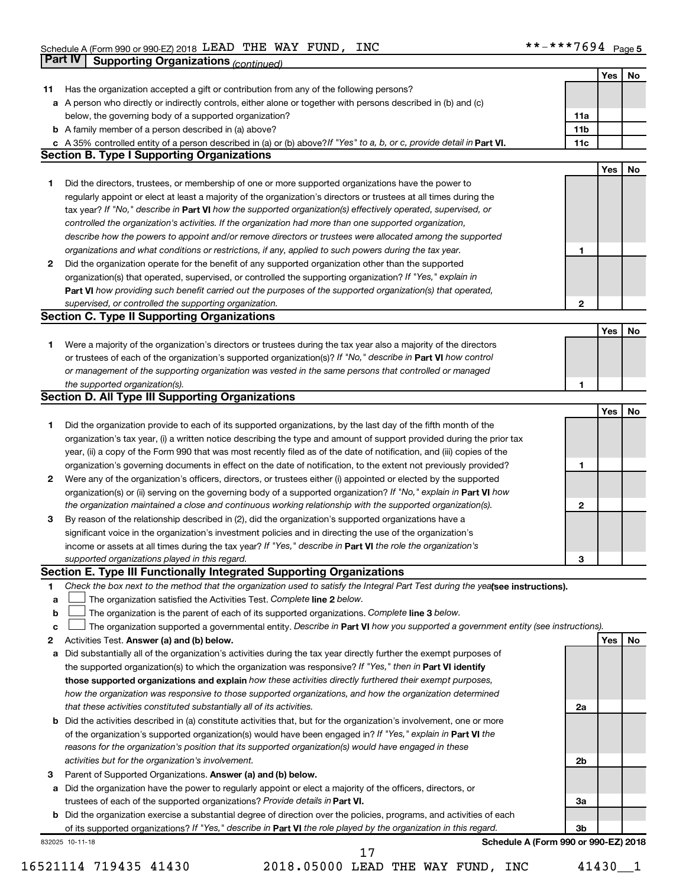|        | <b>Part IV</b>  | <b>Supporting Organizations (continued)</b>                                                                                                                             |                 |     |    |
|--------|-----------------|-------------------------------------------------------------------------------------------------------------------------------------------------------------------------|-----------------|-----|----|
|        |                 |                                                                                                                                                                         |                 | Yes | No |
| 11     |                 | Has the organization accepted a gift or contribution from any of the following persons?                                                                                 |                 |     |    |
|        |                 | a A person who directly or indirectly controls, either alone or together with persons described in (b) and (c)                                                          |                 |     |    |
|        |                 | below, the governing body of a supported organization?                                                                                                                  | 11a             |     |    |
|        |                 | <b>b</b> A family member of a person described in (a) above?                                                                                                            | 11 <sub>b</sub> |     |    |
|        |                 | c A 35% controlled entity of a person described in (a) or (b) above? If "Yes" to a, b, or c, provide detail in Part VI.                                                 | 11c             |     |    |
|        |                 | <b>Section B. Type I Supporting Organizations</b>                                                                                                                       |                 |     |    |
|        |                 |                                                                                                                                                                         |                 | Yes | No |
| 1      |                 | Did the directors, trustees, or membership of one or more supported organizations have the power to                                                                     |                 |     |    |
|        |                 | regularly appoint or elect at least a majority of the organization's directors or trustees at all times during the                                                      |                 |     |    |
|        |                 | tax year? If "No," describe in Part VI how the supported organization(s) effectively operated, supervised, or                                                           |                 |     |    |
|        |                 | controlled the organization's activities. If the organization had more than one supported organization,                                                                 |                 |     |    |
|        |                 | describe how the powers to appoint and/or remove directors or trustees were allocated among the supported                                                               |                 |     |    |
|        |                 | organizations and what conditions or restrictions, if any, applied to such powers during the tax year.                                                                  | 1               |     |    |
| 2      |                 | Did the organization operate for the benefit of any supported organization other than the supported                                                                     |                 |     |    |
|        |                 | organization(s) that operated, supervised, or controlled the supporting organization? If "Yes," explain in                                                              |                 |     |    |
|        |                 | Part VI how providing such benefit carried out the purposes of the supported organization(s) that operated,                                                             |                 |     |    |
|        |                 | supervised, or controlled the supporting organization.                                                                                                                  | 2               |     |    |
|        |                 | <b>Section C. Type II Supporting Organizations</b>                                                                                                                      |                 |     |    |
|        |                 |                                                                                                                                                                         |                 | Yes | No |
| 1      |                 | Were a majority of the organization's directors or trustees during the tax year also a majority of the directors                                                        |                 |     |    |
|        |                 | or trustees of each of the organization's supported organization(s)? If "No," describe in Part VI how control                                                           |                 |     |    |
|        |                 | or management of the supporting organization was vested in the same persons that controlled or managed                                                                  |                 |     |    |
|        |                 | the supported organization(s).                                                                                                                                          | 1               |     |    |
|        |                 | <b>Section D. All Type III Supporting Organizations</b>                                                                                                                 |                 |     |    |
|        |                 |                                                                                                                                                                         |                 | Yes | No |
| 1      |                 | Did the organization provide to each of its supported organizations, by the last day of the fifth month of the                                                          |                 |     |    |
|        |                 | organization's tax year, (i) a written notice describing the type and amount of support provided during the prior tax                                                   |                 |     |    |
|        |                 | year, (ii) a copy of the Form 990 that was most recently filed as of the date of notification, and (iii) copies of the                                                  |                 |     |    |
|        |                 | organization's governing documents in effect on the date of notification, to the extent not previously provided?                                                        | 1               |     |    |
| 2      |                 | Were any of the organization's officers, directors, or trustees either (i) appointed or elected by the supported                                                        |                 |     |    |
|        |                 | organization(s) or (ii) serving on the governing body of a supported organization? If "No," explain in Part VI how                                                      |                 |     |    |
|        |                 | the organization maintained a close and continuous working relationship with the supported organization(s).                                                             | 2               |     |    |
| 3      |                 | By reason of the relationship described in (2), did the organization's supported organizations have a                                                                   |                 |     |    |
|        |                 | significant voice in the organization's investment policies and in directing the use of the organization's                                                              |                 |     |    |
|        |                 | income or assets at all times during the tax year? If "Yes," describe in Part VI the role the organization's                                                            |                 |     |    |
|        |                 | supported organizations played in this regard.                                                                                                                          | з               |     |    |
|        |                 | Section E. Type III Functionally Integrated Supporting Organizations                                                                                                    |                 |     |    |
| 1      |                 | Check the box next to the method that the organization used to satisfy the Integral Part Test during the yealsee instructions).                                         |                 |     |    |
| a      |                 | The organization satisfied the Activities Test. Complete line 2 below.<br>The organization is the parent of each of its supported organizations. Complete line 3 below. |                 |     |    |
| b<br>c |                 | The organization supported a governmental entity. Describe in Part VI how you supported a government entity (see instructions).                                         |                 |     |    |
| 2      |                 | Activities Test. Answer (a) and (b) below.                                                                                                                              |                 | Yes | No |
| а      |                 | Did substantially all of the organization's activities during the tax year directly further the exempt purposes of                                                      |                 |     |    |
|        |                 | the supported organization(s) to which the organization was responsive? If "Yes," then in Part VI identify                                                              |                 |     |    |
|        |                 | those supported organizations and explain how these activities directly furthered their exempt purposes,                                                                |                 |     |    |
|        |                 | how the organization was responsive to those supported organizations, and how the organization determined                                                               |                 |     |    |
|        |                 | that these activities constituted substantially all of its activities.                                                                                                  | 2a              |     |    |
| b      |                 | Did the activities described in (a) constitute activities that, but for the organization's involvement, one or more                                                     |                 |     |    |
|        |                 | of the organization's supported organization(s) would have been engaged in? If "Yes," explain in Part VI the                                                            |                 |     |    |
|        |                 | reasons for the organization's position that its supported organization(s) would have engaged in these                                                                  |                 |     |    |
|        |                 | activities but for the organization's involvement.                                                                                                                      | 2b              |     |    |
| З      |                 | Parent of Supported Organizations. Answer (a) and (b) below.                                                                                                            |                 |     |    |
| а      |                 | Did the organization have the power to regularly appoint or elect a majority of the officers, directors, or                                                             |                 |     |    |
|        |                 | trustees of each of the supported organizations? Provide details in Part VI.                                                                                            | За              |     |    |
|        |                 | <b>b</b> Did the organization exercise a substantial degree of direction over the policies, programs, and activities of each                                            |                 |     |    |
|        |                 | of its supported organizations? If "Yes," describe in Part VI the role played by the organization in this regard.                                                       | 3b              |     |    |
|        | 832025 10-11-18 | Schedule A (Form 990 or 990-EZ) 2018                                                                                                                                    |                 |     |    |
|        |                 | 17                                                                                                                                                                      |                 |     |    |

<sup>16521114 719435 41430 2018.05000</sup> LEAD THE WAY FUND, INC 41430\_\_1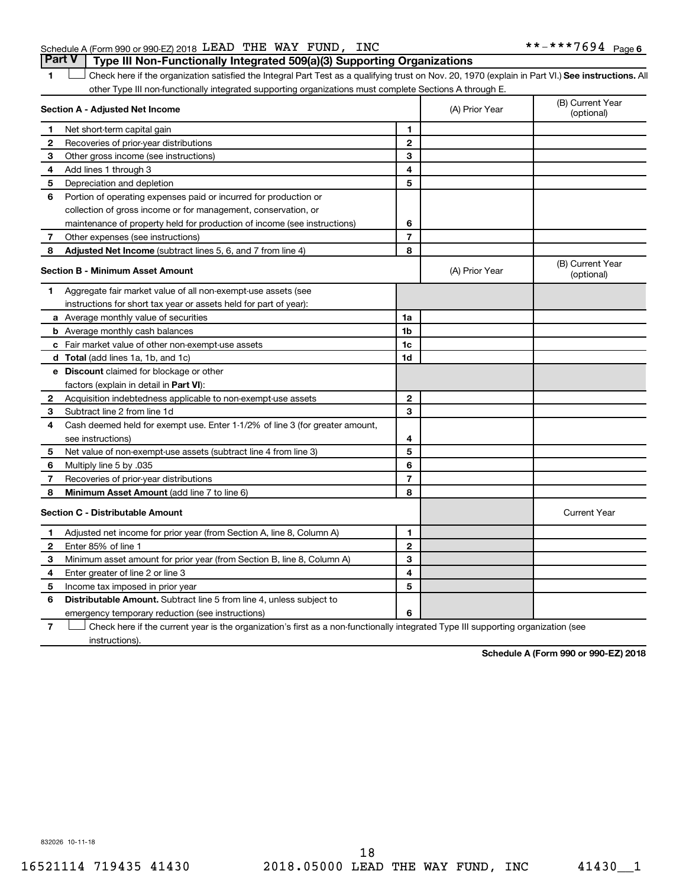## Schedule A (Form 990 or 990-EZ) 2018 Page LEAD THE WAY FUND, INC \*\*-\*\*\*7694 **Part V Type III Non-Functionally Integrated 509(a)(3) Supporting Organizations**

1 **Letter See instructions.** All Check here if the organization satisfied the Integral Part Test as a qualifying trust on Nov. 20, 1970 (explain in Part VI.) See instructions. All other Type III non-functionally integrated supporting organizations must complete Sections A through E.

|              | Section A - Adjusted Net Income                                                                                                   |                | (A) Prior Year | (B) Current Year<br>(optional) |
|--------------|-----------------------------------------------------------------------------------------------------------------------------------|----------------|----------------|--------------------------------|
| 1            | Net short-term capital gain                                                                                                       | $\blacksquare$ |                |                                |
| $\mathbf{2}$ | Recoveries of prior-year distributions                                                                                            | $\mathbf{2}$   |                |                                |
| 3            | Other gross income (see instructions)                                                                                             | 3              |                |                                |
| 4            | Add lines 1 through 3                                                                                                             | 4              |                |                                |
| 5            | Depreciation and depletion                                                                                                        | 5              |                |                                |
| 6            | Portion of operating expenses paid or incurred for production or                                                                  |                |                |                                |
|              | collection of gross income or for management, conservation, or                                                                    |                |                |                                |
|              | maintenance of property held for production of income (see instructions)                                                          | 6              |                |                                |
| 7            | Other expenses (see instructions)                                                                                                 | $\overline{7}$ |                |                                |
| 8            | Adjusted Net Income (subtract lines 5, 6, and 7 from line 4)                                                                      | 8              |                |                                |
|              | <b>Section B - Minimum Asset Amount</b>                                                                                           |                | (A) Prior Year | (B) Current Year<br>(optional) |
| 1            | Aggregate fair market value of all non-exempt-use assets (see                                                                     |                |                |                                |
|              | instructions for short tax year or assets held for part of year):                                                                 |                |                |                                |
|              | <b>a</b> Average monthly value of securities                                                                                      | 1a             |                |                                |
|              | <b>b</b> Average monthly cash balances                                                                                            | 1b             |                |                                |
|              | <b>c</b> Fair market value of other non-exempt-use assets                                                                         | 1 <sub>c</sub> |                |                                |
|              | <b>d</b> Total (add lines 1a, 1b, and 1c)                                                                                         | 1d             |                |                                |
|              | <b>e</b> Discount claimed for blockage or other                                                                                   |                |                |                                |
|              | factors (explain in detail in Part VI):                                                                                           |                |                |                                |
| 2            | Acquisition indebtedness applicable to non-exempt-use assets                                                                      | $\mathbf{2}$   |                |                                |
| З            | Subtract line 2 from line 1d                                                                                                      | 3              |                |                                |
| 4            | Cash deemed held for exempt use. Enter 1-1/2% of line 3 (for greater amount,                                                      |                |                |                                |
|              | see instructions)                                                                                                                 | 4              |                |                                |
| 5            | Net value of non-exempt-use assets (subtract line 4 from line 3)                                                                  | 5              |                |                                |
| 6            | Multiply line 5 by .035                                                                                                           | 6              |                |                                |
| 7            | Recoveries of prior-year distributions                                                                                            | $\overline{7}$ |                |                                |
| 8            | <b>Minimum Asset Amount (add line 7 to line 6)</b>                                                                                | 8              |                |                                |
|              | <b>Section C - Distributable Amount</b>                                                                                           |                |                | <b>Current Year</b>            |
| 1            | Adjusted net income for prior year (from Section A, line 8, Column A)                                                             | 1              |                |                                |
| 2            | Enter 85% of line 1                                                                                                               | $\mathbf{2}$   |                |                                |
| з            | Minimum asset amount for prior year (from Section B, line 8, Column A)                                                            | 3              |                |                                |
| 4            | Enter greater of line 2 or line 3                                                                                                 | 4              |                |                                |
| 5            | Income tax imposed in prior year                                                                                                  | 5              |                |                                |
| 6            | <b>Distributable Amount.</b> Subtract line 5 from line 4, unless subject to                                                       |                |                |                                |
|              | emergency temporary reduction (see instructions)                                                                                  | 6              |                |                                |
| 7            | Check here if the current year is the organization's first as a non-functionally integrated Type III supporting organization (see |                |                |                                |

instructions).

**Schedule A (Form 990 or 990-EZ) 2018**

832026 10-11-18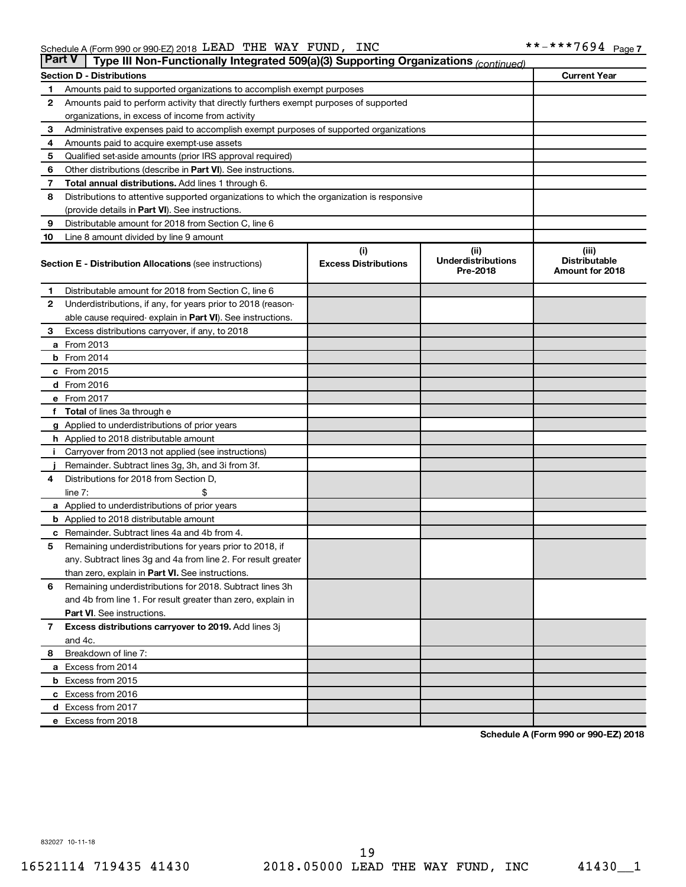|              | <b>Part V</b><br>Type III Non-Functionally Integrated 509(a)(3) Supporting Organizations (continued) |                                       |                                         |                     |  |  |  |  |  |  |
|--------------|------------------------------------------------------------------------------------------------------|---------------------------------------|-----------------------------------------|---------------------|--|--|--|--|--|--|
|              | <b>Section D - Distributions</b>                                                                     |                                       |                                         | <b>Current Year</b> |  |  |  |  |  |  |
| 1            | Amounts paid to supported organizations to accomplish exempt purposes                                |                                       |                                         |                     |  |  |  |  |  |  |
| $\mathbf{2}$ | Amounts paid to perform activity that directly furthers exempt purposes of supported                 |                                       |                                         |                     |  |  |  |  |  |  |
|              | organizations, in excess of income from activity                                                     |                                       |                                         |                     |  |  |  |  |  |  |
| 3            | Administrative expenses paid to accomplish exempt purposes of supported organizations                |                                       |                                         |                     |  |  |  |  |  |  |
| 4            | Amounts paid to acquire exempt-use assets                                                            |                                       |                                         |                     |  |  |  |  |  |  |
| 5            | Qualified set-aside amounts (prior IRS approval required)                                            |                                       |                                         |                     |  |  |  |  |  |  |
| 6            | Other distributions (describe in <b>Part VI</b> ). See instructions.                                 |                                       |                                         |                     |  |  |  |  |  |  |
| 7            | Total annual distributions. Add lines 1 through 6.                                                   |                                       |                                         |                     |  |  |  |  |  |  |
| 8            | Distributions to attentive supported organizations to which the organization is responsive           |                                       |                                         |                     |  |  |  |  |  |  |
|              | (provide details in Part VI). See instructions.                                                      |                                       |                                         |                     |  |  |  |  |  |  |
| 9            | Distributable amount for 2018 from Section C, line 6                                                 |                                       |                                         |                     |  |  |  |  |  |  |
| 10           | Line 8 amount divided by line 9 amount                                                               |                                       |                                         |                     |  |  |  |  |  |  |
|              |                                                                                                      | (i)                                   | (ii)                                    | (iii)               |  |  |  |  |  |  |
|              | <b>Section E - Distribution Allocations (see instructions)</b>                                       | <b>Underdistributions</b><br>Pre-2018 | <b>Distributable</b><br>Amount for 2018 |                     |  |  |  |  |  |  |
| 1            | Distributable amount for 2018 from Section C, line 6                                                 |                                       |                                         |                     |  |  |  |  |  |  |
| $\mathbf{2}$ | Underdistributions, if any, for years prior to 2018 (reason-                                         |                                       |                                         |                     |  |  |  |  |  |  |
|              | able cause required-explain in Part VI). See instructions.                                           |                                       |                                         |                     |  |  |  |  |  |  |
| 3            | Excess distributions carryover, if any, to 2018                                                      |                                       |                                         |                     |  |  |  |  |  |  |
|              | <b>a</b> From 2013                                                                                   |                                       |                                         |                     |  |  |  |  |  |  |
|              | <b>b</b> From 2014                                                                                   |                                       |                                         |                     |  |  |  |  |  |  |
|              | c From 2015                                                                                          |                                       |                                         |                     |  |  |  |  |  |  |
|              | d From 2016                                                                                          |                                       |                                         |                     |  |  |  |  |  |  |
|              | e From 2017                                                                                          |                                       |                                         |                     |  |  |  |  |  |  |
|              | f Total of lines 3a through e                                                                        |                                       |                                         |                     |  |  |  |  |  |  |
|              | g Applied to underdistributions of prior years                                                       |                                       |                                         |                     |  |  |  |  |  |  |
|              | h Applied to 2018 distributable amount                                                               |                                       |                                         |                     |  |  |  |  |  |  |
| Ť.           | Carryover from 2013 not applied (see instructions)                                                   |                                       |                                         |                     |  |  |  |  |  |  |
|              | Remainder. Subtract lines 3g, 3h, and 3i from 3f.                                                    |                                       |                                         |                     |  |  |  |  |  |  |
| 4            | Distributions for 2018 from Section D,                                                               |                                       |                                         |                     |  |  |  |  |  |  |
|              | line $7:$                                                                                            |                                       |                                         |                     |  |  |  |  |  |  |
|              | a Applied to underdistributions of prior years                                                       |                                       |                                         |                     |  |  |  |  |  |  |
|              | <b>b</b> Applied to 2018 distributable amount                                                        |                                       |                                         |                     |  |  |  |  |  |  |
| с            | Remainder. Subtract lines 4a and 4b from 4.                                                          |                                       |                                         |                     |  |  |  |  |  |  |
| 5            | Remaining underdistributions for years prior to 2018, if                                             |                                       |                                         |                     |  |  |  |  |  |  |
|              | any. Subtract lines 3g and 4a from line 2. For result greater                                        |                                       |                                         |                     |  |  |  |  |  |  |
|              | than zero, explain in Part VI. See instructions.                                                     |                                       |                                         |                     |  |  |  |  |  |  |
| 6            | Remaining underdistributions for 2018. Subtract lines 3h                                             |                                       |                                         |                     |  |  |  |  |  |  |
|              | and 4b from line 1. For result greater than zero, explain in                                         |                                       |                                         |                     |  |  |  |  |  |  |
|              | <b>Part VI.</b> See instructions.                                                                    |                                       |                                         |                     |  |  |  |  |  |  |
| $\mathbf{7}$ | Excess distributions carryover to 2019. Add lines 3j                                                 |                                       |                                         |                     |  |  |  |  |  |  |
|              | and 4c.                                                                                              |                                       |                                         |                     |  |  |  |  |  |  |
| 8            | Breakdown of line 7:                                                                                 |                                       |                                         |                     |  |  |  |  |  |  |
|              | a Excess from 2014                                                                                   |                                       |                                         |                     |  |  |  |  |  |  |
|              | <b>b</b> Excess from 2015                                                                            |                                       |                                         |                     |  |  |  |  |  |  |
|              | c Excess from 2016                                                                                   |                                       |                                         |                     |  |  |  |  |  |  |
|              | d Excess from 2017                                                                                   |                                       |                                         |                     |  |  |  |  |  |  |
|              | e Excess from 2018                                                                                   |                                       |                                         |                     |  |  |  |  |  |  |

**Schedule A (Form 990 or 990-EZ) 2018**

832027 10-11-18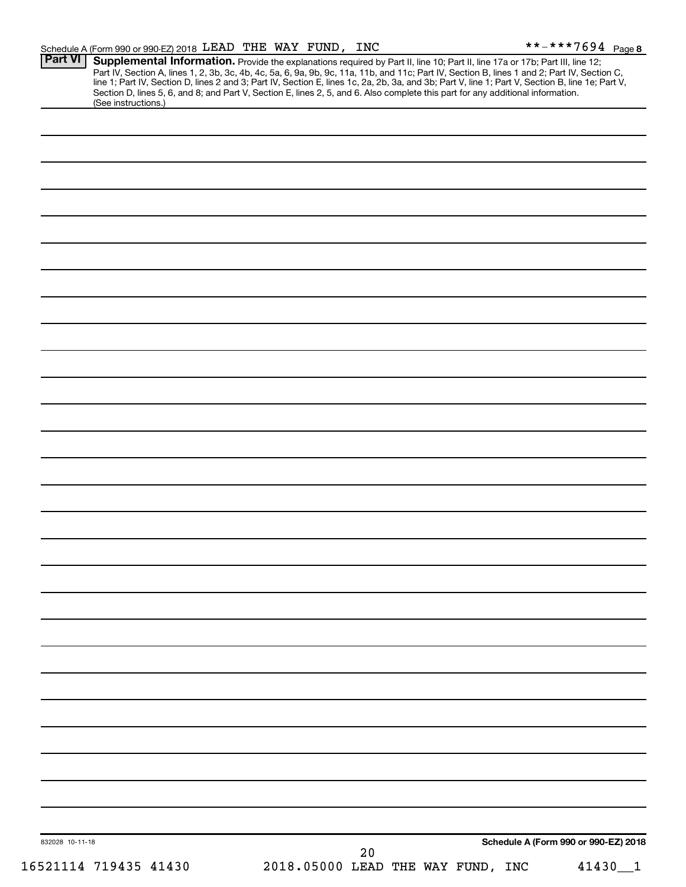| Schedule A (Form 990 or 990-EZ) 2018 LEAD THE WAY FUND, INC                                                                                                                                                                                                                                                                                                                                                                                                                                                                                                                                                   |  |    |                                   |                                      | **-***7694 Page 8 |
|---------------------------------------------------------------------------------------------------------------------------------------------------------------------------------------------------------------------------------------------------------------------------------------------------------------------------------------------------------------------------------------------------------------------------------------------------------------------------------------------------------------------------------------------------------------------------------------------------------------|--|----|-----------------------------------|--------------------------------------|-------------------|
| <b>Part VI</b><br>Supplemental Information. Provide the explanations required by Part II, line 10; Part II, line 17a or 17b; Part III, line 12;<br>Part IV, Section A, lines 1, 2, 3b, 3c, 4b, 4c, 5a, 6, 9a, 9b, 9c, 11a, 11b, and 11c; Part IV, Section B, lines 1 and 2; Part IV, Section C,<br>line 1; Part IV, Section D, lines 2 and 3; Part IV, Section E, lines 1c, 2a, 2b, 3a, and 3b; Part V, line 1; Part V, Section B, line 1e; Part V,<br>Section D, lines 5, 6, and 8; and Part V, Section E, lines 2, 5, and 6. Also complete this part for any additional information.<br>(See instructions.) |  |    |                                   |                                      |                   |
|                                                                                                                                                                                                                                                                                                                                                                                                                                                                                                                                                                                                               |  |    |                                   |                                      |                   |
|                                                                                                                                                                                                                                                                                                                                                                                                                                                                                                                                                                                                               |  |    |                                   |                                      |                   |
|                                                                                                                                                                                                                                                                                                                                                                                                                                                                                                                                                                                                               |  |    |                                   |                                      |                   |
|                                                                                                                                                                                                                                                                                                                                                                                                                                                                                                                                                                                                               |  |    |                                   |                                      |                   |
|                                                                                                                                                                                                                                                                                                                                                                                                                                                                                                                                                                                                               |  |    |                                   |                                      |                   |
|                                                                                                                                                                                                                                                                                                                                                                                                                                                                                                                                                                                                               |  |    |                                   |                                      |                   |
|                                                                                                                                                                                                                                                                                                                                                                                                                                                                                                                                                                                                               |  |    |                                   |                                      |                   |
|                                                                                                                                                                                                                                                                                                                                                                                                                                                                                                                                                                                                               |  |    |                                   |                                      |                   |
|                                                                                                                                                                                                                                                                                                                                                                                                                                                                                                                                                                                                               |  |    |                                   |                                      |                   |
|                                                                                                                                                                                                                                                                                                                                                                                                                                                                                                                                                                                                               |  |    |                                   |                                      |                   |
|                                                                                                                                                                                                                                                                                                                                                                                                                                                                                                                                                                                                               |  |    |                                   |                                      |                   |
|                                                                                                                                                                                                                                                                                                                                                                                                                                                                                                                                                                                                               |  |    |                                   |                                      |                   |
|                                                                                                                                                                                                                                                                                                                                                                                                                                                                                                                                                                                                               |  |    |                                   |                                      |                   |
|                                                                                                                                                                                                                                                                                                                                                                                                                                                                                                                                                                                                               |  |    |                                   |                                      |                   |
|                                                                                                                                                                                                                                                                                                                                                                                                                                                                                                                                                                                                               |  |    |                                   |                                      |                   |
|                                                                                                                                                                                                                                                                                                                                                                                                                                                                                                                                                                                                               |  |    |                                   |                                      |                   |
|                                                                                                                                                                                                                                                                                                                                                                                                                                                                                                                                                                                                               |  |    |                                   |                                      |                   |
|                                                                                                                                                                                                                                                                                                                                                                                                                                                                                                                                                                                                               |  |    |                                   |                                      |                   |
|                                                                                                                                                                                                                                                                                                                                                                                                                                                                                                                                                                                                               |  |    |                                   |                                      |                   |
|                                                                                                                                                                                                                                                                                                                                                                                                                                                                                                                                                                                                               |  |    |                                   |                                      |                   |
|                                                                                                                                                                                                                                                                                                                                                                                                                                                                                                                                                                                                               |  |    |                                   |                                      |                   |
|                                                                                                                                                                                                                                                                                                                                                                                                                                                                                                                                                                                                               |  |    |                                   |                                      |                   |
|                                                                                                                                                                                                                                                                                                                                                                                                                                                                                                                                                                                                               |  |    |                                   |                                      |                   |
|                                                                                                                                                                                                                                                                                                                                                                                                                                                                                                                                                                                                               |  |    |                                   |                                      |                   |
|                                                                                                                                                                                                                                                                                                                                                                                                                                                                                                                                                                                                               |  |    |                                   |                                      |                   |
|                                                                                                                                                                                                                                                                                                                                                                                                                                                                                                                                                                                                               |  |    |                                   |                                      |                   |
|                                                                                                                                                                                                                                                                                                                                                                                                                                                                                                                                                                                                               |  |    |                                   |                                      |                   |
|                                                                                                                                                                                                                                                                                                                                                                                                                                                                                                                                                                                                               |  |    |                                   |                                      |                   |
|                                                                                                                                                                                                                                                                                                                                                                                                                                                                                                                                                                                                               |  |    |                                   |                                      |                   |
|                                                                                                                                                                                                                                                                                                                                                                                                                                                                                                                                                                                                               |  |    |                                   |                                      |                   |
|                                                                                                                                                                                                                                                                                                                                                                                                                                                                                                                                                                                                               |  |    |                                   |                                      |                   |
|                                                                                                                                                                                                                                                                                                                                                                                                                                                                                                                                                                                                               |  |    |                                   |                                      |                   |
|                                                                                                                                                                                                                                                                                                                                                                                                                                                                                                                                                                                                               |  |    |                                   |                                      |                   |
|                                                                                                                                                                                                                                                                                                                                                                                                                                                                                                                                                                                                               |  |    |                                   |                                      |                   |
|                                                                                                                                                                                                                                                                                                                                                                                                                                                                                                                                                                                                               |  |    |                                   |                                      |                   |
| 832028 10-11-18                                                                                                                                                                                                                                                                                                                                                                                                                                                                                                                                                                                               |  |    |                                   | Schedule A (Form 990 or 990-EZ) 2018 |                   |
|                                                                                                                                                                                                                                                                                                                                                                                                                                                                                                                                                                                                               |  | 20 |                                   |                                      |                   |
| 16521114 719435 41430                                                                                                                                                                                                                                                                                                                                                                                                                                                                                                                                                                                         |  |    | 2018.05000 LEAD THE WAY FUND, INC |                                      | 41430_1           |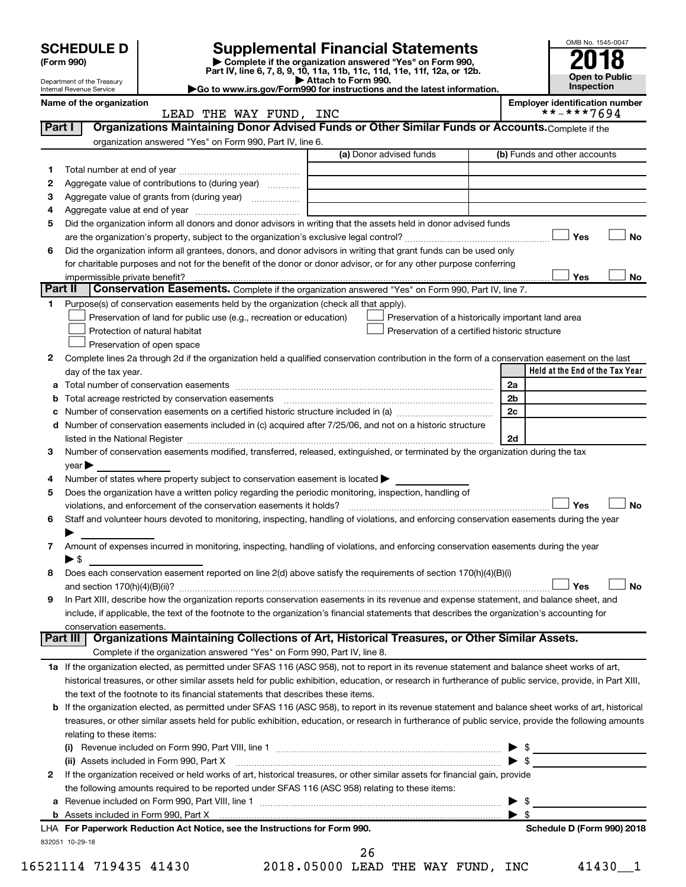|        | <b>SCHEDULE D</b>                                    |                                                                                                                                                                           |                     | <b>Supplemental Financial Statements</b>                 |                |                                       | OMB No. 1545-0047            |           |
|--------|------------------------------------------------------|---------------------------------------------------------------------------------------------------------------------------------------------------------------------------|---------------------|----------------------------------------------------------|----------------|---------------------------------------|------------------------------|-----------|
|        | (Form 990)                                           | Part IV, line 6, 7, 8, 9, 10, 11a, 11b, 11c, 11d, 11e, 11f, 12a, or 12b.                                                                                                  |                     | Complete if the organization answered "Yes" on Form 990, |                |                                       |                              |           |
|        | Department of the Treasury                           |                                                                                                                                                                           | Attach to Form 990. |                                                          |                |                                       | Open to Public<br>Inspection |           |
|        | Internal Revenue Service<br>Name of the organization | Go to www.irs.gov/Form990 for instructions and the latest information.                                                                                                    |                     |                                                          |                | <b>Employer identification number</b> |                              |           |
|        |                                                      | LEAD THE WAY FUND, INC                                                                                                                                                    |                     |                                                          |                |                                       | **-***7694                   |           |
| Part I |                                                      | Organizations Maintaining Donor Advised Funds or Other Similar Funds or Accounts. Complete if the                                                                         |                     |                                                          |                |                                       |                              |           |
|        |                                                      | organization answered "Yes" on Form 990, Part IV, line 6.                                                                                                                 |                     |                                                          |                |                                       |                              |           |
|        |                                                      |                                                                                                                                                                           |                     | (a) Donor advised funds                                  |                | (b) Funds and other accounts          |                              |           |
| 1      |                                                      |                                                                                                                                                                           |                     |                                                          |                |                                       |                              |           |
| 2      |                                                      | Aggregate value of contributions to (during year)                                                                                                                         |                     |                                                          |                |                                       |                              |           |
| З      |                                                      |                                                                                                                                                                           |                     |                                                          |                |                                       |                              |           |
| 4<br>5 |                                                      | Did the organization inform all donors and donor advisors in writing that the assets held in donor advised funds                                                          |                     |                                                          |                |                                       |                              |           |
|        |                                                      |                                                                                                                                                                           |                     |                                                          |                |                                       | Yes                          | <b>No</b> |
| 6      |                                                      | Did the organization inform all grantees, donors, and donor advisors in writing that grant funds can be used only                                                         |                     |                                                          |                |                                       |                              |           |
|        |                                                      | for charitable purposes and not for the benefit of the donor or donor advisor, or for any other purpose conferring                                                        |                     |                                                          |                |                                       |                              |           |
|        | impermissible private benefit?                       |                                                                                                                                                                           |                     |                                                          |                |                                       | Yes                          | No        |
|        | Part II                                              | Conservation Easements. Complete if the organization answered "Yes" on Form 990, Part IV, line 7.                                                                         |                     |                                                          |                |                                       |                              |           |
| 1.     |                                                      | Purpose(s) of conservation easements held by the organization (check all that apply).                                                                                     |                     |                                                          |                |                                       |                              |           |
|        |                                                      | Preservation of land for public use (e.g., recreation or education)                                                                                                       |                     | Preservation of a historically important land area       |                |                                       |                              |           |
|        |                                                      | Protection of natural habitat                                                                                                                                             |                     | Preservation of a certified historic structure           |                |                                       |                              |           |
|        |                                                      | Preservation of open space                                                                                                                                                |                     |                                                          |                |                                       |                              |           |
| 2      |                                                      | Complete lines 2a through 2d if the organization held a qualified conservation contribution in the form of a conservation easement on the last                            |                     |                                                          |                |                                       |                              |           |
|        | day of the tax year.                                 |                                                                                                                                                                           |                     |                                                          |                | Held at the End of the Tax Year       |                              |           |
| а      |                                                      |                                                                                                                                                                           |                     |                                                          | 2a             |                                       |                              |           |
|        |                                                      | Total acreage restricted by conservation easements                                                                                                                        |                     |                                                          | 2 <sub>b</sub> |                                       |                              |           |
|        |                                                      | Number of conservation easements on a certified historic structure included in (a) manufacture included in (a)                                                            |                     |                                                          | 2c             |                                       |                              |           |
| d      |                                                      | Number of conservation easements included in (c) acquired after 7/25/06, and not on a historic structure                                                                  |                     |                                                          |                |                                       |                              |           |
|        | listed in the National Register                      |                                                                                                                                                                           |                     |                                                          | 2d             |                                       |                              |           |
| 3      | year                                                 | Number of conservation easements modified, transferred, released, extinguished, or terminated by the organization during the tax                                          |                     |                                                          |                |                                       |                              |           |
| 4      |                                                      | Number of states where property subject to conservation easement is located $\blacktriangleright$                                                                         |                     |                                                          |                |                                       |                              |           |
| 5      |                                                      | Does the organization have a written policy regarding the periodic monitoring, inspection, handling of                                                                    |                     |                                                          |                |                                       |                              |           |
|        |                                                      | violations, and enforcement of the conservation easements it holds?                                                                                                       |                     |                                                          |                |                                       | Yes                          | No        |
| 6      |                                                      | Staff and volunteer hours devoted to monitoring, inspecting, handling of violations, and enforcing conservation easements during the year                                 |                     |                                                          |                |                                       |                              |           |
|        |                                                      |                                                                                                                                                                           |                     |                                                          |                |                                       |                              |           |
| 7      |                                                      | Amount of expenses incurred in monitoring, inspecting, handling of violations, and enforcing conservation easements during the year                                       |                     |                                                          |                |                                       |                              |           |
|        | $\blacktriangleright$ \$                             |                                                                                                                                                                           |                     |                                                          |                |                                       |                              |           |
| 8      |                                                      | Does each conservation easement reported on line 2(d) above satisfy the requirements of section 170(h)(4)(B)(i)                                                           |                     |                                                          |                |                                       |                              |           |
|        |                                                      |                                                                                                                                                                           |                     |                                                          |                |                                       | Yes                          | <b>No</b> |
| 9      |                                                      | In Part XIII, describe how the organization reports conservation easements in its revenue and expense statement, and balance sheet, and                                   |                     |                                                          |                |                                       |                              |           |
|        |                                                      | include, if applicable, the text of the footnote to the organization's financial statements that describes the organization's accounting for                              |                     |                                                          |                |                                       |                              |           |
|        | conservation easements.                              |                                                                                                                                                                           |                     |                                                          |                |                                       |                              |           |
|        | Part III                                             | Organizations Maintaining Collections of Art, Historical Treasures, or Other Similar Assets.<br>Complete if the organization answered "Yes" on Form 990, Part IV, line 8. |                     |                                                          |                |                                       |                              |           |
|        |                                                      | 1a If the organization elected, as permitted under SFAS 116 (ASC 958), not to report in its revenue statement and balance sheet works of art,                             |                     |                                                          |                |                                       |                              |           |
|        |                                                      | historical treasures, or other similar assets held for public exhibition, education, or research in furtherance of public service, provide, in Part XIII,                 |                     |                                                          |                |                                       |                              |           |
|        |                                                      | the text of the footnote to its financial statements that describes these items.                                                                                          |                     |                                                          |                |                                       |                              |           |
|        |                                                      | b If the organization elected, as permitted under SFAS 116 (ASC 958), to report in its revenue statement and balance sheet works of art, historical                       |                     |                                                          |                |                                       |                              |           |
|        |                                                      | treasures, or other similar assets held for public exhibition, education, or research in furtherance of public service, provide the following amounts                     |                     |                                                          |                |                                       |                              |           |
|        | relating to these items:                             |                                                                                                                                                                           |                     |                                                          |                |                                       |                              |           |

|   | 832051 10-29-18                                                                                                              |                          |                            |
|---|------------------------------------------------------------------------------------------------------------------------------|--------------------------|----------------------------|
|   | LHA For Paperwork Reduction Act Notice, see the Instructions for Form 990.                                                   |                          | Schedule D (Form 990) 2018 |
|   |                                                                                                                              |                          |                            |
|   |                                                                                                                              | $\blacktriangleright$ \$ |                            |
|   | the following amounts required to be reported under SFAS 116 (ASC 958) relating to these items:                              |                          |                            |
| 2 | If the organization received or held works of art, historical treasures, or other similar assets for financial gain, provide |                          |                            |
|   |                                                                                                                              |                          |                            |
|   |                                                                                                                              |                          |                            |
|   |                                                                                                                              |                          |                            |

26

16521114 719435 41430 2018.05000 LEAD THE WAY FUND, INC 41430\_\_1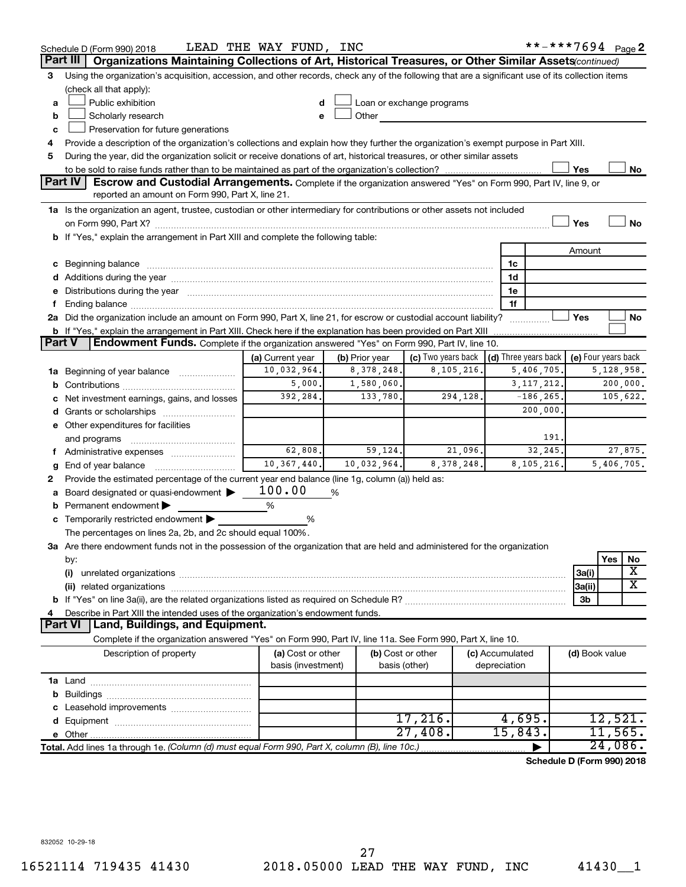|          | Schedule D (Form 990) 2018                                                                                                                                                                                                           | LEAD THE WAY FUND, INC |                |                                                                                                                                                                                                                                |              |                 | **-***7694 Page 2          |                     |            |           |
|----------|--------------------------------------------------------------------------------------------------------------------------------------------------------------------------------------------------------------------------------------|------------------------|----------------|--------------------------------------------------------------------------------------------------------------------------------------------------------------------------------------------------------------------------------|--------------|-----------------|----------------------------|---------------------|------------|-----------|
| Part III | Organizations Maintaining Collections of Art, Historical Treasures, or Other Similar Assets(continued)                                                                                                                               |                        |                |                                                                                                                                                                                                                                |              |                 |                            |                     |            |           |
| 3        | Using the organization's acquisition, accession, and other records, check any of the following that are a significant use of its collection items                                                                                    |                        |                |                                                                                                                                                                                                                                |              |                 |                            |                     |            |           |
|          | (check all that apply):                                                                                                                                                                                                              |                        |                |                                                                                                                                                                                                                                |              |                 |                            |                     |            |           |
| a        | Public exhibition                                                                                                                                                                                                                    | d                      |                | Loan or exchange programs                                                                                                                                                                                                      |              |                 |                            |                     |            |           |
| b        | Scholarly research                                                                                                                                                                                                                   | e                      |                | Other the contract of the contract of the contract of the contract of the contract of the contract of the contract of the contract of the contract of the contract of the contract of the contract of the contract of the cont |              |                 |                            |                     |            |           |
| c        | Preservation for future generations                                                                                                                                                                                                  |                        |                |                                                                                                                                                                                                                                |              |                 |                            |                     |            |           |
| 4        | Provide a description of the organization's collections and explain how they further the organization's exempt purpose in Part XIII.                                                                                                 |                        |                |                                                                                                                                                                                                                                |              |                 |                            |                     |            |           |
| 5        | During the year, did the organization solicit or receive donations of art, historical treasures, or other similar assets                                                                                                             |                        |                |                                                                                                                                                                                                                                |              |                 |                            |                     |            |           |
|          |                                                                                                                                                                                                                                      |                        |                |                                                                                                                                                                                                                                |              |                 |                            | Yes                 |            | No        |
|          | <b>Part IV</b><br><b>Escrow and Custodial Arrangements.</b> Complete if the organization answered "Yes" on Form 990, Part IV, line 9, or                                                                                             |                        |                |                                                                                                                                                                                                                                |              |                 |                            |                     |            |           |
|          | reported an amount on Form 990, Part X, line 21.                                                                                                                                                                                     |                        |                |                                                                                                                                                                                                                                |              |                 |                            |                     |            |           |
|          | 1a Is the organization an agent, trustee, custodian or other intermediary for contributions or other assets not included                                                                                                             |                        |                |                                                                                                                                                                                                                                |              |                 |                            |                     |            |           |
|          |                                                                                                                                                                                                                                      |                        |                |                                                                                                                                                                                                                                |              |                 |                            | Yes                 |            | <b>No</b> |
|          | b If "Yes," explain the arrangement in Part XIII and complete the following table:                                                                                                                                                   |                        |                |                                                                                                                                                                                                                                |              |                 |                            |                     |            |           |
|          |                                                                                                                                                                                                                                      |                        |                |                                                                                                                                                                                                                                |              |                 |                            | Amount              |            |           |
|          | c Beginning balance <b>contract to the contract of the contract of the contract of the contract of the contract of the contract of the contract of the contract of the contract of the contract of the contract of the contract </b> |                        |                |                                                                                                                                                                                                                                |              | 1c<br>1d        |                            |                     |            |           |
|          | d Additions during the year manufactured and an account of the year manufactured and account of the year manufactured and account of the year manufactured and account of the year manufactured and account of the year manufa       |                        |                |                                                                                                                                                                                                                                |              | 1e              |                            |                     |            |           |
| f.       | e Distributions during the year manufactured and contained and contained and the year manufactured and contained and the year manufactured and contained and contained and contained and contained and contained and contained       |                        |                |                                                                                                                                                                                                                                |              | 1f              |                            |                     |            |           |
|          | 2a Did the organization include an amount on Form 990, Part X, line 21, for escrow or custodial account liability?                                                                                                                   |                        |                |                                                                                                                                                                                                                                |              |                 | .                          | Yes                 |            | No        |
|          | b If "Yes," explain the arrangement in Part XIII. Check here if the explanation has been provided on Part XIII                                                                                                                       |                        |                |                                                                                                                                                                                                                                |              |                 |                            |                     |            |           |
| Part V   | Endowment Funds. Complete if the organization answered "Yes" on Form 990, Part IV, line 10.                                                                                                                                          |                        |                |                                                                                                                                                                                                                                |              |                 |                            |                     |            |           |
|          |                                                                                                                                                                                                                                      | (a) Current year       | (b) Prior year | (c) Two years back                                                                                                                                                                                                             |              |                 | (d) Three years back       | (e) Four years back |            |           |
|          | 1a Beginning of year balance                                                                                                                                                                                                         | 10,032,964.            | 8, 378, 248.   |                                                                                                                                                                                                                                | 8,105,216.   |                 | 5,406,705.                 |                     | 5,128,958. |           |
|          |                                                                                                                                                                                                                                      | 5,000.                 | 1,580,060.     |                                                                                                                                                                                                                                |              |                 | 3, 117, 212.               |                     |            | 200,000.  |
|          | c Net investment earnings, gains, and losses                                                                                                                                                                                         | 392,284.               | 133,780.       |                                                                                                                                                                                                                                | 294,128.     |                 | $-186, 265$ .              |                     |            | 105,622.  |
|          | d Grants or scholarships                                                                                                                                                                                                             |                        |                |                                                                                                                                                                                                                                |              |                 | 200,000.                   |                     |            |           |
|          | e Other expenditures for facilities                                                                                                                                                                                                  |                        |                |                                                                                                                                                                                                                                |              |                 |                            |                     |            |           |
|          | and programs                                                                                                                                                                                                                         |                        |                |                                                                                                                                                                                                                                |              |                 | 191.                       |                     |            |           |
|          | f Administrative expenses                                                                                                                                                                                                            | 62,808.                | 59, 124.       |                                                                                                                                                                                                                                | 21,096.      |                 | 32,245.                    |                     |            | 27,875.   |
| g        |                                                                                                                                                                                                                                      | 10, 367, 440.          | 10,032,964.    |                                                                                                                                                                                                                                | 8, 378, 248. |                 | 8,105,216.                 |                     | 5,406,705. |           |
| 2        | Provide the estimated percentage of the current year end balance (line 1g, column (a)) held as:                                                                                                                                      |                        |                |                                                                                                                                                                                                                                |              |                 |                            |                     |            |           |
|          | a Board designated or quasi-endowment >                                                                                                                                                                                              | 100.00                 | %              |                                                                                                                                                                                                                                |              |                 |                            |                     |            |           |
|          | <b>b</b> Permanent endowment $\blacktriangleright$                                                                                                                                                                                   | %                      |                |                                                                                                                                                                                                                                |              |                 |                            |                     |            |           |
|          | c Temporarily restricted endowment $\blacktriangleright$                                                                                                                                                                             | %                      |                |                                                                                                                                                                                                                                |              |                 |                            |                     |            |           |
|          | The percentages on lines 2a, 2b, and 2c should equal 100%.                                                                                                                                                                           |                        |                |                                                                                                                                                                                                                                |              |                 |                            |                     |            |           |
|          | 3a Are there endowment funds not in the possession of the organization that are held and administered for the organization                                                                                                           |                        |                |                                                                                                                                                                                                                                |              |                 |                            |                     |            |           |
|          | by:                                                                                                                                                                                                                                  |                        |                |                                                                                                                                                                                                                                |              |                 |                            |                     | Yes        | No        |
|          | (i)                                                                                                                                                                                                                                  |                        |                |                                                                                                                                                                                                                                |              |                 |                            | 3a(i)               |            | х         |
|          |                                                                                                                                                                                                                                      |                        |                |                                                                                                                                                                                                                                |              |                 |                            | 3a(ii)              |            | X         |
|          |                                                                                                                                                                                                                                      |                        |                |                                                                                                                                                                                                                                |              |                 |                            | 3b                  |            |           |
| 4        | Describe in Part XIII the intended uses of the organization's endowment funds.                                                                                                                                                       |                        |                |                                                                                                                                                                                                                                |              |                 |                            |                     |            |           |
|          | Land, Buildings, and Equipment.<br><b>Part VI</b>                                                                                                                                                                                    |                        |                |                                                                                                                                                                                                                                |              |                 |                            |                     |            |           |
|          | Complete if the organization answered "Yes" on Form 990, Part IV, line 11a. See Form 990, Part X, line 10.                                                                                                                           |                        |                |                                                                                                                                                                                                                                |              |                 |                            |                     |            |           |
|          | Description of property                                                                                                                                                                                                              | (a) Cost or other      |                | (b) Cost or other                                                                                                                                                                                                              |              | (c) Accumulated |                            | (d) Book value      |            |           |
|          |                                                                                                                                                                                                                                      | basis (investment)     |                | basis (other)                                                                                                                                                                                                                  |              | depreciation    |                            |                     |            |           |
|          |                                                                                                                                                                                                                                      |                        |                |                                                                                                                                                                                                                                |              |                 |                            |                     |            |           |
|          |                                                                                                                                                                                                                                      |                        |                |                                                                                                                                                                                                                                |              |                 |                            |                     |            |           |
|          |                                                                                                                                                                                                                                      |                        |                | 17,216.                                                                                                                                                                                                                        |              | 4,695.          |                            |                     | 12,521.    |           |
|          |                                                                                                                                                                                                                                      |                        |                | $27,408$ .                                                                                                                                                                                                                     |              | 15,843.         |                            |                     | 11,565.    |           |
|          | Total. Add lines 1a through 1e. (Column (d) must equal Form 990, Part X, column (B), line 10c.)                                                                                                                                      |                        |                |                                                                                                                                                                                                                                |              |                 |                            |                     | 24,086.    |           |
|          |                                                                                                                                                                                                                                      |                        |                |                                                                                                                                                                                                                                |              |                 | Schedule D (Form 990) 2018 |                     |            |           |
|          |                                                                                                                                                                                                                                      |                        |                |                                                                                                                                                                                                                                |              |                 |                            |                     |            |           |

832052 10-29-18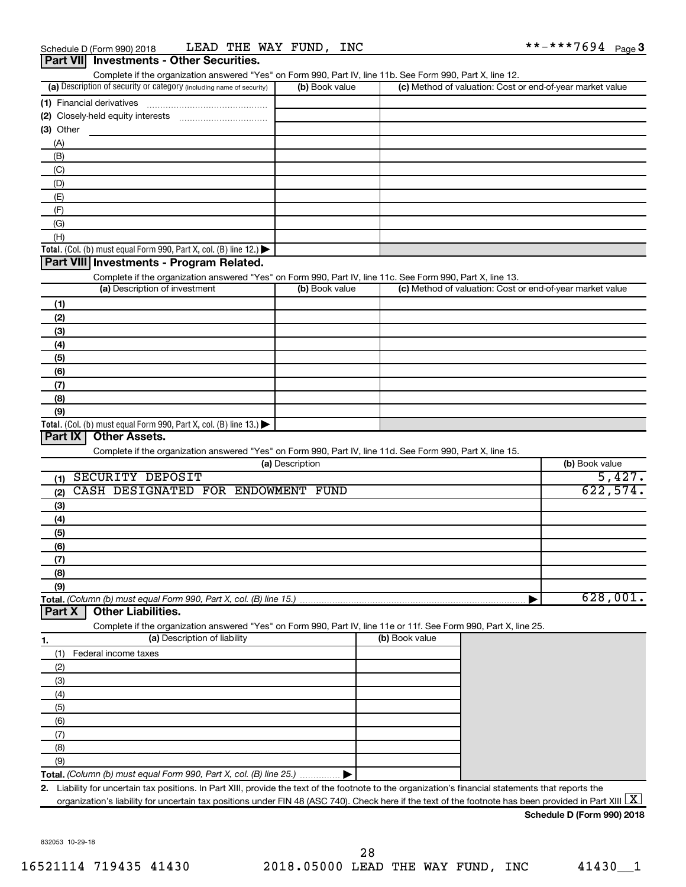| Complete if the organization answered "Yes" on Form 990, Part IV, line 11b. See Form 990, Part X, line 12. |                |                                                           |
|------------------------------------------------------------------------------------------------------------|----------------|-----------------------------------------------------------|
| (a) Description of security or category (including name of security)                                       | (b) Book value | (c) Method of valuation: Cost or end-of-year market value |
| (1) Financial derivatives                                                                                  |                |                                                           |
| (2) Closely-held equity interests                                                                          |                |                                                           |
| (3) Other                                                                                                  |                |                                                           |
| (A)                                                                                                        |                |                                                           |
| (B)                                                                                                        |                |                                                           |
| (C)                                                                                                        |                |                                                           |
| (D)                                                                                                        |                |                                                           |
| (E)                                                                                                        |                |                                                           |
| (F)                                                                                                        |                |                                                           |
| (G)                                                                                                        |                |                                                           |
| (H)                                                                                                        |                |                                                           |
| Total. (Col. (b) must equal Form 990, Part X, col. (B) line $12$ .)                                        |                |                                                           |
| Dart VIII Invostments - Pregram Pelated                                                                    |                |                                                           |

#### **Part VIII Investments - Program Related.**

Complete if the organization answered "Yes" on Form 990, Part IV, line 11c. See Form 990, Part X, line 13.

| (a) Description of investment                                       | (b) Book value | (c) Method of valuation: Cost or end-of-year market value |
|---------------------------------------------------------------------|----------------|-----------------------------------------------------------|
| (1)                                                                 |                |                                                           |
| (2)                                                                 |                |                                                           |
| (3)                                                                 |                |                                                           |
| (4)                                                                 |                |                                                           |
| (5)                                                                 |                |                                                           |
| (6)                                                                 |                |                                                           |
| (7)                                                                 |                |                                                           |
| (8)                                                                 |                |                                                           |
| (9)                                                                 |                |                                                           |
| Total. (Col. (b) must equal Form 990, Part X, col. (B) line $13.$ ) |                |                                                           |

# **Part IX Other Assets.**

Complete if the organization answered "Yes" on Form 990, Part IV, line 11d. See Form 990, Part X, line 15.

| (a) Description                              | (b) Book value |
|----------------------------------------------|----------------|
| SECURITY DEPOSIT<br>(1)                      | 5,427.         |
| CASH DESIGNATED FOR ENDOWMENT<br>FUND<br>(2) | 622,574.       |
| (3)                                          |                |
| (4)                                          |                |
| (5)                                          |                |
| (6)                                          |                |
| (7)                                          |                |
| (8)                                          |                |
| (9)                                          |                |
|                                              | 628,001.       |

#### **Part X Other Liabilities.**

Complete if the organization answered "Yes" on Form 990, Part IV, line 11e or 11f. See Form 990, Part X, line 25.

|     | (a) Description of liability                                       | (b) Book value |
|-----|--------------------------------------------------------------------|----------------|
|     | Federal income taxes                                               |                |
| (2) |                                                                    |                |
| (3) |                                                                    |                |
| (4) |                                                                    |                |
| (5) |                                                                    |                |
| (6) |                                                                    |                |
|     |                                                                    |                |
| (8) |                                                                    |                |
| (9) |                                                                    |                |
|     | Total. (Column (b) must equal Form 990, Part X, col. (B) line 25.) |                |

**2.** Liability for uncertain tax positions. In Part XIII, provide the text of the footnote to the organization's financial statements that reports the organization's liability for uncertain tax positions under FIN 48 (ASC 740). Check here if the text of the footnote has been provided in Part XIII  $\boxed{\text{X}}$ 

#### **Schedule D (Form 990) 2018**

832053 10-29-18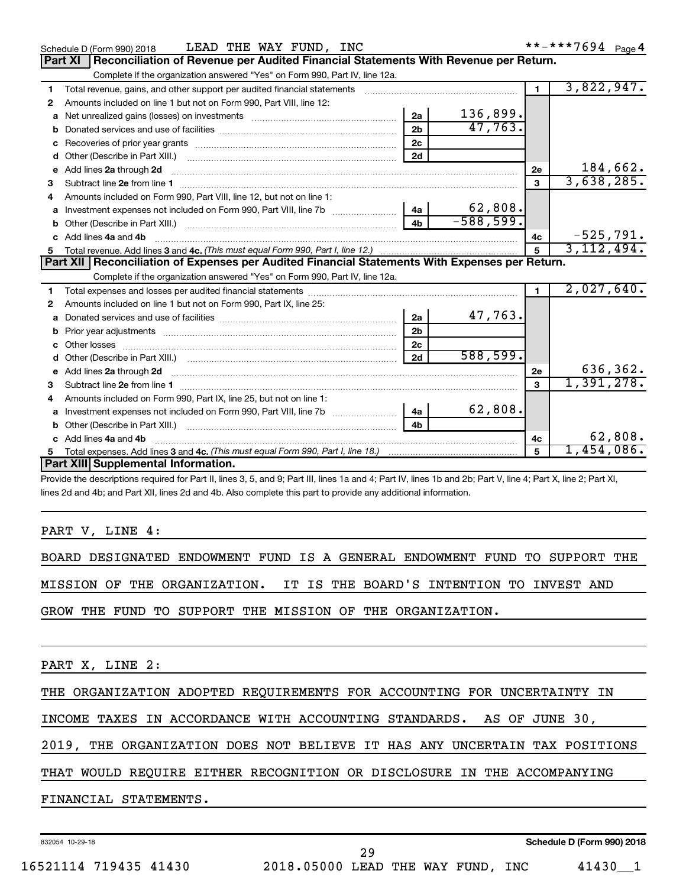|              | LEAD THE WAY FUND, INC<br>Schedule D (Form 990) 2018                                                           |                |             |                         |             |
|--------------|----------------------------------------------------------------------------------------------------------------|----------------|-------------|-------------------------|-------------|
|              | Reconciliation of Revenue per Audited Financial Statements With Revenue per Return.<br>Part XI                 |                |             |                         |             |
|              | Complete if the organization answered "Yes" on Form 990, Part IV, line 12a.                                    |                |             |                         |             |
| 1            | Total revenue, gains, and other support per audited financial statements                                       |                |             | $\blacksquare$          | 3,822,947.  |
| 2            | Amounts included on line 1 but not on Form 990, Part VIII, line 12:                                            |                |             |                         |             |
| a            |                                                                                                                | 2a             | 136,899.    |                         |             |
|              |                                                                                                                | 2 <sub>b</sub> | 47,763.     |                         |             |
|              |                                                                                                                | 2c             |             |                         |             |
| d            |                                                                                                                | 2d             |             |                         |             |
| $\mathbf{e}$ | Add lines 2a through 2d                                                                                        |                |             | 2e                      | 184,662.    |
| 3            |                                                                                                                |                |             | $\overline{\mathbf{3}}$ | 3,638,285.  |
| 4            | Amounts included on Form 990, Part VIII, line 12, but not on line 1:                                           |                |             |                         |             |
| a            |                                                                                                                |                | 62,808.     |                         |             |
|              |                                                                                                                | 4 <sub>h</sub> | $-588,599.$ |                         |             |
|              | c Add lines 4a and 4b                                                                                          |                |             | 4с                      | $-525,791.$ |
|              |                                                                                                                |                |             | $5\phantom{1}$          | 3,112,494.  |
|              | Part XII   Reconciliation of Expenses per Audited Financial Statements With Expenses per Return.               |                |             |                         |             |
|              | Complete if the organization answered "Yes" on Form 990, Part IV, line 12a.                                    |                |             |                         |             |
| 1.           |                                                                                                                |                |             | 1.                      | 2,027,640.  |
| 2            | Amounts included on line 1 but not on Form 990, Part IX, line 25:                                              |                |             |                         |             |
| a            |                                                                                                                | 2a             | 47,763.     |                         |             |
| b            |                                                                                                                | 2 <sub>b</sub> |             |                         |             |
|              | Other losses                                                                                                   | 2 <sub>c</sub> |             |                         |             |
|              |                                                                                                                | 2d             | 588,599.    |                         |             |
|              |                                                                                                                |                |             | 2e                      | 636,362.    |
| 3            |                                                                                                                |                |             | 3                       | 1,391,278.  |
|              | Amounts included on Form 990, Part IX, line 25, but not on line 1:                                             |                |             |                         |             |
| a            | Investment expenses not included on Form 990, Part VIII, line 7b [100] [100] [100] [100] [100] [100] [100] [10 | 4a             | 62,808.     |                         |             |
|              |                                                                                                                | 4 <sub>b</sub> |             |                         |             |
|              | c Add lines 4a and 4b                                                                                          |                |             | 4c                      | 62,808.     |
| 5            |                                                                                                                |                |             | 5                       | 1,454,086.  |
|              | Part XIII Supplemental Information.                                                                            |                |             |                         |             |
|              | $\mathcal{L} = \{ \mathbf{A} \in \mathcal{L} \mid \mathbf{A} \in \mathcal{L} \}$                               |                |             |                         |             |

Provide the descriptions required for Part II, lines 3, 5, and 9; Part III, lines 1a and 4; Part IV, lines 1b and 2b; Part V, line 4; Part X, line 2; Part XI, lines 2d and 4b; and Part XII, lines 2d and 4b. Also complete this part to provide any additional information.

### PART V, LINE 4:

BOARD DESIGNATED ENDOWMENT FUND IS A GENERAL ENDOWMENT FUND TO SUPPORT THE MISSION OF THE ORGANIZATION. IT IS THE BOARD'S INTENTION TO INVEST AND

GROW THE FUND TO SUPPORT THE MISSION OF THE ORGANIZATION.

PART X, LINE 2:

THE ORGANIZATION ADOPTED REQUIREMENTS FOR ACCOUNTING FOR UNCERTAINTY IN

INCOME TAXES IN ACCORDANCE WITH ACCOUNTING STANDARDS. AS OF JUNE 30,

2019, THE ORGANIZATION DOES NOT BELIEVE IT HAS ANY UNCERTAIN TAX POSITIONS

## THAT WOULD REQUIRE EITHER RECOGNITION OR DISCLOSURE IN THE ACCOMPANYING

FINANCIAL STATEMENTS.

832054 10-29-18

29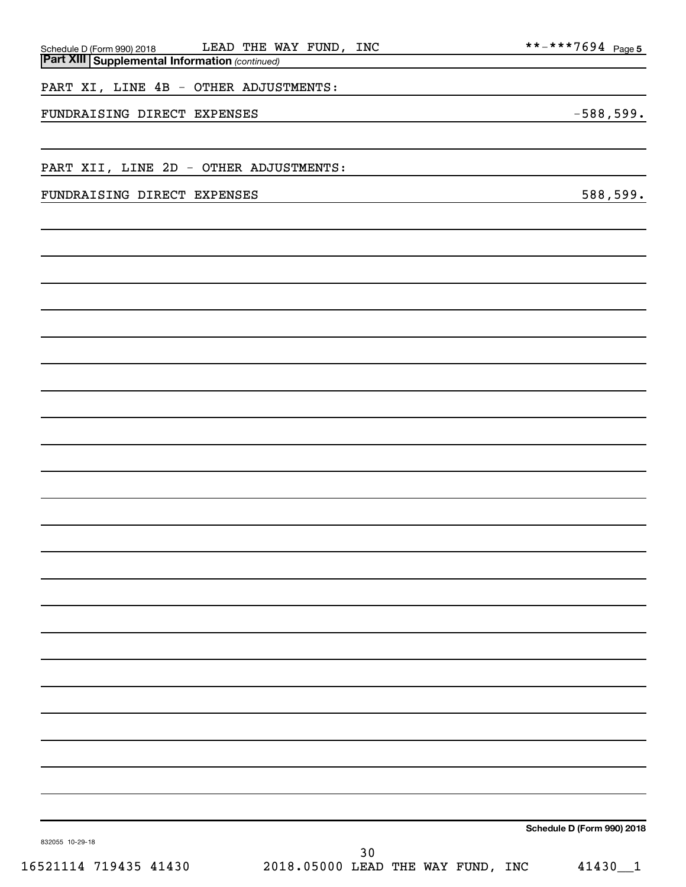| FUNDRAISING DIRECT EXPENSES            |                                   |      |  |  | $-588,599.$                |
|----------------------------------------|-----------------------------------|------|--|--|----------------------------|
|                                        |                                   |      |  |  |                            |
| PART XII, LINE 2D - OTHER ADJUSTMENTS: |                                   |      |  |  |                            |
| FUNDRAISING DIRECT EXPENSES            |                                   |      |  |  | 588,599.                   |
|                                        |                                   |      |  |  |                            |
|                                        |                                   |      |  |  |                            |
|                                        |                                   |      |  |  |                            |
|                                        |                                   |      |  |  |                            |
|                                        |                                   |      |  |  |                            |
|                                        |                                   |      |  |  |                            |
|                                        |                                   |      |  |  |                            |
|                                        |                                   |      |  |  |                            |
|                                        |                                   |      |  |  |                            |
|                                        |                                   |      |  |  |                            |
|                                        |                                   |      |  |  |                            |
|                                        |                                   |      |  |  |                            |
|                                        |                                   |      |  |  |                            |
|                                        |                                   |      |  |  |                            |
|                                        |                                   |      |  |  |                            |
|                                        |                                   |      |  |  |                            |
|                                        |                                   |      |  |  |                            |
|                                        |                                   |      |  |  |                            |
|                                        |                                   |      |  |  |                            |
|                                        |                                   |      |  |  |                            |
|                                        |                                   |      |  |  |                            |
|                                        |                                   |      |  |  |                            |
|                                        |                                   |      |  |  |                            |
| 832055 10-29-18                        |                                   |      |  |  | Schedule D (Form 990) 2018 |
| 16521114 719435 41430                  | 2018.05000 LEAD THE WAY FUND, INC | $30$ |  |  | 41430_1                    |

*(continued)*

LEAD THE WAY FUND, INC

**Part XIII Supplemental Information** 

Schedule D (Form 990) 2018 Page

 $*** -*** 7694$  Page 5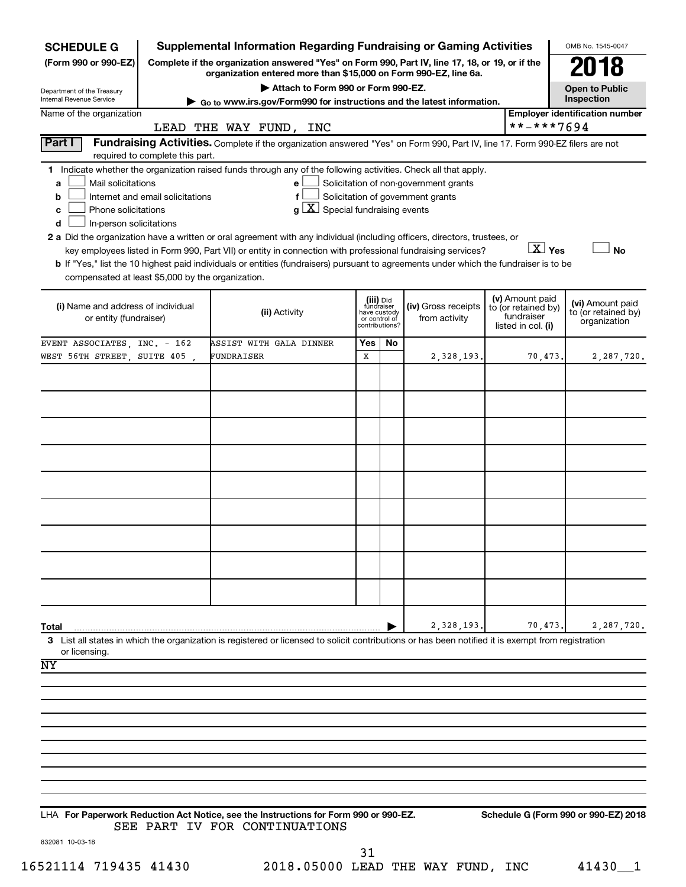| <b>SCHEDULE G</b>                                                                        |                                                                                                                                                                     | <b>Supplemental Information Regarding Fundraising or Gaming Activities</b>                                                                                                                                                                                                                                                                                                                                                                                                                                                                                             |                                                                            |    |                                                                            |  |                                                                            | OMB No. 1545-0047                                       |
|------------------------------------------------------------------------------------------|---------------------------------------------------------------------------------------------------------------------------------------------------------------------|------------------------------------------------------------------------------------------------------------------------------------------------------------------------------------------------------------------------------------------------------------------------------------------------------------------------------------------------------------------------------------------------------------------------------------------------------------------------------------------------------------------------------------------------------------------------|----------------------------------------------------------------------------|----|----------------------------------------------------------------------------|--|----------------------------------------------------------------------------|---------------------------------------------------------|
| (Form 990 or 990-EZ)                                                                     | Complete if the organization answered "Yes" on Form 990, Part IV, line 17, 18, or 19, or if the<br>organization entered more than \$15,000 on Form 990-EZ, line 6a. |                                                                                                                                                                                                                                                                                                                                                                                                                                                                                                                                                                        |                                                                            |    |                                                                            |  |                                                                            |                                                         |
|                                                                                          |                                                                                                                                                                     | Attach to Form 990 or Form 990-EZ.                                                                                                                                                                                                                                                                                                                                                                                                                                                                                                                                     |                                                                            |    |                                                                            |  |                                                                            | <b>Open to Public</b>                                   |
| Department of the Treasury<br>Internal Revenue Service                                   |                                                                                                                                                                     | ► Go to www.irs.gov/Form990 for instructions and the latest information.                                                                                                                                                                                                                                                                                                                                                                                                                                                                                               |                                                                            |    |                                                                            |  |                                                                            | Inspection                                              |
| Name of the organization                                                                 |                                                                                                                                                                     |                                                                                                                                                                                                                                                                                                                                                                                                                                                                                                                                                                        |                                                                            |    |                                                                            |  | **-***7694                                                                 | <b>Employer identification number</b>                   |
| Part I                                                                                   |                                                                                                                                                                     | LEAD THE WAY FUND, INC<br>Fundraising Activities. Complete if the organization answered "Yes" on Form 990, Part IV, line 17. Form 990-EZ filers are not                                                                                                                                                                                                                                                                                                                                                                                                                |                                                                            |    |                                                                            |  |                                                                            |                                                         |
|                                                                                          | required to complete this part.                                                                                                                                     |                                                                                                                                                                                                                                                                                                                                                                                                                                                                                                                                                                        |                                                                            |    |                                                                            |  |                                                                            |                                                         |
| Mail solicitations<br>a<br>b<br>Phone solicitations<br>с<br>d<br>In-person solicitations | Internet and email solicitations                                                                                                                                    | 1 Indicate whether the organization raised funds through any of the following activities. Check all that apply.<br>e<br>f<br>$\lfloor x \rfloor$ Special fundraising events<br>a<br>2 a Did the organization have a written or oral agreement with any individual (including officers, directors, trustees, or<br>key employees listed in Form 990, Part VII) or entity in connection with professional fundraising services?<br>b If "Yes," list the 10 highest paid individuals or entities (fundraisers) pursuant to agreements under which the fundraiser is to be |                                                                            |    | Solicitation of non-government grants<br>Solicitation of government grants |  | $\boxed{\text{X}}$ Yes                                                     | <b>No</b>                                               |
| compensated at least \$5,000 by the organization.                                        |                                                                                                                                                                     |                                                                                                                                                                                                                                                                                                                                                                                                                                                                                                                                                                        |                                                                            |    |                                                                            |  |                                                                            |                                                         |
| (i) Name and address of individual<br>or entity (fundraiser)                             |                                                                                                                                                                     | (ii) Activity                                                                                                                                                                                                                                                                                                                                                                                                                                                                                                                                                          | (iii) Did<br>fundraiser<br>have custody<br>or control of<br>contributions? |    | (iv) Gross receipts<br>from activity                                       |  | (v) Amount paid<br>to (or retained by)<br>fundraiser<br>listed in col. (i) | (vi) Amount paid<br>to (or retained by)<br>organization |
| EVENT ASSOCIATES, INC. - 162                                                             |                                                                                                                                                                     | ASSIST WITH GALA DINNER                                                                                                                                                                                                                                                                                                                                                                                                                                                                                                                                                | Yes                                                                        | No |                                                                            |  |                                                                            |                                                         |
| WEST 56TH STREET, SUITE 405                                                              |                                                                                                                                                                     | FUNDRAISER                                                                                                                                                                                                                                                                                                                                                                                                                                                                                                                                                             | X                                                                          |    | 2,328,193                                                                  |  | 70,473.                                                                    | 2,287,720.                                              |
|                                                                                          |                                                                                                                                                                     |                                                                                                                                                                                                                                                                                                                                                                                                                                                                                                                                                                        |                                                                            |    |                                                                            |  |                                                                            |                                                         |
|                                                                                          |                                                                                                                                                                     |                                                                                                                                                                                                                                                                                                                                                                                                                                                                                                                                                                        |                                                                            |    |                                                                            |  |                                                                            |                                                         |
|                                                                                          |                                                                                                                                                                     |                                                                                                                                                                                                                                                                                                                                                                                                                                                                                                                                                                        |                                                                            |    |                                                                            |  |                                                                            |                                                         |
|                                                                                          |                                                                                                                                                                     |                                                                                                                                                                                                                                                                                                                                                                                                                                                                                                                                                                        |                                                                            |    |                                                                            |  |                                                                            |                                                         |
|                                                                                          |                                                                                                                                                                     |                                                                                                                                                                                                                                                                                                                                                                                                                                                                                                                                                                        |                                                                            |    |                                                                            |  |                                                                            |                                                         |
|                                                                                          |                                                                                                                                                                     |                                                                                                                                                                                                                                                                                                                                                                                                                                                                                                                                                                        |                                                                            |    |                                                                            |  |                                                                            |                                                         |
|                                                                                          |                                                                                                                                                                     |                                                                                                                                                                                                                                                                                                                                                                                                                                                                                                                                                                        |                                                                            |    |                                                                            |  |                                                                            |                                                         |
|                                                                                          |                                                                                                                                                                     |                                                                                                                                                                                                                                                                                                                                                                                                                                                                                                                                                                        |                                                                            |    |                                                                            |  |                                                                            |                                                         |
|                                                                                          |                                                                                                                                                                     |                                                                                                                                                                                                                                                                                                                                                                                                                                                                                                                                                                        |                                                                            |    |                                                                            |  |                                                                            |                                                         |
|                                                                                          |                                                                                                                                                                     |                                                                                                                                                                                                                                                                                                                                                                                                                                                                                                                                                                        |                                                                            |    |                                                                            |  |                                                                            |                                                         |
|                                                                                          |                                                                                                                                                                     |                                                                                                                                                                                                                                                                                                                                                                                                                                                                                                                                                                        |                                                                            |    |                                                                            |  |                                                                            |                                                         |
|                                                                                          |                                                                                                                                                                     |                                                                                                                                                                                                                                                                                                                                                                                                                                                                                                                                                                        |                                                                            |    |                                                                            |  |                                                                            |                                                         |
|                                                                                          |                                                                                                                                                                     |                                                                                                                                                                                                                                                                                                                                                                                                                                                                                                                                                                        |                                                                            |    |                                                                            |  |                                                                            |                                                         |
|                                                                                          |                                                                                                                                                                     |                                                                                                                                                                                                                                                                                                                                                                                                                                                                                                                                                                        |                                                                            |    |                                                                            |  |                                                                            |                                                         |
| Total                                                                                    |                                                                                                                                                                     | 3 List all states in which the organization is registered or licensed to solicit contributions or has been notified it is exempt from registration                                                                                                                                                                                                                                                                                                                                                                                                                     |                                                                            |    | 2,328,193                                                                  |  | 70,473                                                                     | 2,287,720.                                              |
| or licensing.                                                                            |                                                                                                                                                                     |                                                                                                                                                                                                                                                                                                                                                                                                                                                                                                                                                                        |                                                                            |    |                                                                            |  |                                                                            |                                                         |
| NY                                                                                       |                                                                                                                                                                     |                                                                                                                                                                                                                                                                                                                                                                                                                                                                                                                                                                        |                                                                            |    |                                                                            |  |                                                                            |                                                         |
|                                                                                          |                                                                                                                                                                     |                                                                                                                                                                                                                                                                                                                                                                                                                                                                                                                                                                        |                                                                            |    |                                                                            |  |                                                                            |                                                         |
|                                                                                          |                                                                                                                                                                     |                                                                                                                                                                                                                                                                                                                                                                                                                                                                                                                                                                        |                                                                            |    |                                                                            |  |                                                                            |                                                         |
|                                                                                          |                                                                                                                                                                     |                                                                                                                                                                                                                                                                                                                                                                                                                                                                                                                                                                        |                                                                            |    |                                                                            |  |                                                                            |                                                         |
|                                                                                          |                                                                                                                                                                     |                                                                                                                                                                                                                                                                                                                                                                                                                                                                                                                                                                        |                                                                            |    |                                                                            |  |                                                                            |                                                         |
|                                                                                          |                                                                                                                                                                     |                                                                                                                                                                                                                                                                                                                                                                                                                                                                                                                                                                        |                                                                            |    |                                                                            |  |                                                                            |                                                         |
|                                                                                          |                                                                                                                                                                     |                                                                                                                                                                                                                                                                                                                                                                                                                                                                                                                                                                        |                                                                            |    |                                                                            |  |                                                                            |                                                         |
|                                                                                          |                                                                                                                                                                     |                                                                                                                                                                                                                                                                                                                                                                                                                                                                                                                                                                        |                                                                            |    |                                                                            |  |                                                                            |                                                         |
|                                                                                          |                                                                                                                                                                     | LHA For Paperwork Reduction Act Notice, see the Instructions for Form 990 or 990-EZ.                                                                                                                                                                                                                                                                                                                                                                                                                                                                                   |                                                                            |    |                                                                            |  |                                                                            | Schedule G (Form 990 or 990-EZ) 2018                    |
|                                                                                          |                                                                                                                                                                     | SEE PART IV FOR CONTINUATIONS                                                                                                                                                                                                                                                                                                                                                                                                                                                                                                                                          |                                                                            |    |                                                                            |  |                                                                            |                                                         |

832081 10-03-18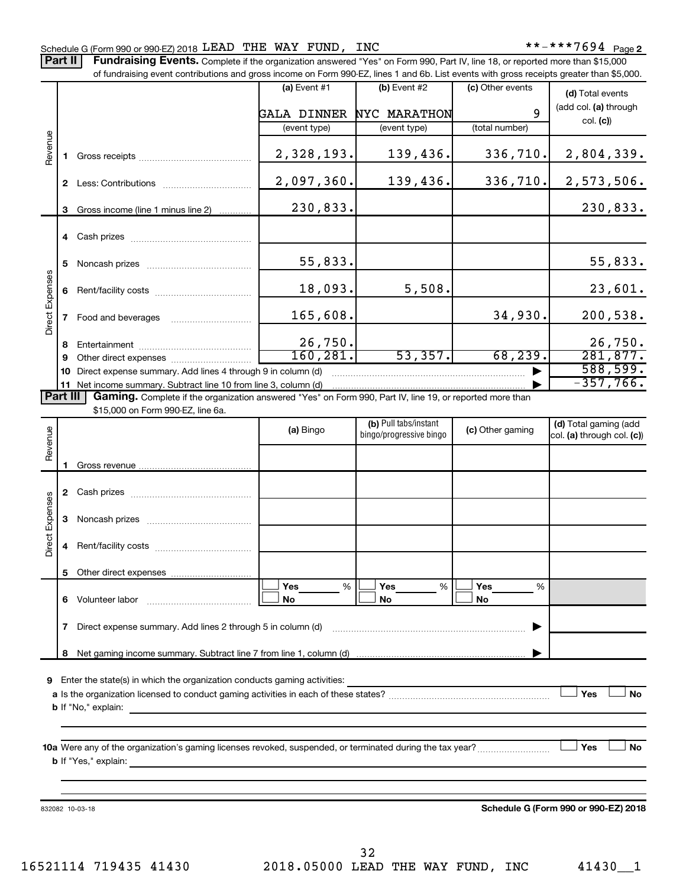Part II | Fundraising Events. Complete if the organization answered "Yes" on Form 990, Part IV, line 18, or reported more than \$15,000 of fundraising event contributions and gross income on Form 990-EZ, lines 1 and 6b. List events with gross receipts greater than \$5,000.

|                        |              | of fundraising event contributions and gross income on Form 990-EZ, lines 1 and 6b. List events with gross receipts greater than \$5,000.                                                                                                 |                |                                                  |                  |                                                     |
|------------------------|--------------|-------------------------------------------------------------------------------------------------------------------------------------------------------------------------------------------------------------------------------------------|----------------|--------------------------------------------------|------------------|-----------------------------------------------------|
|                        |              |                                                                                                                                                                                                                                           | (a) Event $#1$ | $(b)$ Event #2                                   | (c) Other events | (d) Total events                                    |
|                        |              |                                                                                                                                                                                                                                           | GALA DINNER    | NYC MARATHON                                     | 9                | (add col. (a) through                               |
|                        |              |                                                                                                                                                                                                                                           | (event type)   | (event type)                                     | (total number)   | col. (c)                                            |
| Revenue                |              |                                                                                                                                                                                                                                           | 2,328,193.     | 139,436.                                         | 336,710.         | 2,804,339.                                          |
|                        |              |                                                                                                                                                                                                                                           | 2,097,360.     | 139,436.                                         | 336,710.         | 2,573,506.                                          |
|                        | 3            | Gross income (line 1 minus line 2)                                                                                                                                                                                                        | 230,833.       |                                                  |                  | 230,833.                                            |
|                        |              |                                                                                                                                                                                                                                           |                |                                                  |                  |                                                     |
|                        | 5.           |                                                                                                                                                                                                                                           | 55,833.        |                                                  |                  | 55,833.                                             |
|                        |              |                                                                                                                                                                                                                                           | 18,093.        | 5,508.                                           |                  | 23,601.                                             |
| Direct Expenses        |              | 7 Food and beverages                                                                                                                                                                                                                      | 165,608.       |                                                  | 34,930.          | 200,538.                                            |
|                        | 8            |                                                                                                                                                                                                                                           | 26,750.        |                                                  |                  | 26,750.                                             |
|                        | 9            |                                                                                                                                                                                                                                           | 160, 281.      | 53,357.                                          | 68, 239.         | 281,877.                                            |
|                        | 10           | Direct expense summary. Add lines 4 through 9 in column (d)                                                                                                                                                                               |                |                                                  |                  | 588,599.                                            |
|                        |              | 11 Net income summary. Subtract line 10 from line 3, column (d)                                                                                                                                                                           |                |                                                  |                  | $-357,766$ .                                        |
| Part III               |              | Gaming. Complete if the organization answered "Yes" on Form 990, Part IV, line 19, or reported more than<br>\$15,000 on Form 990-EZ, line 6a.                                                                                             |                |                                                  |                  |                                                     |
| Revenue                |              |                                                                                                                                                                                                                                           | (a) Bingo      | (b) Pull tabs/instant<br>bingo/progressive bingo | (c) Other gaming | (d) Total gaming (add<br>col. (a) through col. (c)) |
|                        |              |                                                                                                                                                                                                                                           |                |                                                  |                  |                                                     |
|                        | 1.           |                                                                                                                                                                                                                                           |                |                                                  |                  |                                                     |
|                        |              |                                                                                                                                                                                                                                           |                |                                                  |                  |                                                     |
| <b>Direct Expenses</b> | 3            |                                                                                                                                                                                                                                           |                |                                                  |                  |                                                     |
|                        |              |                                                                                                                                                                                                                                           |                |                                                  |                  |                                                     |
|                        |              | 5 Other direct expenses                                                                                                                                                                                                                   |                |                                                  |                  |                                                     |
|                        |              |                                                                                                                                                                                                                                           | Yes<br>%       | Yes<br>%                                         | Yes<br>%         |                                                     |
|                        |              |                                                                                                                                                                                                                                           | No             | No                                               | No               |                                                     |
|                        | $\mathbf{7}$ | Direct expense summary. Add lines 2 through 5 in column (d)                                                                                                                                                                               |                |                                                  |                  |                                                     |
|                        | 8            |                                                                                                                                                                                                                                           |                |                                                  |                  |                                                     |
| 9                      |              | Enter the state(s) in which the organization conducts gaming activities:                                                                                                                                                                  |                |                                                  |                  |                                                     |
|                        |              |                                                                                                                                                                                                                                           |                |                                                  |                  | Yes<br>No                                           |
|                        |              | <b>b</b> If "No," explain: <b>All and the Contract of the Contract of the Contract of the Contract of the Contract of the Contract of the Contract of the Contract of the Contract of the Contract of the Contract of the Contract of</b> |                |                                                  |                  |                                                     |
|                        |              |                                                                                                                                                                                                                                           |                |                                                  |                  |                                                     |
|                        |              | 10a Were any of the organization's gaming licenses revoked, suspended, or terminated during the tax year?                                                                                                                                 |                |                                                  |                  | Yes<br>No                                           |
|                        |              | <b>b</b> If "Yes," explain: <u>All and the set of the set of the set of the set of the set of the set of the set of the set of the set of the set of the set of the set of the set of the set of the set of the set of the set of the</u> |                |                                                  |                  |                                                     |
|                        |              |                                                                                                                                                                                                                                           |                |                                                  |                  |                                                     |
|                        |              | 832082 10-03-18                                                                                                                                                                                                                           |                |                                                  |                  | Schedule G (Form 990 or 990-EZ) 2018                |

16521114 719435 41430 2018.05000 LEAD THE WAY FUND, INC 41430\_\_1 32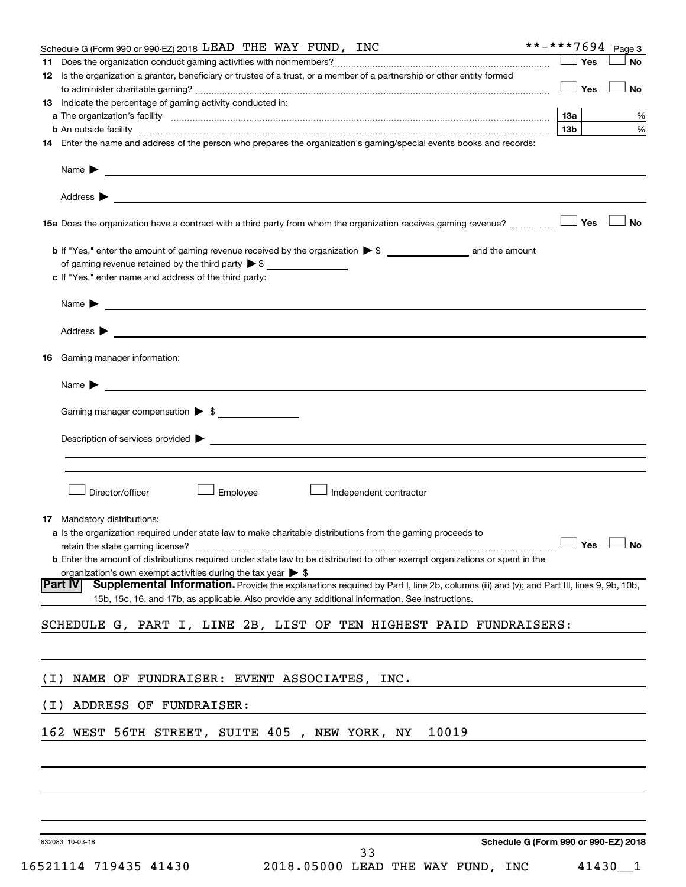|       | Schedule G (Form 990 or 990-EZ) 2018 LEAD THE WAY FUND, INC                                                                                                                                                                        |            | **-***7694 Page 3 |
|-------|------------------------------------------------------------------------------------------------------------------------------------------------------------------------------------------------------------------------------------|------------|-------------------|
| 11.   |                                                                                                                                                                                                                                    | Yes        | <b>No</b>         |
|       | 12 Is the organization a grantor, beneficiary or trustee of a trust, or a member of a partnership or other entity formed                                                                                                           |            |                   |
|       |                                                                                                                                                                                                                                    | $\Box$ Yes | <b>No</b>         |
|       | <b>13</b> Indicate the percentage of gaming activity conducted in:                                                                                                                                                                 |            |                   |
|       |                                                                                                                                                                                                                                    | 13a        | %                 |
|       |                                                                                                                                                                                                                                    | 13b l      | $\%$              |
|       | 14 Enter the name and address of the person who prepares the organization's gaming/special events books and records:                                                                                                               |            |                   |
|       |                                                                                                                                                                                                                                    |            |                   |
|       |                                                                                                                                                                                                                                    |            |                   |
|       |                                                                                                                                                                                                                                    |            |                   |
|       |                                                                                                                                                                                                                                    |            |                   |
|       |                                                                                                                                                                                                                                    |            |                   |
|       |                                                                                                                                                                                                                                    |            | <b>No</b>         |
|       |                                                                                                                                                                                                                                    |            |                   |
|       | <b>b</b> If "Yes," enter the amount of gaming revenue received by the organization $\triangleright$ \$ and the amount                                                                                                              |            |                   |
|       | of gaming revenue retained by the third party $\triangleright$ \$                                                                                                                                                                  |            |                   |
|       | c If "Yes," enter name and address of the third party:                                                                                                                                                                             |            |                   |
|       |                                                                                                                                                                                                                                    |            |                   |
|       | Name $\triangleright$                                                                                                                                                                                                              |            |                   |
|       |                                                                                                                                                                                                                                    |            |                   |
|       | Address $\blacktriangleright$                                                                                                                                                                                                      |            |                   |
| 16.   | Gaming manager information:                                                                                                                                                                                                        |            |                   |
|       |                                                                                                                                                                                                                                    |            |                   |
|       | <u> 1989 - Johann Barn, amerikansk politiker (d. 1989)</u><br>Name $\blacktriangleright$                                                                                                                                           |            |                   |
|       |                                                                                                                                                                                                                                    |            |                   |
|       | Gaming manager compensation > \$                                                                                                                                                                                                   |            |                   |
|       |                                                                                                                                                                                                                                    |            |                   |
|       | Description of services provided <b>by the contract of the contract of the contract of services provided</b>                                                                                                                       |            |                   |
|       |                                                                                                                                                                                                                                    |            |                   |
|       |                                                                                                                                                                                                                                    |            |                   |
|       |                                                                                                                                                                                                                                    |            |                   |
|       | Director/officer<br>Employee<br>Independent contractor                                                                                                                                                                             |            |                   |
|       |                                                                                                                                                                                                                                    |            |                   |
|       | 17 Mandatory distributions:                                                                                                                                                                                                        |            |                   |
|       | <b>a</b> Is the organization required under state law to make charitable distributions from the gaming proceeds to                                                                                                                 |            |                   |
|       | retain the state gaming license? $\Box$ No                                                                                                                                                                                         |            |                   |
|       | <b>b</b> Enter the amount of distributions required under state law to be distributed to other exempt organizations or spent in the                                                                                                |            |                   |
|       | organization's own exempt activities during the tax year $\triangleright$ \$<br>Supplemental Information. Provide the explanations required by Part I, line 2b, columns (iii) and (v); and Part III, lines 9, 9b, 10b,<br> Part IV |            |                   |
|       | 15b, 15c, 16, and 17b, as applicable. Also provide any additional information. See instructions.                                                                                                                                   |            |                   |
|       |                                                                                                                                                                                                                                    |            |                   |
|       | SCHEDULE G, PART I, LINE 2B, LIST OF TEN HIGHEST PAID FUNDRAISERS:                                                                                                                                                                 |            |                   |
|       |                                                                                                                                                                                                                                    |            |                   |
|       |                                                                                                                                                                                                                                    |            |                   |
|       |                                                                                                                                                                                                                                    |            |                   |
| ( I ) | NAME OF FUNDRAISER: EVENT ASSOCIATES, INC.                                                                                                                                                                                         |            |                   |
|       |                                                                                                                                                                                                                                    |            |                   |
| ( I ) | ADDRESS OF FUNDRAISER:                                                                                                                                                                                                             |            |                   |
|       |                                                                                                                                                                                                                                    |            |                   |
|       | 162 WEST 56TH STREET, SUITE 405, NEW YORK, NY<br>10019                                                                                                                                                                             |            |                   |
|       |                                                                                                                                                                                                                                    |            |                   |
|       |                                                                                                                                                                                                                                    |            |                   |
|       |                                                                                                                                                                                                                                    |            |                   |
|       |                                                                                                                                                                                                                                    |            |                   |
|       |                                                                                                                                                                                                                                    |            |                   |
|       |                                                                                                                                                                                                                                    |            |                   |
|       | Schedule G (Form 990 or 990-EZ) 2018<br>832083 10-03-18                                                                                                                                                                            |            |                   |
|       | 33                                                                                                                                                                                                                                 |            |                   |

| 16521114 719435 41430 |  | 2018.05000 LEAD THE WAY FUND, INC |  |  | 41430 1 |
|-----------------------|--|-----------------------------------|--|--|---------|
|-----------------------|--|-----------------------------------|--|--|---------|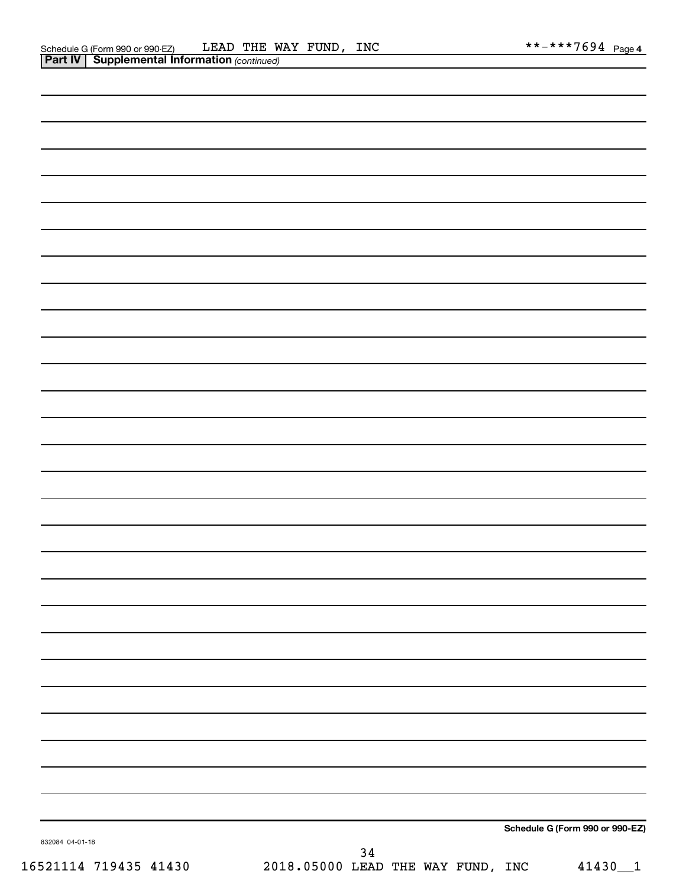| 832084 04-01-18 |  |  | Schedule G (Form 990 or 990-EZ) |
|-----------------|--|--|---------------------------------|
|                 |  |  |                                 |
|                 |  |  |                                 |
|                 |  |  |                                 |
|                 |  |  |                                 |
|                 |  |  |                                 |
|                 |  |  |                                 |
|                 |  |  |                                 |
|                 |  |  |                                 |
|                 |  |  |                                 |
|                 |  |  |                                 |
|                 |  |  |                                 |
|                 |  |  |                                 |
|                 |  |  |                                 |
|                 |  |  |                                 |
|                 |  |  |                                 |
|                 |  |  |                                 |
|                 |  |  |                                 |
|                 |  |  |                                 |
|                 |  |  |                                 |
|                 |  |  |                                 |
|                 |  |  |                                 |
|                 |  |  |                                 |
|                 |  |  |                                 |
|                 |  |  |                                 |
|                 |  |  |                                 |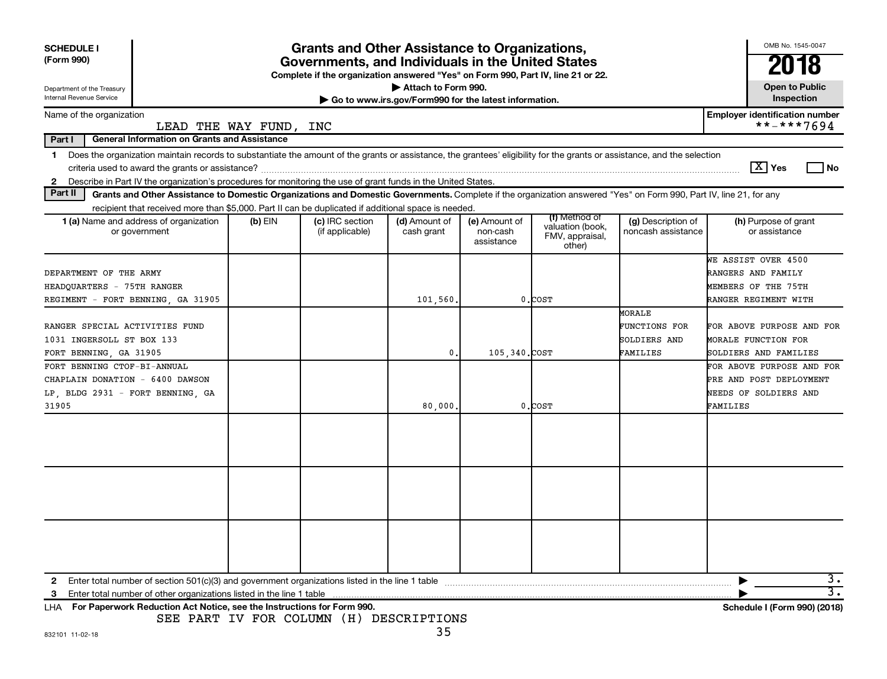| <b>SCHEDULE I</b><br>(Form 990)<br>Department of the Treasury<br>Internal Revenue Service                                                                                               | OMB No. 1545-0047<br>2018<br><b>Open to Public</b><br>Inspection |                                    |                             |                                         |                                                                |                                          |                                       |
|-----------------------------------------------------------------------------------------------------------------------------------------------------------------------------------------|------------------------------------------------------------------|------------------------------------|-----------------------------|-----------------------------------------|----------------------------------------------------------------|------------------------------------------|---------------------------------------|
| Name of the organization                                                                                                                                                                |                                                                  |                                    |                             |                                         |                                                                |                                          | <b>Employer identification number</b> |
|                                                                                                                                                                                         | LEAD THE WAY FUND, INC                                           |                                    |                             |                                         |                                                                |                                          | **-***7694                            |
| Part I<br><b>General Information on Grants and Assistance</b>                                                                                                                           |                                                                  |                                    |                             |                                         |                                                                |                                          |                                       |
| Does the organization maintain records to substantiate the amount of the grants or assistance, the grantees' eligibility for the grants or assistance, and the selection<br>$\mathbf 1$ |                                                                  |                                    |                             |                                         |                                                                |                                          | $\boxed{\text{X}}$ Yes<br>l No        |
| Describe in Part IV the organization's procedures for monitoring the use of grant funds in the United States.<br>2                                                                      |                                                                  |                                    |                             |                                         |                                                                |                                          |                                       |
| Part II<br>Grants and Other Assistance to Domestic Organizations and Domestic Governments. Complete if the organization answered "Yes" on Form 990, Part IV, line 21, for any           |                                                                  |                                    |                             |                                         |                                                                |                                          |                                       |
| recipient that received more than \$5,000. Part II can be duplicated if additional space is needed.                                                                                     |                                                                  |                                    |                             |                                         |                                                                |                                          |                                       |
| <b>1 (a)</b> Name and address of organization<br>or government                                                                                                                          | $(b)$ EIN                                                        | (c) IRC section<br>(if applicable) | (d) Amount of<br>cash grant | (e) Amount of<br>non-cash<br>assistance | (f) Method of<br>valuation (book,<br>FMV, appraisal,<br>other) | (g) Description of<br>noncash assistance | (h) Purpose of grant<br>or assistance |
|                                                                                                                                                                                         |                                                                  |                                    |                             |                                         |                                                                |                                          | WE ASSIST OVER 4500                   |
| DEPARTMENT OF THE ARMY                                                                                                                                                                  |                                                                  |                                    |                             |                                         |                                                                |                                          | RANGERS AND FAMILY                    |
| HEADQUARTERS - 75TH RANGER                                                                                                                                                              |                                                                  |                                    |                             |                                         |                                                                |                                          | MEMBERS OF THE 75TH                   |
| REGIMENT - FORT BENNING, GA 31905                                                                                                                                                       |                                                                  |                                    | 101,560                     |                                         | 0.COST                                                         |                                          | RANGER REGIMENT WITH                  |
|                                                                                                                                                                                         |                                                                  |                                    |                             |                                         |                                                                | <b>MORALE</b>                            |                                       |
| RANGER SPECIAL ACTIVITIES FUND                                                                                                                                                          |                                                                  |                                    |                             |                                         |                                                                | FUNCTIONS FOR                            | FOR ABOVE PURPOSE AND FOR             |
| 1031 INGERSOLL ST BOX 133                                                                                                                                                               |                                                                  |                                    |                             |                                         |                                                                | SOLDIERS AND                             | MORALE FUNCTION FOR                   |
| FORT BENNING, GA 31905                                                                                                                                                                  |                                                                  |                                    | 0                           | 105.340.COST                            |                                                                | FAMILIES                                 | SOLDIERS AND FAMILIES                 |
| FORT BENNING CTOF-BI-ANNUAL                                                                                                                                                             |                                                                  |                                    |                             |                                         |                                                                |                                          | FOR ABOVE PURPOSE AND FOR             |
| CHAPLAIN DONATION - 6400 DAWSON                                                                                                                                                         |                                                                  |                                    |                             |                                         |                                                                |                                          | PRE AND POST DEPLOYMENT               |
| LP, BLDG 2931 - FORT BENNING, GA                                                                                                                                                        |                                                                  |                                    |                             |                                         |                                                                |                                          | NEEDS OF SOLDIERS AND                 |
| 31905                                                                                                                                                                                   |                                                                  |                                    | 80,000                      |                                         | $0.C$ OST                                                      |                                          | FAMILIES                              |
|                                                                                                                                                                                         |                                                                  |                                    |                             |                                         |                                                                |                                          |                                       |
|                                                                                                                                                                                         |                                                                  |                                    |                             |                                         |                                                                |                                          |                                       |
|                                                                                                                                                                                         |                                                                  |                                    |                             |                                         |                                                                |                                          |                                       |
| Enter total number of section 501(c)(3) and government organizations listed in the line 1 table<br>2                                                                                    |                                                                  |                                    |                             |                                         |                                                                |                                          | 3.<br>$\overline{3}$ .                |
| 3<br>LHA For Paperwork Reduction Act Notice, see the Instructions for Form 990.                                                                                                         |                                                                  |                                    |                             |                                         |                                                                |                                          | Schedule I (Form 990) (2018)          |

SEE PART IV FOR COLUMN (H) DESCRIPTIONS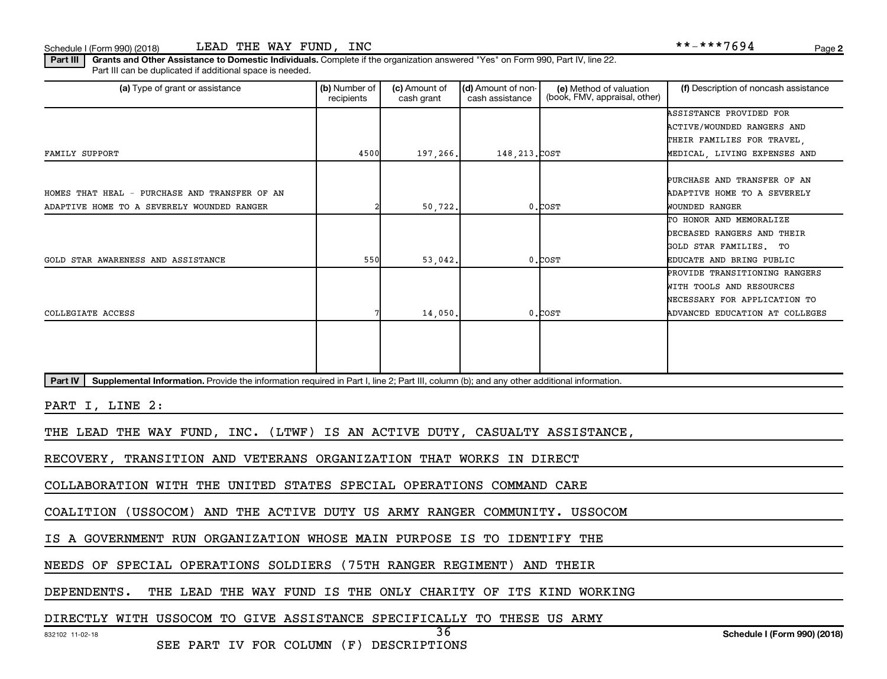Schedule I (Form 990) (2018) LEAD THE WAY FUND, INC  $\texttt{***}\texttt{***}$  ,  $\texttt{***}$   $\texttt{***}$   $\texttt{7694}$  Page

Part III | Grants and Other Assistance to Domestic Individuals. Complete if the organization answered "Yes" on Form 990, Part IV, line 22. Part III can be duplicated if additional space is needed.

| (a) Type of grant or assistance                                                                                                                      | (b) Number of<br>recipients | (c) Amount of<br>cash grant | (d) Amount of non-<br>cash assistance | (e) Method of valuation<br>(book, FMV, appraisal, other) | (f) Description of noncash assistance |
|------------------------------------------------------------------------------------------------------------------------------------------------------|-----------------------------|-----------------------------|---------------------------------------|----------------------------------------------------------|---------------------------------------|
|                                                                                                                                                      |                             |                             |                                       |                                                          | ASSISTANCE PROVIDED FOR               |
|                                                                                                                                                      |                             |                             |                                       |                                                          | ACTIVE/WOUNDED RANGERS AND            |
|                                                                                                                                                      |                             |                             |                                       |                                                          | THEIR FAMILIES FOR TRAVEL,            |
| FAMILY SUPPORT                                                                                                                                       | 4500                        | 197,266.                    | 148, 213. COST                        |                                                          | MEDICAL, LIVING EXPENSES AND          |
|                                                                                                                                                      |                             |                             |                                       |                                                          |                                       |
|                                                                                                                                                      |                             |                             |                                       |                                                          | PURCHASE AND TRANSFER OF AN           |
| HOMES THAT HEAL - PURCHASE AND TRANSFER OF AN                                                                                                        |                             |                             |                                       |                                                          | ADAPTIVE HOME TO A SEVERELY           |
| ADAPTIVE HOME TO A SEVERELY WOUNDED RANGER                                                                                                           |                             | 50,722.                     |                                       | $0$ . $COST$                                             | WOUNDED RANGER                        |
|                                                                                                                                                      |                             |                             |                                       |                                                          | TO HONOR AND MEMORALIZE               |
|                                                                                                                                                      |                             |                             |                                       |                                                          | DECEASED RANGERS AND THEIR            |
|                                                                                                                                                      |                             |                             |                                       |                                                          | GOLD STAR FAMILIES. TO                |
| GOLD STAR AWARENESS AND ASSISTANCE                                                                                                                   | 550                         | 53,042.                     |                                       | $0$ . $COST$                                             | EDUCATE AND BRING PUBLIC              |
|                                                                                                                                                      |                             |                             |                                       |                                                          | PROVIDE TRANSITIONING RANGERS         |
|                                                                                                                                                      |                             |                             |                                       |                                                          | WITH TOOLS AND RESOURCES              |
|                                                                                                                                                      |                             |                             |                                       |                                                          | NECESSARY FOR APPLICATION TO          |
| COLLEGIATE ACCESS                                                                                                                                    |                             | 14,050.                     |                                       | $0.$ COST                                                | ADVANCED EDUCATION AT COLLEGES        |
|                                                                                                                                                      |                             |                             |                                       |                                                          |                                       |
|                                                                                                                                                      |                             |                             |                                       |                                                          |                                       |
|                                                                                                                                                      |                             |                             |                                       |                                                          |                                       |
| Supplemental Information. Provide the information required in Part I, line 2; Part III, column (b); and any other additional information.<br>Part IV |                             |                             |                                       |                                                          |                                       |
|                                                                                                                                                      |                             |                             |                                       |                                                          |                                       |
| PART I, LINE 2:                                                                                                                                      |                             |                             |                                       |                                                          |                                       |
| THE LEAD THE WAY FUND, INC. (LTWF) IS AN ACTIVE DUTY, CASUALTY ASSISTANCE,                                                                           |                             |                             |                                       |                                                          |                                       |
| RECOVERY, TRANSITION AND VETERANS ORGANIZATION THAT WORKS IN DIRECT                                                                                  |                             |                             |                                       |                                                          |                                       |
| COLLABORATION WITH THE UNITED STATES SPECIAL OPERATIONS COMMAND CARE                                                                                 |                             |                             |                                       |                                                          |                                       |
|                                                                                                                                                      |                             |                             |                                       |                                                          |                                       |

36

COALITION (USSOCOM) AND THE ACTIVE DUTY US ARMY RANGER COMMUNITY. USSOCOM

IS A GOVERNMENT RUN ORGANIZATION WHOSE MAIN PURPOSE IS TO IDENTIFY THE

NEEDS OF SPECIAL OPERATIONS SOLDIERS (75TH RANGER REGIMENT) AND THEIR

DEPENDENTS. THE LEAD THE WAY FUND IS THE ONLY CHARITY OF ITS KIND WORKING

DIRECTLY WITH USSOCOM TO GIVE ASSISTANCE SPECIFICALLY TO THESE US ARMY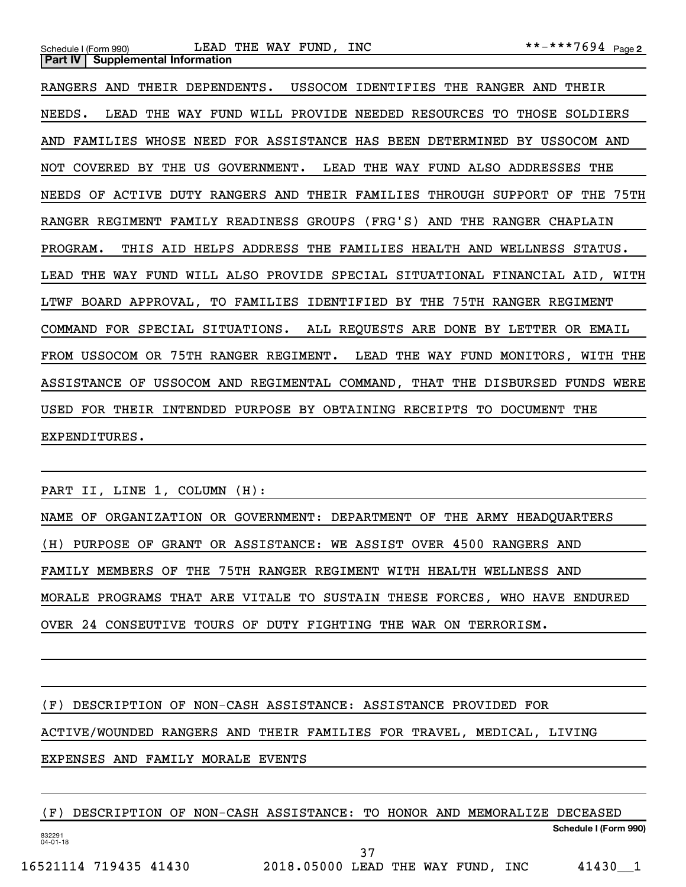| Schedule I (Form 990) LEAD THE WAY FUND, INC                                | **-***7694 Page2 |
|-----------------------------------------------------------------------------|------------------|
| <b>Part IV</b><br><b>Supplemental Information</b>                           |                  |
| RANGERS AND<br>THEIR DEPENDENTS. USSOCOM IDENTIFIES THE RANGER AND          | THEIR            |
| WILL PROVIDE NEEDED RESOURCES TO<br>NEEDS.<br>LEAD THE WAY FUND             | THOSE SOLDIERS   |
| AND FAMILIES WHOSE NEED FOR ASSISTANCE HAS BEEN DETERMINED BY USSOCOM AND   |                  |
| NOT COVERED BY THE US GOVERNMENT. LEAD THE WAY FUND ALSO ADDRESSES THE      |                  |
| NEEDS OF ACTIVE DUTY RANGERS AND THEIR FAMILIES THROUGH SUPPORT OF          | THE 75TH         |
| RANGER REGIMENT FAMILY READINESS GROUPS (FRG'S) AND THE RANGER CHAPLAIN     |                  |
| PROGRAM.<br>THIS AID HELPS ADDRESS THE FAMILIES HEALTH AND                  | WELLNESS STATUS. |
| LEAD THE WAY FUND WILL ALSO PROVIDE SPECIAL SITUATIONAL FINANCIAL AID, WITH |                  |
| LTWF BOARD APPROVAL, TO FAMILIES IDENTIFIED BY THE 75TH RANGER REGIMENT     |                  |
| ALL REQUESTS ARE DONE BY LETTER<br>COMMAND FOR SPECIAL SITUATIONS.          | OR EMAIL         |
| FROM USSOCOM OR 75TH RANGER REGIMENT. LEAD THE WAY FUND MONITORS, WITH THE  |                  |

ASSISTANCE OF USSOCOM AND REGIMENTAL COMMAND, THAT THE DISBURSED FUNDS WERE USED FOR THEIR INTENDED PURPOSE BY OBTAINING RECEIPTS TO DOCUMENT THE

PART II, LINE 1, COLUMN (H):

EXPENDITURES.

NAME OF ORGANIZATION OR GOVERNMENT: DEPARTMENT OF THE ARMY HEADQUARTERS (H) PURPOSE OF GRANT OR ASSISTANCE: WE ASSIST OVER 4500 RANGERS AND FAMILY MEMBERS OF THE 75TH RANGER REGIMENT WITH HEALTH WELLNESS AND MORALE PROGRAMS THAT ARE VITALE TO SUSTAIN THESE FORCES, WHO HAVE ENDURED OVER 24 CONSEUTIVE TOURS OF DUTY FIGHTING THE WAR ON TERRORISM.

(F) DESCRIPTION OF NON-CASH ASSISTANCE: ASSISTANCE PROVIDED FOR ACTIVE/WOUNDED RANGERS AND THEIR FAMILIES FOR TRAVEL, MEDICAL, LIVING EXPENSES AND FAMILY MORALE EVENTS

832291 04-01-18 **Schedule I (Form 990)** (F) DESCRIPTION OF NON-CASH ASSISTANCE: TO HONOR AND MEMORALIZE DECEASED 37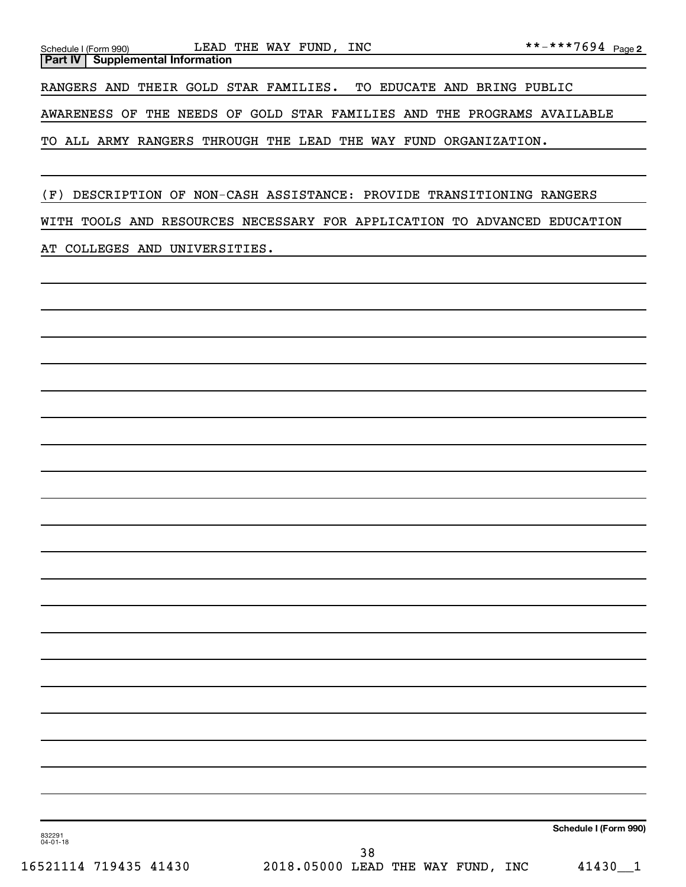| Schedule I (Form 990) |  |                                           |  | LEAD THE WAY FUND, INC |  |                                                                 |                                                                         |  |
|-----------------------|--|-------------------------------------------|--|------------------------|--|-----------------------------------------------------------------|-------------------------------------------------------------------------|--|
|                       |  | <b>Part IV   Supplemental Information</b> |  |                        |  |                                                                 |                                                                         |  |
|                       |  |                                           |  |                        |  |                                                                 | RANGERS AND THEIR GOLD STAR FAMILIES. TO EDUCATE AND BRING PUBLIC       |  |
|                       |  |                                           |  |                        |  |                                                                 | AWARENESS OF THE NEEDS OF GOLD STAR FAMILIES AND THE PROGRAMS AVAILABLE |  |
|                       |  |                                           |  |                        |  | TO ALL ARMY RANGERS THROUGH THE LEAD THE WAY FUND ORGANIZATION. |                                                                         |  |

(F) DESCRIPTION OF NON-CASH ASSISTANCE: PROVIDE TRANSITIONING RANGERS

WITH TOOLS AND RESOURCES NECESSARY FOR APPLICATION TO ADVANCED EDUCATION

AT COLLEGES AND UNIVERSITIES.

**Schedule I (Form 990)**

832291 04-01-18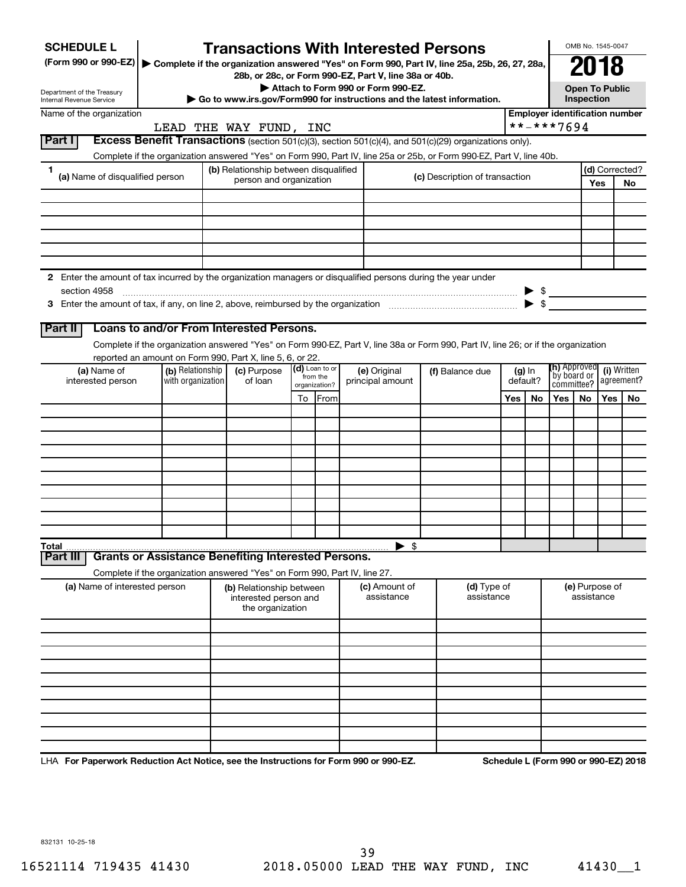| <b>SCHEDULE L</b>                                                                                                    |                                                                                                                                                                                                                                | <b>Transactions With Interested Persons</b>                            |                              |                                    |                          |                                |     |                          |                     | OMB No. 1545-0047                                         |     |                                       |  |
|----------------------------------------------------------------------------------------------------------------------|--------------------------------------------------------------------------------------------------------------------------------------------------------------------------------------------------------------------------------|------------------------------------------------------------------------|------------------------------|------------------------------------|--------------------------|--------------------------------|-----|--------------------------|---------------------|-----------------------------------------------------------|-----|---------------------------------------|--|
| (Form 990 or 990-EZ)   Complete if the organization answered "Yes" on Form 990, Part IV, line 25a, 25b, 26, 27, 28a, |                                                                                                                                                                                                                                |                                                                        |                              |                                    |                          |                                |     |                          |                     | 2018                                                      |     |                                       |  |
|                                                                                                                      |                                                                                                                                                                                                                                | 28b, or 28c, or Form 990-EZ, Part V, line 38a or 40b.                  |                              | Attach to Form 990 or Form 990-EZ. |                          |                                |     |                          |                     | <b>Open To Public</b>                                     |     |                                       |  |
| Department of the Treasury<br>Internal Revenue Service                                                               |                                                                                                                                                                                                                                | Go to www.irs.gov/Form990 for instructions and the latest information. |                              |                                    |                          |                                |     |                          |                     | <b>Inspection</b>                                         |     |                                       |  |
| Name of the organization                                                                                             |                                                                                                                                                                                                                                |                                                                        |                              |                                    |                          |                                |     |                          |                     |                                                           |     | <b>Employer identification number</b> |  |
|                                                                                                                      |                                                                                                                                                                                                                                | LEAD THE WAY FUND, INC                                                 |                              |                                    |                          |                                |     |                          | **-***7694          |                                                           |     |                                       |  |
| Part I                                                                                                               | Excess Benefit Transactions (section 501(c)(3), section 501(c)(4), and 501(c)(29) organizations only).<br>Complete if the organization answered "Yes" on Form 990, Part IV, line 25a or 25b, or Form 990-EZ, Part V, line 40b. |                                                                        |                              |                                    |                          |                                |     |                          |                     |                                                           |     |                                       |  |
| 1                                                                                                                    |                                                                                                                                                                                                                                | (b) Relationship between disqualified                                  |                              |                                    |                          |                                |     |                          |                     |                                                           |     | (d) Corrected?                        |  |
| (a) Name of disqualified person                                                                                      |                                                                                                                                                                                                                                | person and organization                                                |                              |                                    |                          | (c) Description of transaction |     |                          | Yes                 |                                                           |     | No                                    |  |
|                                                                                                                      |                                                                                                                                                                                                                                |                                                                        |                              |                                    |                          |                                |     |                          |                     |                                                           |     |                                       |  |
|                                                                                                                      |                                                                                                                                                                                                                                |                                                                        |                              |                                    |                          |                                |     |                          |                     |                                                           |     |                                       |  |
|                                                                                                                      |                                                                                                                                                                                                                                |                                                                        |                              |                                    |                          |                                |     |                          |                     |                                                           |     |                                       |  |
|                                                                                                                      |                                                                                                                                                                                                                                |                                                                        |                              |                                    |                          |                                |     |                          |                     |                                                           |     |                                       |  |
|                                                                                                                      |                                                                                                                                                                                                                                |                                                                        |                              |                                    |                          |                                |     |                          |                     |                                                           |     |                                       |  |
| 2 Enter the amount of tax incurred by the organization managers or disqualified persons during the year under        |                                                                                                                                                                                                                                |                                                                        |                              |                                    |                          |                                |     |                          |                     |                                                           |     |                                       |  |
| section 4958                                                                                                         |                                                                                                                                                                                                                                |                                                                        |                              |                                    |                          |                                |     |                          | $\triangleright$ \$ |                                                           |     |                                       |  |
|                                                                                                                      |                                                                                                                                                                                                                                |                                                                        |                              |                                    |                          |                                |     | $\blacktriangleright$ \$ |                     |                                                           |     |                                       |  |
| Part II                                                                                                              | Loans to and/or From Interested Persons.                                                                                                                                                                                       |                                                                        |                              |                                    |                          |                                |     |                          |                     |                                                           |     |                                       |  |
|                                                                                                                      | Complete if the organization answered "Yes" on Form 990-EZ, Part V, line 38a or Form 990, Part IV, line 26; or if the organization                                                                                             |                                                                        |                              |                                    |                          |                                |     |                          |                     |                                                           |     |                                       |  |
|                                                                                                                      | reported an amount on Form 990, Part X, line 5, 6, or 22.                                                                                                                                                                      |                                                                        |                              |                                    |                          |                                |     |                          |                     |                                                           |     |                                       |  |
| (a) Name of<br>interested person                                                                                     | (b) Relationship<br>with organization                                                                                                                                                                                          | (c) Purpose<br>of loan                                                 | $(d)$ Loan to or<br>from the | (e) Original<br>principal amount   |                          | (f) Balance due                |     | $(g)$ In<br>default?     |                     | (h) Approved<br>(i) Written<br>`by board or<br>agreement? |     |                                       |  |
|                                                                                                                      |                                                                                                                                                                                                                                |                                                                        | organization?                |                                    |                          |                                |     |                          | committee?<br>Yes I |                                                           |     |                                       |  |
|                                                                                                                      |                                                                                                                                                                                                                                |                                                                        | To From                      |                                    |                          |                                | Yes | No.                      |                     | No.                                                       | Yes | No                                    |  |
|                                                                                                                      |                                                                                                                                                                                                                                |                                                                        |                              |                                    |                          |                                |     |                          |                     |                                                           |     |                                       |  |
|                                                                                                                      |                                                                                                                                                                                                                                |                                                                        |                              |                                    |                          |                                |     |                          |                     |                                                           |     |                                       |  |
|                                                                                                                      |                                                                                                                                                                                                                                |                                                                        |                              |                                    |                          |                                |     |                          |                     |                                                           |     |                                       |  |
|                                                                                                                      |                                                                                                                                                                                                                                |                                                                        |                              |                                    |                          |                                |     |                          |                     |                                                           |     |                                       |  |
|                                                                                                                      |                                                                                                                                                                                                                                |                                                                        |                              |                                    |                          |                                |     |                          |                     |                                                           |     |                                       |  |
|                                                                                                                      |                                                                                                                                                                                                                                |                                                                        |                              |                                    |                          |                                |     |                          |                     |                                                           |     |                                       |  |
|                                                                                                                      |                                                                                                                                                                                                                                |                                                                        |                              |                                    |                          |                                |     |                          |                     |                                                           |     |                                       |  |
|                                                                                                                      |                                                                                                                                                                                                                                |                                                                        |                              |                                    |                          |                                |     |                          |                     |                                                           |     |                                       |  |
| Total<br>Part III                                                                                                    | <b>Grants or Assistance Benefiting Interested Persons.</b>                                                                                                                                                                     |                                                                        |                              |                                    | $\blacktriangleright$ \$ |                                |     |                          |                     |                                                           |     |                                       |  |
|                                                                                                                      | Complete if the organization answered "Yes" on Form 990, Part IV, line 27.                                                                                                                                                     |                                                                        |                              |                                    |                          |                                |     |                          |                     |                                                           |     |                                       |  |
| (a) Name of interested person                                                                                        |                                                                                                                                                                                                                                | (b) Relationship between                                               |                              |                                    | (c) Amount of            | (d) Type of                    |     |                          |                     | (e) Purpose of                                            |     |                                       |  |
|                                                                                                                      |                                                                                                                                                                                                                                | interested person and<br>the organization                              |                              |                                    | assistance               | assistance                     |     |                          |                     | assistance                                                |     |                                       |  |
|                                                                                                                      |                                                                                                                                                                                                                                |                                                                        |                              |                                    |                          |                                |     |                          |                     |                                                           |     |                                       |  |
|                                                                                                                      |                                                                                                                                                                                                                                |                                                                        |                              |                                    |                          |                                |     |                          |                     |                                                           |     |                                       |  |
|                                                                                                                      |                                                                                                                                                                                                                                |                                                                        |                              |                                    |                          |                                |     |                          |                     |                                                           |     |                                       |  |
|                                                                                                                      |                                                                                                                                                                                                                                |                                                                        |                              |                                    |                          |                                |     |                          |                     |                                                           |     |                                       |  |
|                                                                                                                      |                                                                                                                                                                                                                                |                                                                        |                              |                                    |                          |                                |     |                          |                     |                                                           |     |                                       |  |
|                                                                                                                      |                                                                                                                                                                                                                                |                                                                        |                              |                                    |                          |                                |     |                          |                     |                                                           |     |                                       |  |
|                                                                                                                      |                                                                                                                                                                                                                                |                                                                        |                              |                                    |                          |                                |     |                          |                     |                                                           |     |                                       |  |
|                                                                                                                      |                                                                                                                                                                                                                                |                                                                        |                              |                                    |                          |                                |     |                          |                     |                                                           |     |                                       |  |
|                                                                                                                      |                                                                                                                                                                                                                                |                                                                        |                              |                                    |                          |                                |     |                          |                     |                                                           |     |                                       |  |

LHA For Paperwork Reduction Act Notice, see the Instructions for Form 990 or 990-EZ. Schedule L (Form 990 or 990-EZ) 2018

832131 10-25-18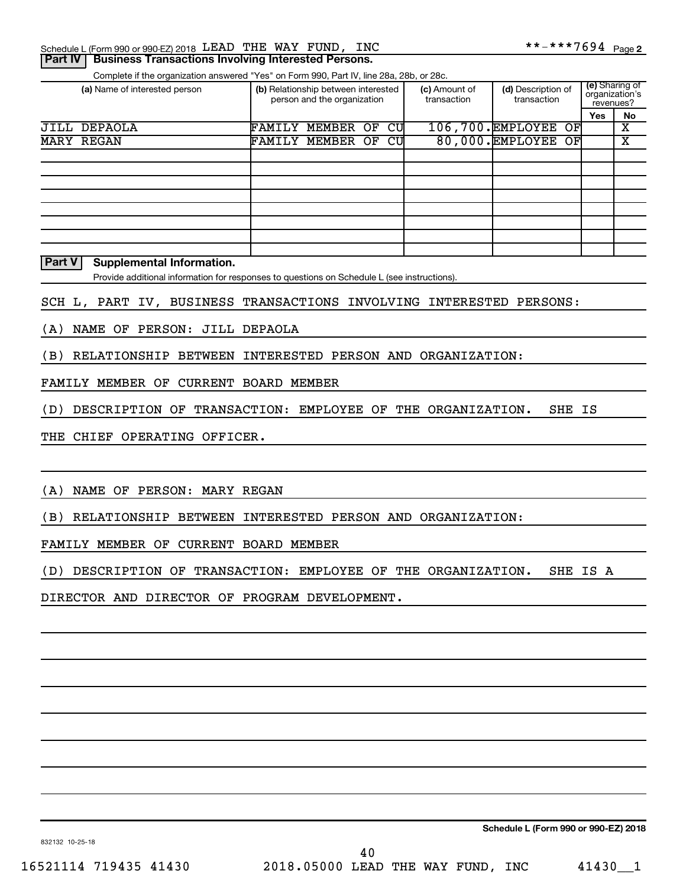| Schedule L (Form 990 or 990-EZ) 2018 LEAD THE WAY FUND, |  | <b>INC</b> | **-***7694 <sub>Page 2</sub> |  |
|---------------------------------------------------------|--|------------|------------------------------|--|
|                                                         |  |            |                              |  |

**Part IV | Business Transactions Involving Interested Persons.** 

Complete if the organization answered "Yes" on Form 990, Part IV, line 28a, 28b, or 28c.

| (a) Name of interested person | (b) Relationship between interested<br>person and the organization |        | (c) Amount of<br>transaction | (d) Description of<br>transaction | (e) Sharing of<br>organization's<br>revenues? |                          |     |    |
|-------------------------------|--------------------------------------------------------------------|--------|------------------------------|-----------------------------------|-----------------------------------------------|--------------------------|-----|----|
|                               |                                                                    |        |                              |                                   |                                               |                          | Yes | No |
| JILL DEPAOLA                  | FAMILY                                                             | MEMBER | ΟF                           | CU                                |                                               | 106,700. EMPLOYEE<br>OFI |     | х  |
| <b>MARY REGAN</b>             | FAMILY                                                             | MEMBER | OF                           | CU                                |                                               | 80,000. EMPLOYEE OF      |     | х  |
|                               |                                                                    |        |                              |                                   |                                               |                          |     |    |
|                               |                                                                    |        |                              |                                   |                                               |                          |     |    |
|                               |                                                                    |        |                              |                                   |                                               |                          |     |    |
|                               |                                                                    |        |                              |                                   |                                               |                          |     |    |
|                               |                                                                    |        |                              |                                   |                                               |                          |     |    |
|                               |                                                                    |        |                              |                                   |                                               |                          |     |    |
|                               |                                                                    |        |                              |                                   |                                               |                          |     |    |
|                               |                                                                    |        |                              |                                   |                                               |                          |     |    |

**Part V Supplemental Information.**

Provide additional information for responses to questions on Schedule L (see instructions).

SCH L, PART IV, BUSINESS TRANSACTIONS INVOLVING INTERESTED PERSONS:

(A) NAME OF PERSON: JILL DEPAOLA

(B) RELATIONSHIP BETWEEN INTERESTED PERSON AND ORGANIZATION:

FAMILY MEMBER OF CURRENT BOARD MEMBER

(D) DESCRIPTION OF TRANSACTION: EMPLOYEE OF THE ORGANIZATION. SHE IS

THE CHIEF OPERATING OFFICER.

(A) NAME OF PERSON: MARY REGAN

(B) RELATIONSHIP BETWEEN INTERESTED PERSON AND ORGANIZATION:

FAMILY MEMBER OF CURRENT BOARD MEMBER

(D) DESCRIPTION OF TRANSACTION: EMPLOYEE OF THE ORGANIZATION. SHE IS A

DIRECTOR AND DIRECTOR OF PROGRAM DEVELOPMENT.

**Schedule L (Form 990 or 990-EZ) 2018**

832132 10-25-18

16521114 719435 41430 2018.05000 LEAD THE WAY FUND, INC 41430\_\_1 40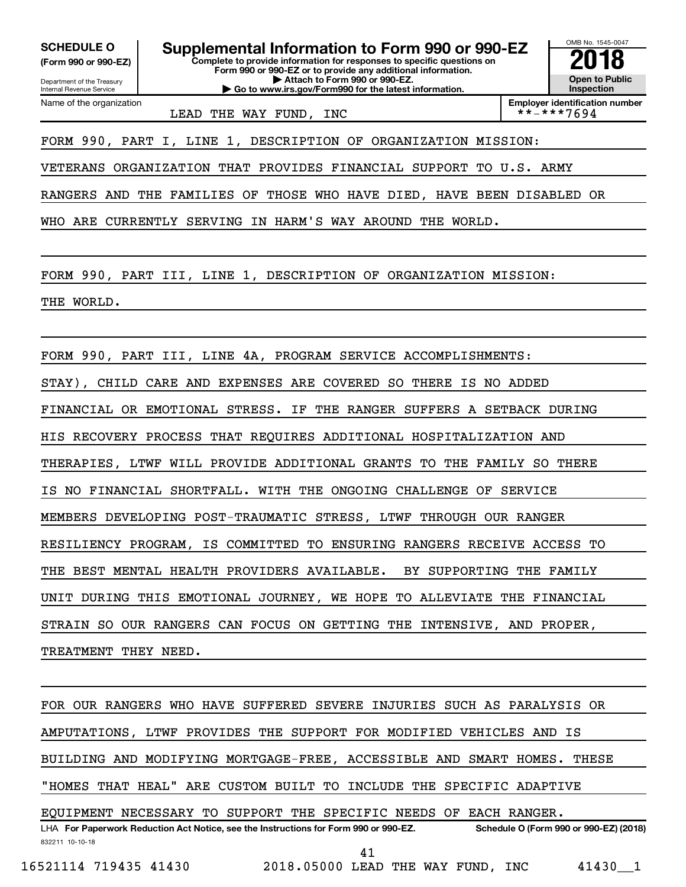**(Form 990 or 990-EZ)**

Department of the Treasury Internal Revenue Service Name of the organization

**Complete to provide information for responses to specific questions on Form 990 or 990-EZ or to provide any additional information. | Attach to Form 990 or 990-EZ. | Go to www.irs.gov/Form990 for the latest information.** SCHEDULE O **Supplemental Information to Form 990 or 990-EZ 2018**<br>(Form 990 or 990-EZ) Complete to provide information for responses to specific questions on



**Employer identification number**<br>\*\*-\*\*\*7694

LEAD THE WAY FUND, INC

FORM 990, PART I, LINE 1, DESCRIPTION OF ORGANIZATION MISSION:

VETERANS ORGANIZATION THAT PROVIDES FINANCIAL SUPPORT TO U.S. ARMY

RANGERS AND THE FAMILIES OF THOSE WHO HAVE DIED, HAVE BEEN DISABLED OR

WHO ARE CURRENTLY SERVING IN HARM'S WAY AROUND THE WORLD.

FORM 990, PART III, LINE 1, DESCRIPTION OF ORGANIZATION MISSION:

THE WORLD.

FORM 990, PART III, LINE 4A, PROGRAM SERVICE ACCOMPLISHMENTS:

STAY), CHILD CARE AND EXPENSES ARE COVERED SO THERE IS NO ADDED

FINANCIAL OR EMOTIONAL STRESS. IF THE RANGER SUFFERS A SETBACK DURING

HIS RECOVERY PROCESS THAT REQUIRES ADDITIONAL HOSPITALIZATION AND

THERAPIES, LTWF WILL PROVIDE ADDITIONAL GRANTS TO THE FAMILY SO THERE

IS NO FINANCIAL SHORTFALL. WITH THE ONGOING CHALLENGE OF SERVICE

MEMBERS DEVELOPING POST-TRAUMATIC STRESS, LTWF THROUGH OUR RANGER

RESILIENCY PROGRAM, IS COMMITTED TO ENSURING RANGERS RECEIVE ACCESS TO

THE BEST MENTAL HEALTH PROVIDERS AVAILABLE. BY SUPPORTING THE FAMILY

UNIT DURING THIS EMOTIONAL JOURNEY, WE HOPE TO ALLEVIATE THE FINANCIAL

STRAIN SO OUR RANGERS CAN FOCUS ON GETTING THE INTENSIVE, AND PROPER,

TREATMENT THEY NEED.

832211 10-10-18 LHA For Paperwork Reduction Act Notice, see the Instructions for Form 990 or 990-EZ. Schedule O (Form 990 or 990-EZ) (2018) FOR OUR RANGERS WHO HAVE SUFFERED SEVERE INJURIES SUCH AS PARALYSIS OR AMPUTATIONS, LTWF PROVIDES THE SUPPORT FOR MODIFIED VEHICLES AND IS BUILDING AND MODIFYING MORTGAGE-FREE, ACCESSIBLE AND SMART HOMES. THESE "HOMES THAT HEAL" ARE CUSTOM BUILT TO INCLUDE THE SPECIFIC ADAPTIVE EQUIPMENT NECESSARY TO SUPPORT THE SPECIFIC NEEDS OF EACH RANGER.

16521114 719435 41430 2018.05000 LEAD THE WAY FUND, INC 41430\_\_1

41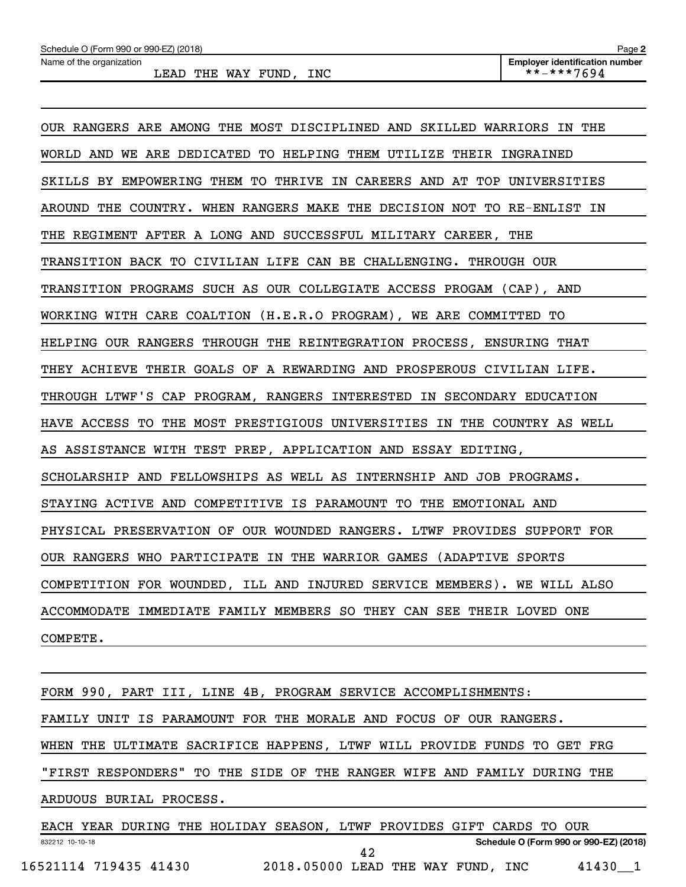| OUR RANGERS ARE AMONG THE MOST DISCIPLINED AND SKILLED WARRIORS IN THE  |
|-------------------------------------------------------------------------|
| WORLD AND WE ARE DEDICATED TO HELPING THEM UTILIZE THEIR INGRAINED      |
| SKILLS BY EMPOWERING THEM TO THRIVE IN CAREERS AND AT TOP UNIVERSITIES  |
| AROUND THE COUNTRY. WHEN RANGERS MAKE THE DECISION NOT TO RE-ENLIST IN  |
| THE REGIMENT AFTER A LONG AND SUCCESSFUL MILITARY CAREER, THE           |
| TRANSITION BACK TO CIVILIAN LIFE CAN BE CHALLENGING. THROUGH OUR        |
| TRANSITION PROGRAMS SUCH AS OUR COLLEGIATE ACCESS PROGAM (CAP), AND     |
| WORKING WITH CARE COALTION (H.E.R.O PROGRAM), WE ARE COMMITTED TO       |
| HELPING OUR RANGERS THROUGH THE REINTEGRATION PROCESS, ENSURING THAT    |
| THEY ACHIEVE THEIR GOALS OF A REWARDING AND PROSPEROUS CIVILIAN LIFE.   |
| THROUGH LTWF'S CAP PROGRAM, RANGERS INTERESTED IN SECONDARY EDUCATION   |
| HAVE ACCESS TO THE MOST PRESTIGIOUS UNIVERSITIES IN THE COUNTRY AS WELL |
| AS ASSISTANCE WITH TEST PREP, APPLICATION AND ESSAY EDITING,            |
| SCHOLARSHIP AND FELLOWSHIPS AS WELL AS INTERNSHIP AND JOB PROGRAMS.     |
| STAYING ACTIVE AND COMPETITIVE IS PARAMOUNT TO THE EMOTIONAL AND        |
| PHYSICAL PRESERVATION OF OUR WOUNDED RANGERS. LTWF PROVIDES SUPPORT FOR |
| OUR RANGERS WHO PARTICIPATE IN THE WARRIOR GAMES (ADAPTIVE SPORTS       |
| COMPETITION FOR WOUNDED, ILL AND INJURED SERVICE MEMBERS). WE WILL ALSO |
| ACCOMMODATE IMMEDIATE FAMILY MEMBERS SO THEY CAN SEE THEIR LOVED ONE    |
| COMPETE.                                                                |

832212 10-10-18 **Schedule O (Form 990 or 990-EZ) (2018)** FORM 990, PART III, LINE 4B, PROGRAM SERVICE ACCOMPLISHMENTS: FAMILY UNIT IS PARAMOUNT FOR THE MORALE AND FOCUS OF OUR RANGERS. WHEN THE ULTIMATE SACRIFICE HAPPENS, LTWF WILL PROVIDE FUNDS TO GET FRG "FIRST RESPONDERS" TO THE SIDE OF THE RANGER WIFE AND FAMILY DURING THE ARDUOUS BURIAL PROCESS. EACH YEAR DURING THE HOLIDAY SEASON, LTWF PROVIDES GIFT CARDS TO OUR

16521114 719435 41430 2018.05000 LEAD THE WAY FUND, INC 41430\_\_1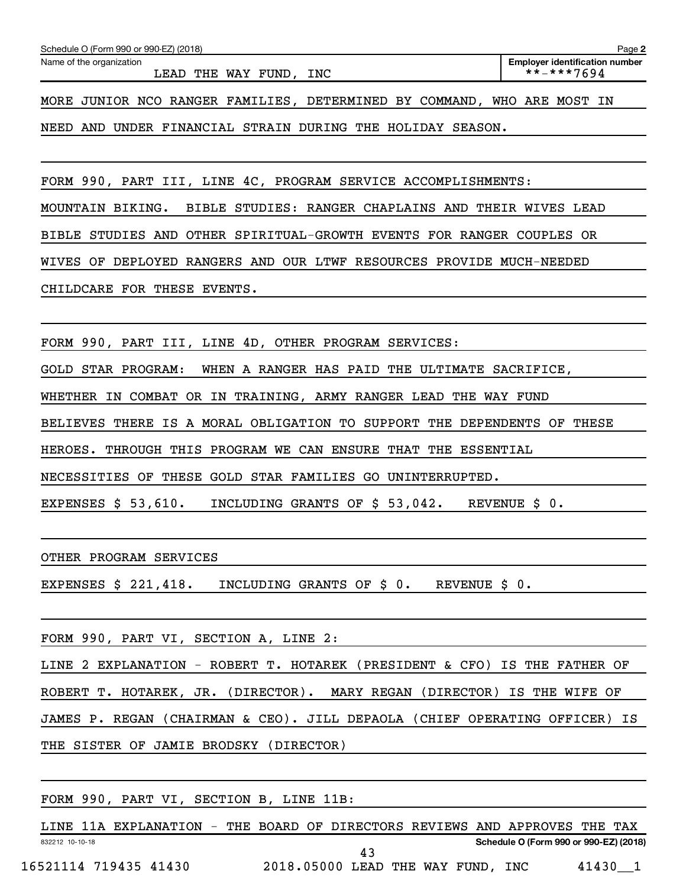NEED AND UNDER FINANCIAL STRAIN DURING THE HOLIDAY SEASON.

FORM 990, PART III, LINE 4C, PROGRAM SERVICE ACCOMPLISHMENTS:

MOUNTAIN BIKING. BIBLE STUDIES: RANGER CHAPLAINS AND THEIR WIVES LEAD

BIBLE STUDIES AND OTHER SPIRITUAL-GROWTH EVENTS FOR RANGER COUPLES OR

WIVES OF DEPLOYED RANGERS AND OUR LTWF RESOURCES PROVIDE MUCH-NEEDED

CHILDCARE FOR THESE EVENTS.

FORM 990, PART III, LINE 4D, OTHER PROGRAM SERVICES:

GOLD STAR PROGRAM: WHEN A RANGER HAS PAID THE ULTIMATE SACRIFICE,

WHETHER IN COMBAT OR IN TRAINING, ARMY RANGER LEAD THE WAY FUND

BELIEVES THERE IS A MORAL OBLIGATION TO SUPPORT THE DEPENDENTS OF THESE

HEROES. THROUGH THIS PROGRAM WE CAN ENSURE THAT THE ESSENTIAL

NECESSITIES OF THESE GOLD STAR FAMILIES GO UNINTERRUPTED.

EXPENSES  $$53,610$ . INCLUDING GRANTS OF  $$53,042$ . REVENUE  $$0$ .

OTHER PROGRAM SERVICES

EXPENSES \$ 221,418. INCLUDING GRANTS OF \$ 0. REVENUE \$ 0.

FORM 990, PART VI, SECTION A, LINE 2:

LINE 2 EXPLANATION - ROBERT T. HOTAREK (PRESIDENT & CFO) IS THE FATHER OF ROBERT T. HOTAREK, JR. (DIRECTOR). MARY REGAN (DIRECTOR) IS THE WIFE OF JAMES P. REGAN (CHAIRMAN & CEO). JILL DEPAOLA (CHIEF OPERATING OFFICER) IS THE SISTER OF JAMIE BRODSKY (DIRECTOR)

FORM 990, PART VI, SECTION B, LINE 11B:

832212 10-10-18 **Schedule O (Form 990 or 990-EZ) (2018)** LINE 11A EXPLANATION - THE BOARD OF DIRECTORS REVIEWS AND APPROVES THE TAX 16521114 719435 41430 2018.05000 LEAD THE WAY FUND, INC 41430\_\_1 43